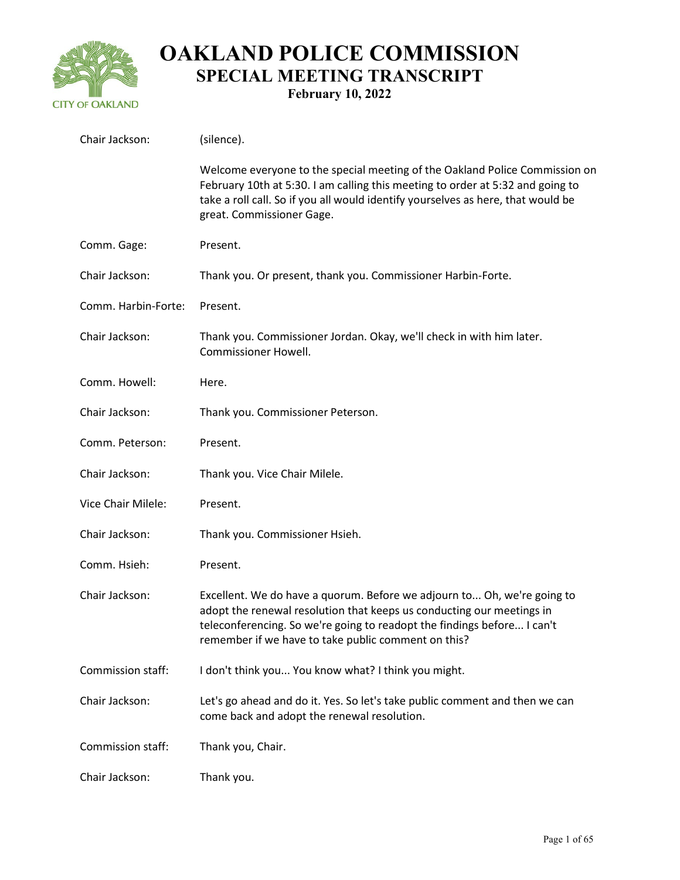

| Chair Jackson:      | (silence).                                                                                                                                                                                                                                                                         |
|---------------------|------------------------------------------------------------------------------------------------------------------------------------------------------------------------------------------------------------------------------------------------------------------------------------|
|                     | Welcome everyone to the special meeting of the Oakland Police Commission on<br>February 10th at 5:30. I am calling this meeting to order at 5:32 and going to<br>take a roll call. So if you all would identify yourselves as here, that would be<br>great. Commissioner Gage.     |
| Comm. Gage:         | Present.                                                                                                                                                                                                                                                                           |
| Chair Jackson:      | Thank you. Or present, thank you. Commissioner Harbin-Forte.                                                                                                                                                                                                                       |
| Comm. Harbin-Forte: | Present.                                                                                                                                                                                                                                                                           |
| Chair Jackson:      | Thank you. Commissioner Jordan. Okay, we'll check in with him later.<br><b>Commissioner Howell.</b>                                                                                                                                                                                |
| Comm. Howell:       | Here.                                                                                                                                                                                                                                                                              |
| Chair Jackson:      | Thank you. Commissioner Peterson.                                                                                                                                                                                                                                                  |
| Comm. Peterson:     | Present.                                                                                                                                                                                                                                                                           |
| Chair Jackson:      | Thank you. Vice Chair Milele.                                                                                                                                                                                                                                                      |
| Vice Chair Milele:  | Present.                                                                                                                                                                                                                                                                           |
| Chair Jackson:      | Thank you. Commissioner Hsieh.                                                                                                                                                                                                                                                     |
| Comm. Hsieh:        | Present.                                                                                                                                                                                                                                                                           |
| Chair Jackson:      | Excellent. We do have a quorum. Before we adjourn to Oh, we're going to<br>adopt the renewal resolution that keeps us conducting our meetings in<br>teleconferencing. So we're going to readopt the findings before I can't<br>remember if we have to take public comment on this? |
| Commission staff:   | I don't think you You know what? I think you might.                                                                                                                                                                                                                                |
| Chair Jackson:      | Let's go ahead and do it. Yes. So let's take public comment and then we can<br>come back and adopt the renewal resolution.                                                                                                                                                         |
| Commission staff:   | Thank you, Chair.                                                                                                                                                                                                                                                                  |
| Chair Jackson:      | Thank you.                                                                                                                                                                                                                                                                         |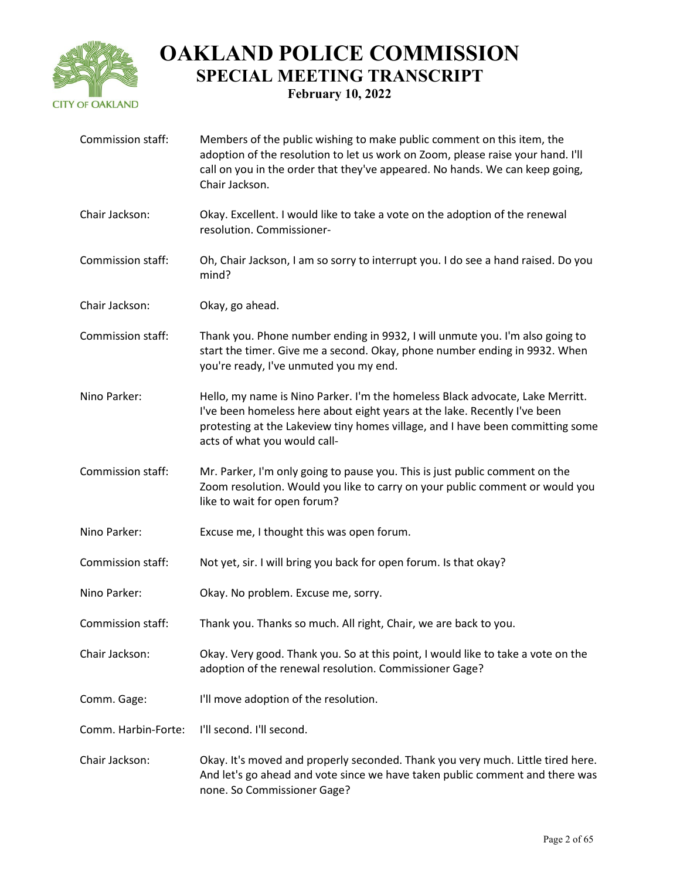

| Commission staff:   | Members of the public wishing to make public comment on this item, the<br>adoption of the resolution to let us work on Zoom, please raise your hand. I'll<br>call on you in the order that they've appeared. No hands. We can keep going,<br>Chair Jackson.                  |
|---------------------|------------------------------------------------------------------------------------------------------------------------------------------------------------------------------------------------------------------------------------------------------------------------------|
| Chair Jackson:      | Okay. Excellent. I would like to take a vote on the adoption of the renewal<br>resolution. Commissioner-                                                                                                                                                                     |
| Commission staff:   | Oh, Chair Jackson, I am so sorry to interrupt you. I do see a hand raised. Do you<br>mind?                                                                                                                                                                                   |
| Chair Jackson:      | Okay, go ahead.                                                                                                                                                                                                                                                              |
| Commission staff:   | Thank you. Phone number ending in 9932, I will unmute you. I'm also going to<br>start the timer. Give me a second. Okay, phone number ending in 9932. When<br>you're ready, I've unmuted you my end.                                                                         |
| Nino Parker:        | Hello, my name is Nino Parker. I'm the homeless Black advocate, Lake Merritt.<br>I've been homeless here about eight years at the lake. Recently I've been<br>protesting at the Lakeview tiny homes village, and I have been committing some<br>acts of what you would call- |
| Commission staff:   | Mr. Parker, I'm only going to pause you. This is just public comment on the<br>Zoom resolution. Would you like to carry on your public comment or would you<br>like to wait for open forum?                                                                                  |
| Nino Parker:        | Excuse me, I thought this was open forum.                                                                                                                                                                                                                                    |
| Commission staff:   | Not yet, sir. I will bring you back for open forum. Is that okay?                                                                                                                                                                                                            |
| Nino Parker:        | Okay. No problem. Excuse me, sorry.                                                                                                                                                                                                                                          |
| Commission staff:   | Thank you. Thanks so much. All right, Chair, we are back to you.                                                                                                                                                                                                             |
| Chair Jackson:      | Okay. Very good. Thank you. So at this point, I would like to take a vote on the<br>adoption of the renewal resolution. Commissioner Gage?                                                                                                                                   |
| Comm. Gage:         | I'll move adoption of the resolution.                                                                                                                                                                                                                                        |
| Comm. Harbin-Forte: | I'll second. I'll second.                                                                                                                                                                                                                                                    |
| Chair Jackson:      | Okay. It's moved and properly seconded. Thank you very much. Little tired here.<br>And let's go ahead and vote since we have taken public comment and there was<br>none. So Commissioner Gage?                                                                               |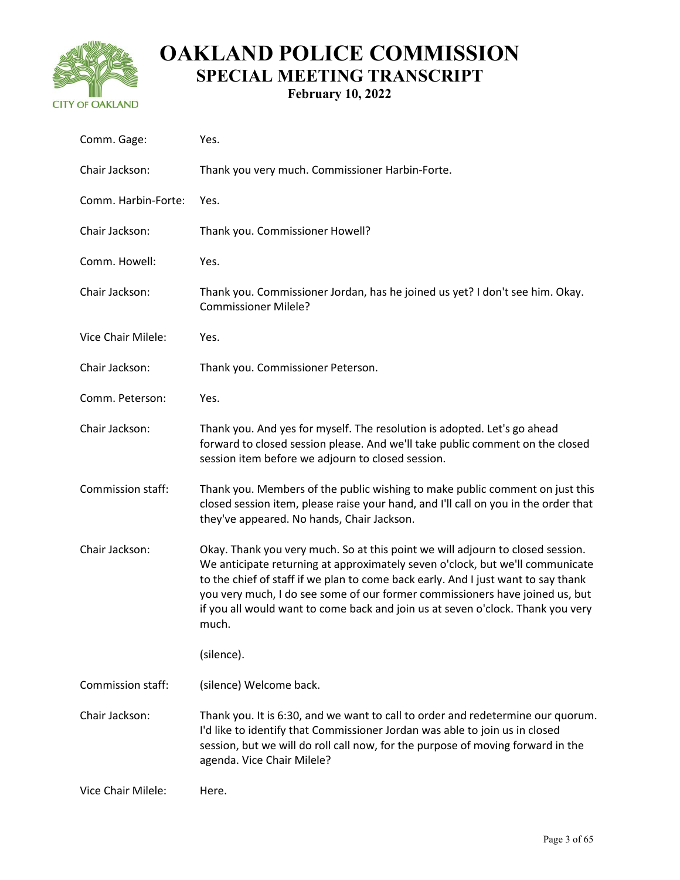

| Comm. Gage:         | Yes.                                                                                                                                                                                                                                                                                                                                                                                                                             |
|---------------------|----------------------------------------------------------------------------------------------------------------------------------------------------------------------------------------------------------------------------------------------------------------------------------------------------------------------------------------------------------------------------------------------------------------------------------|
| Chair Jackson:      | Thank you very much. Commissioner Harbin-Forte.                                                                                                                                                                                                                                                                                                                                                                                  |
| Comm. Harbin-Forte: | Yes.                                                                                                                                                                                                                                                                                                                                                                                                                             |
| Chair Jackson:      | Thank you. Commissioner Howell?                                                                                                                                                                                                                                                                                                                                                                                                  |
| Comm. Howell:       | Yes.                                                                                                                                                                                                                                                                                                                                                                                                                             |
| Chair Jackson:      | Thank you. Commissioner Jordan, has he joined us yet? I don't see him. Okay.<br><b>Commissioner Milele?</b>                                                                                                                                                                                                                                                                                                                      |
| Vice Chair Milele:  | Yes.                                                                                                                                                                                                                                                                                                                                                                                                                             |
| Chair Jackson:      | Thank you. Commissioner Peterson.                                                                                                                                                                                                                                                                                                                                                                                                |
| Comm. Peterson:     | Yes.                                                                                                                                                                                                                                                                                                                                                                                                                             |
| Chair Jackson:      | Thank you. And yes for myself. The resolution is adopted. Let's go ahead<br>forward to closed session please. And we'll take public comment on the closed<br>session item before we adjourn to closed session.                                                                                                                                                                                                                   |
| Commission staff:   | Thank you. Members of the public wishing to make public comment on just this<br>closed session item, please raise your hand, and I'll call on you in the order that<br>they've appeared. No hands, Chair Jackson.                                                                                                                                                                                                                |
| Chair Jackson:      | Okay. Thank you very much. So at this point we will adjourn to closed session.<br>We anticipate returning at approximately seven o'clock, but we'll communicate<br>to the chief of staff if we plan to come back early. And I just want to say thank<br>you very much, I do see some of our former commissioners have joined us, but<br>if you all would want to come back and join us at seven o'clock. Thank you very<br>much. |
|                     | (silence).                                                                                                                                                                                                                                                                                                                                                                                                                       |
| Commission staff:   | (silence) Welcome back.                                                                                                                                                                                                                                                                                                                                                                                                          |
| Chair Jackson:      | Thank you. It is 6:30, and we want to call to order and redetermine our quorum.<br>I'd like to identify that Commissioner Jordan was able to join us in closed<br>session, but we will do roll call now, for the purpose of moving forward in the<br>agenda. Vice Chair Milele?                                                                                                                                                  |
| Vice Chair Milele:  | Here.                                                                                                                                                                                                                                                                                                                                                                                                                            |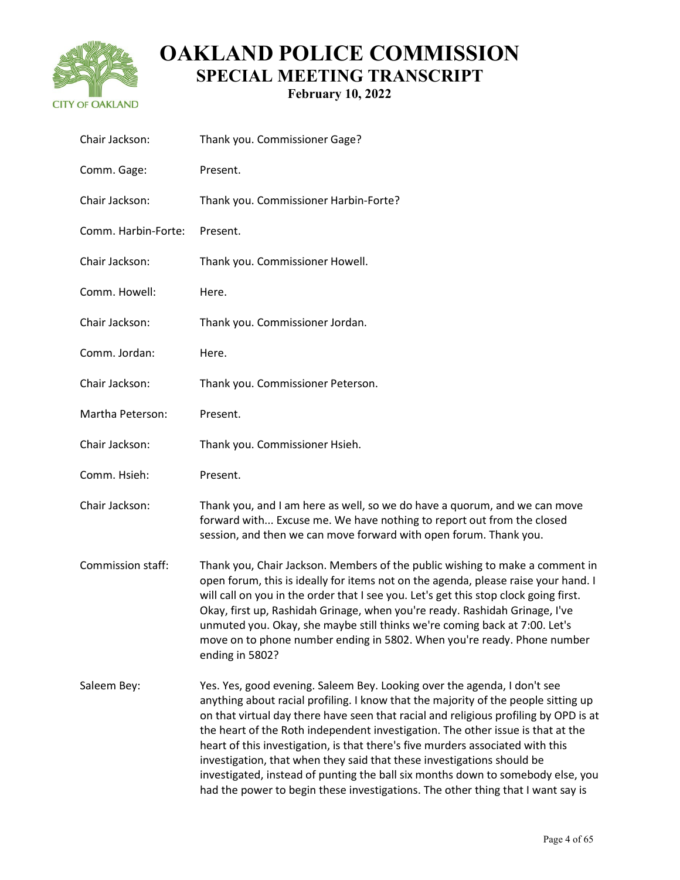

| Chair Jackson:      | Thank you. Commissioner Gage?                                                                                                                                                                                                                                                                                                                                                                                                                                                                                                                                                                                                                                               |
|---------------------|-----------------------------------------------------------------------------------------------------------------------------------------------------------------------------------------------------------------------------------------------------------------------------------------------------------------------------------------------------------------------------------------------------------------------------------------------------------------------------------------------------------------------------------------------------------------------------------------------------------------------------------------------------------------------------|
| Comm. Gage:         | Present.                                                                                                                                                                                                                                                                                                                                                                                                                                                                                                                                                                                                                                                                    |
| Chair Jackson:      | Thank you. Commissioner Harbin-Forte?                                                                                                                                                                                                                                                                                                                                                                                                                                                                                                                                                                                                                                       |
| Comm. Harbin-Forte: | Present.                                                                                                                                                                                                                                                                                                                                                                                                                                                                                                                                                                                                                                                                    |
| Chair Jackson:      | Thank you. Commissioner Howell.                                                                                                                                                                                                                                                                                                                                                                                                                                                                                                                                                                                                                                             |
| Comm. Howell:       | Here.                                                                                                                                                                                                                                                                                                                                                                                                                                                                                                                                                                                                                                                                       |
| Chair Jackson:      | Thank you. Commissioner Jordan.                                                                                                                                                                                                                                                                                                                                                                                                                                                                                                                                                                                                                                             |
| Comm. Jordan:       | Here.                                                                                                                                                                                                                                                                                                                                                                                                                                                                                                                                                                                                                                                                       |
| Chair Jackson:      | Thank you. Commissioner Peterson.                                                                                                                                                                                                                                                                                                                                                                                                                                                                                                                                                                                                                                           |
| Martha Peterson:    | Present.                                                                                                                                                                                                                                                                                                                                                                                                                                                                                                                                                                                                                                                                    |
| Chair Jackson:      | Thank you. Commissioner Hsieh.                                                                                                                                                                                                                                                                                                                                                                                                                                                                                                                                                                                                                                              |
| Comm. Hsieh:        | Present.                                                                                                                                                                                                                                                                                                                                                                                                                                                                                                                                                                                                                                                                    |
| Chair Jackson:      | Thank you, and I am here as well, so we do have a quorum, and we can move<br>forward with Excuse me. We have nothing to report out from the closed<br>session, and then we can move forward with open forum. Thank you.                                                                                                                                                                                                                                                                                                                                                                                                                                                     |
| Commission staff:   | Thank you, Chair Jackson. Members of the public wishing to make a comment in<br>open forum, this is ideally for items not on the agenda, please raise your hand. I<br>will call on you in the order that I see you. Let's get this stop clock going first.<br>Okay, first up, Rashidah Grinage, when you're ready. Rashidah Grinage, I've<br>unmuted you. Okay, she maybe still thinks we're coming back at 7:00. Let's<br>move on to phone number ending in 5802. When you're ready. Phone number<br>ending in 5802?                                                                                                                                                       |
| Saleem Bey:         | Yes. Yes, good evening. Saleem Bey. Looking over the agenda, I don't see<br>anything about racial profiling. I know that the majority of the people sitting up<br>on that virtual day there have seen that racial and religious profiling by OPD is at<br>the heart of the Roth independent investigation. The other issue is that at the<br>heart of this investigation, is that there's five murders associated with this<br>investigation, that when they said that these investigations should be<br>investigated, instead of punting the ball six months down to somebody else, you<br>had the power to begin these investigations. The other thing that I want say is |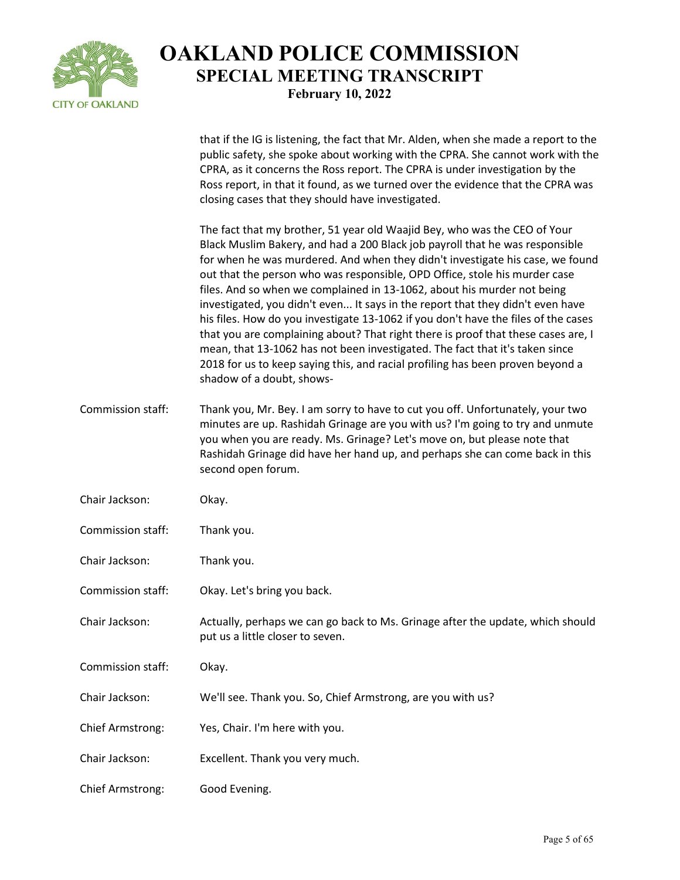

that if the IG is listening, the fact that Mr. Alden, when she made a report to the

public safety, she spoke about working with the CPRA. She cannot work with the CPRA, as it concerns the Ross report. The CPRA is under investigation by the Ross report, in that it found, as we turned over the evidence that the CPRA was closing cases that they should have investigated. The fact that my brother, 51 year old Waajid Bey, who was the CEO of Your Black Muslim Bakery, and had a 200 Black job payroll that he was responsible for when he was murdered. And when they didn't investigate his case, we found out that the person who was responsible, OPD Office, stole his murder case files. And so when we complained in 13-1062, about his murder not being investigated, you didn't even... It says in the report that they didn't even have his files. How do you investigate 13-1062 if you don't have the files of the cases that you are complaining about? That right there is proof that these cases are, I mean, that 13-1062 has not been investigated. The fact that it's taken since 2018 for us to keep saying this, and racial profiling has been proven beyond a shadow of a doubt, shows-Commission staff: Thank you, Mr. Bey. I am sorry to have to cut you off. Unfortunately, your two minutes are up. Rashidah Grinage are you with us? I'm going to try and unmute you when you are ready. Ms. Grinage? Let's move on, but please note that Rashidah Grinage did have her hand up, and perhaps she can come back in this second open forum. Chair Jackson: Okay. Commission staff: Thank you. Chair Jackson: Thank you. Commission staff: Okay. Let's bring you back. Chair Jackson: Actually, perhaps we can go back to Ms. Grinage after the update, which should put us a little closer to seven. Commission staff: Okay. Chair Jackson: We'll see. Thank you. So, Chief Armstrong, are you with us? Chief Armstrong: Yes, Chair. I'm here with you. Chair Jackson: Excellent. Thank you very much. Chief Armstrong: Good Evening.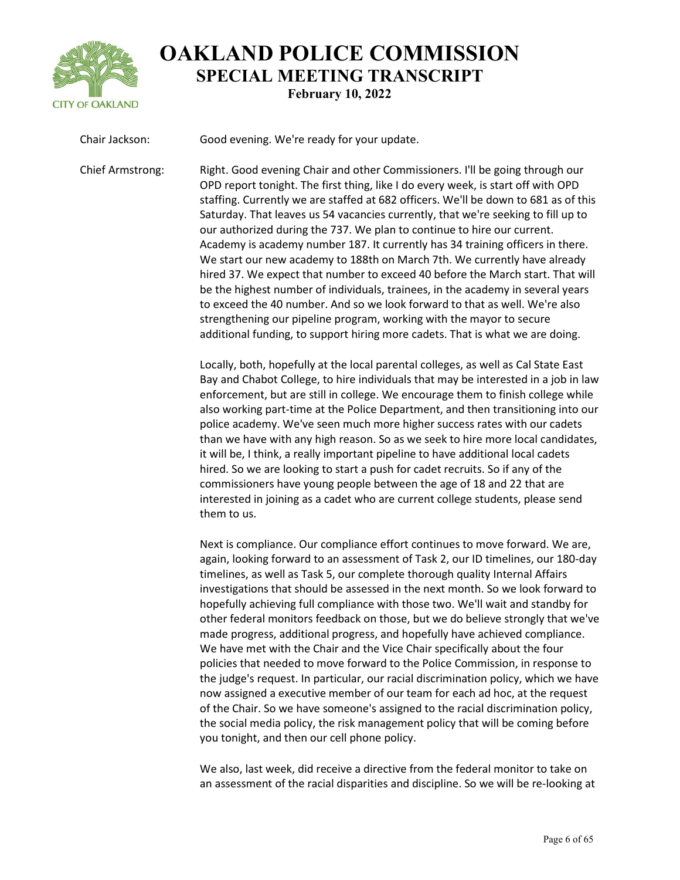

Chair Jackson: Good evening. We're ready for your update. Chief Armstrong: Right. Good evening Chair and other Commissioners. I'll be going through our OPD report tonight. The first thing, like I do every week, is start off with OPD staffing. Currently we are staffed at 682 officers. We'll be down to 681 as of this Saturday. That leaves us 54 vacancies currently, that we're seeking to fill up to our authorized during the 737. We plan to continue to hire our current. Academy is academy number 187. It currently has 34 training officers in there. We start our new academy to 188th on March 7th. We currently have already hired 37. We expect that number to exceed 40 before the March start. That will be the highest number of individuals, trainees, in the academy in several years to exceed the 40 number. And so we look forward to that as well. We're also strengthening our pipeline program, working with the mayor to secure additional funding, to support hiring more cadets. That is what we are doing.

> Locally, both, hopefully at the local parental colleges, as well as Cal State East Bay and Chabot College, to hire individuals that may be interested in a job in law enforcement, but are still in college. We encourage them to finish college while also working part-time at the Police Department, and then transitioning into our police academy. We've seen much more higher success rates with our cadets than we have with any high reason. So as we seek to hire more local candidates, it will be, I think, a really important pipeline to have additional local cadets hired. So we are looking to start a push for cadet recruits. So if any of the commissioners have young people between the age of 18 and 22 that are interested in joining as a cadet who are current college students, please send them to us.

> Next is compliance. Our compliance effort continues to move forward. We are, again, looking forward to an assessment of Task 2, our ID timelines, our 180-day timelines, as well as Task 5, our complete thorough quality Internal Affairs investigations that should be assessed in the next month. So we look forward to hopefully achieving full compliance with those two. We'll wait and standby for other federal monitors feedback on those, but we do believe strongly that we've made progress, additional progress, and hopefully have achieved compliance. We have met with the Chair and the Vice Chair specifically about the four policies that needed to move forward to the Police Commission, in response to the judge's request. In particular, our racial discrimination policy, which we have now assigned a executive member of our team for each ad hoc, at the request of the Chair. So we have someone's assigned to the racial discrimination policy, the social media policy, the risk management policy that will be coming before you tonight, and then our cell phone policy.

> We also, last week, did receive a directive from the federal monitor to take on an assessment of the racial disparities and discipline. So we will be re-looking at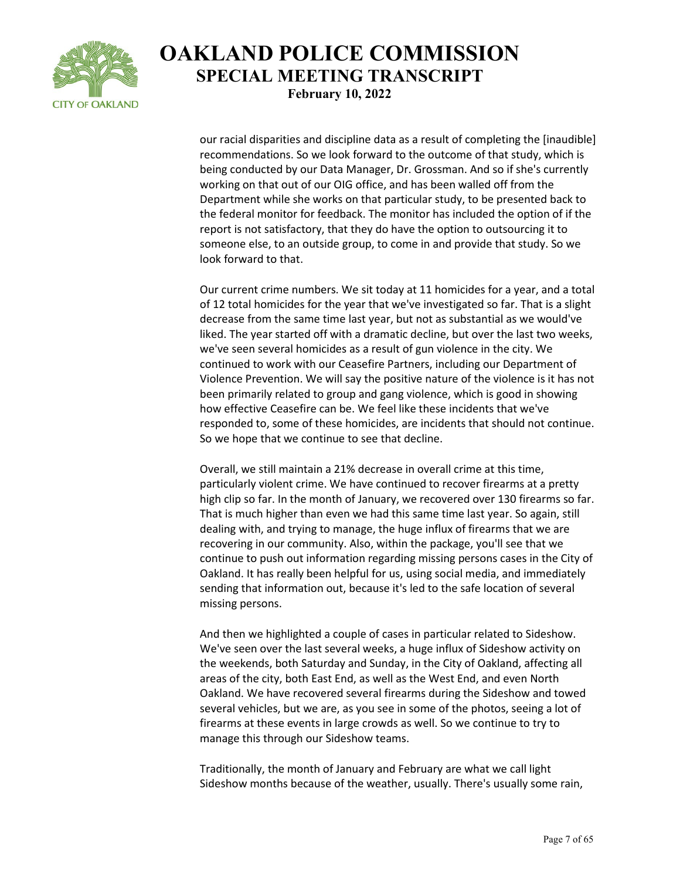

our racial disparities and discipline data as a result of completing the [inaudible] recommendations. So we look forward to the outcome of that study, which is being conducted by our Data Manager, Dr. Grossman. And so if she's currently working on that out of our OIG office, and has been walled off from the Department while she works on that particular study, to be presented back to the federal monitor for feedback. The monitor has included the option of if the report is not satisfactory, that they do have the option to outsourcing it to someone else, to an outside group, to come in and provide that study. So we look forward to that.

Our current crime numbers. We sit today at 11 homicides for a year, and a total of 12 total homicides for the year that we've investigated so far. That is a slight decrease from the same time last year, but not as substantial as we would've liked. The year started off with a dramatic decline, but over the last two weeks, we've seen several homicides as a result of gun violence in the city. We continued to work with our Ceasefire Partners, including our Department of Violence Prevention. We will say the positive nature of the violence is it has not been primarily related to group and gang violence, which is good in showing how effective Ceasefire can be. We feel like these incidents that we've responded to, some of these homicides, are incidents that should not continue. So we hope that we continue to see that decline.

Overall, we still maintain a 21% decrease in overall crime at this time, particularly violent crime. We have continued to recover firearms at a pretty high clip so far. In the month of January, we recovered over 130 firearms so far. That is much higher than even we had this same time last year. So again, still dealing with, and trying to manage, the huge influx of firearms that we are recovering in our community. Also, within the package, you'll see that we continue to push out information regarding missing persons cases in the City of Oakland. It has really been helpful for us, using social media, and immediately sending that information out, because it's led to the safe location of several missing persons.

And then we highlighted a couple of cases in particular related to Sideshow. We've seen over the last several weeks, a huge influx of Sideshow activity on the weekends, both Saturday and Sunday, in the City of Oakland, affecting all areas of the city, both East End, as well as the West End, and even North Oakland. We have recovered several firearms during the Sideshow and towed several vehicles, but we are, as you see in some of the photos, seeing a lot of firearms at these events in large crowds as well. So we continue to try to manage this through our Sideshow teams.

Traditionally, the month of January and February are what we call light Sideshow months because of the weather, usually. There's usually some rain,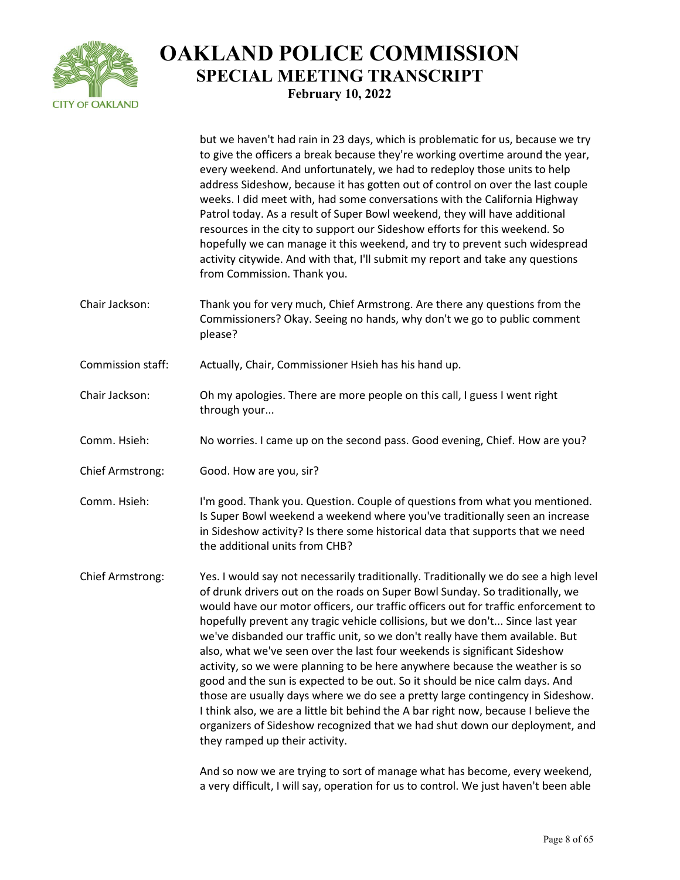

|                   | but we haven't had rain in 23 days, which is problematic for us, because we try<br>to give the officers a break because they're working overtime around the year,<br>every weekend. And unfortunately, we had to redeploy those units to help<br>address Sideshow, because it has gotten out of control on over the last couple<br>weeks. I did meet with, had some conversations with the California Highway<br>Patrol today. As a result of Super Bowl weekend, they will have additional<br>resources in the city to support our Sideshow efforts for this weekend. So<br>hopefully we can manage it this weekend, and try to prevent such widespread<br>activity citywide. And with that, I'll submit my report and take any questions<br>from Commission. Thank you.                                                                                                                                                                                         |
|-------------------|-------------------------------------------------------------------------------------------------------------------------------------------------------------------------------------------------------------------------------------------------------------------------------------------------------------------------------------------------------------------------------------------------------------------------------------------------------------------------------------------------------------------------------------------------------------------------------------------------------------------------------------------------------------------------------------------------------------------------------------------------------------------------------------------------------------------------------------------------------------------------------------------------------------------------------------------------------------------|
| Chair Jackson:    | Thank you for very much, Chief Armstrong. Are there any questions from the<br>Commissioners? Okay. Seeing no hands, why don't we go to public comment<br>please?                                                                                                                                                                                                                                                                                                                                                                                                                                                                                                                                                                                                                                                                                                                                                                                                  |
| Commission staff: | Actually, Chair, Commissioner Hsieh has his hand up.                                                                                                                                                                                                                                                                                                                                                                                                                                                                                                                                                                                                                                                                                                                                                                                                                                                                                                              |
| Chair Jackson:    | Oh my apologies. There are more people on this call, I guess I went right<br>through your                                                                                                                                                                                                                                                                                                                                                                                                                                                                                                                                                                                                                                                                                                                                                                                                                                                                         |
| Comm. Hsieh:      | No worries. I came up on the second pass. Good evening, Chief. How are you?                                                                                                                                                                                                                                                                                                                                                                                                                                                                                                                                                                                                                                                                                                                                                                                                                                                                                       |
| Chief Armstrong:  | Good. How are you, sir?                                                                                                                                                                                                                                                                                                                                                                                                                                                                                                                                                                                                                                                                                                                                                                                                                                                                                                                                           |
| Comm. Hsieh:      | I'm good. Thank you. Question. Couple of questions from what you mentioned.<br>Is Super Bowl weekend a weekend where you've traditionally seen an increase<br>in Sideshow activity? Is there some historical data that supports that we need<br>the additional units from CHB?                                                                                                                                                                                                                                                                                                                                                                                                                                                                                                                                                                                                                                                                                    |
| Chief Armstrong:  | Yes. I would say not necessarily traditionally. Traditionally we do see a high level<br>of drunk drivers out on the roads on Super Bowl Sunday. So traditionally, we<br>would have our motor officers, our traffic officers out for traffic enforcement to<br>hopefully prevent any tragic vehicle collisions, but we don't Since last year<br>we've disbanded our traffic unit, so we don't really have them available. But<br>also, what we've seen over the last four weekends is significant Sideshow<br>activity, so we were planning to be here anywhere because the weather is so<br>good and the sun is expected to be out. So it should be nice calm days. And<br>those are usually days where we do see a pretty large contingency in Sideshow.<br>I think also, we are a little bit behind the A bar right now, because I believe the<br>organizers of Sideshow recognized that we had shut down our deployment, and<br>they ramped up their activity. |
|                   | And so now we are trying to sort of manage what has become, every weekend,<br>a very difficult, I will say, operation for us to control. We just haven't been able                                                                                                                                                                                                                                                                                                                                                                                                                                                                                                                                                                                                                                                                                                                                                                                                |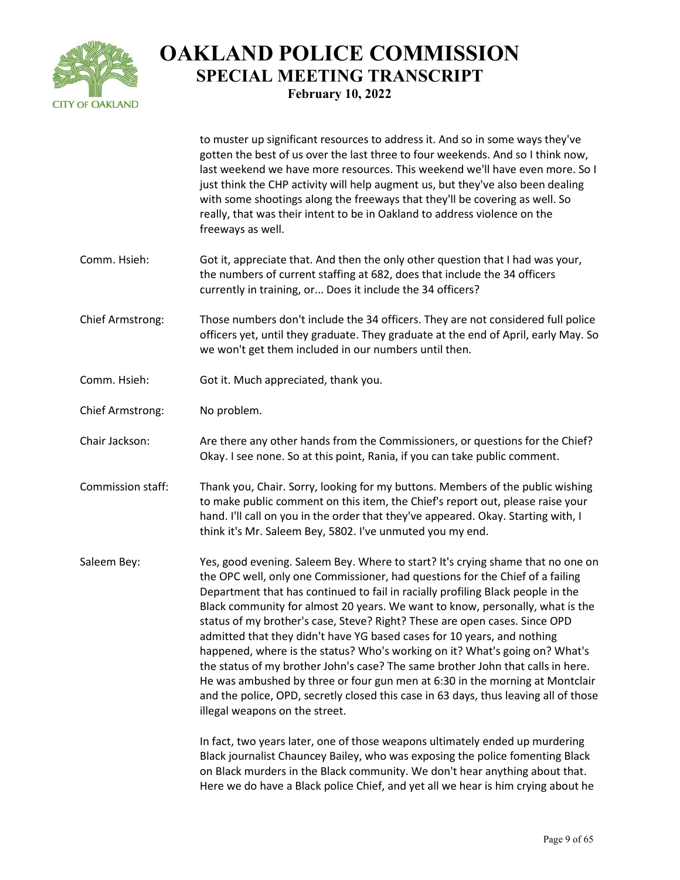

|                   | to muster up significant resources to address it. And so in some ways they've<br>gotten the best of us over the last three to four weekends. And so I think now,<br>last weekend we have more resources. This weekend we'll have even more. So I<br>just think the CHP activity will help augment us, but they've also been dealing<br>with some shootings along the freeways that they'll be covering as well. So<br>really, that was their intent to be in Oakland to address violence on the<br>freeways as well.                                                                                                                                                                                                                                                                                                                                                      |
|-------------------|---------------------------------------------------------------------------------------------------------------------------------------------------------------------------------------------------------------------------------------------------------------------------------------------------------------------------------------------------------------------------------------------------------------------------------------------------------------------------------------------------------------------------------------------------------------------------------------------------------------------------------------------------------------------------------------------------------------------------------------------------------------------------------------------------------------------------------------------------------------------------|
| Comm. Hsieh:      | Got it, appreciate that. And then the only other question that I had was your,<br>the numbers of current staffing at 682, does that include the 34 officers<br>currently in training, or Does it include the 34 officers?                                                                                                                                                                                                                                                                                                                                                                                                                                                                                                                                                                                                                                                 |
| Chief Armstrong:  | Those numbers don't include the 34 officers. They are not considered full police<br>officers yet, until they graduate. They graduate at the end of April, early May. So<br>we won't get them included in our numbers until then.                                                                                                                                                                                                                                                                                                                                                                                                                                                                                                                                                                                                                                          |
| Comm. Hsieh:      | Got it. Much appreciated, thank you.                                                                                                                                                                                                                                                                                                                                                                                                                                                                                                                                                                                                                                                                                                                                                                                                                                      |
| Chief Armstrong:  | No problem.                                                                                                                                                                                                                                                                                                                                                                                                                                                                                                                                                                                                                                                                                                                                                                                                                                                               |
| Chair Jackson:    | Are there any other hands from the Commissioners, or questions for the Chief?<br>Okay. I see none. So at this point, Rania, if you can take public comment.                                                                                                                                                                                                                                                                                                                                                                                                                                                                                                                                                                                                                                                                                                               |
| Commission staff: | Thank you, Chair. Sorry, looking for my buttons. Members of the public wishing<br>to make public comment on this item, the Chief's report out, please raise your<br>hand. I'll call on you in the order that they've appeared. Okay. Starting with, I<br>think it's Mr. Saleem Bey, 5802. I've unmuted you my end.                                                                                                                                                                                                                                                                                                                                                                                                                                                                                                                                                        |
| Saleem Bey:       | Yes, good evening. Saleem Bey. Where to start? It's crying shame that no one on<br>the OPC well, only one Commissioner, had questions for the Chief of a failing<br>Department that has continued to fail in racially profiling Black people in the<br>Black community for almost 20 years. We want to know, personally, what is the<br>status of my brother's case, Steve? Right? These are open cases. Since OPD<br>admitted that they didn't have YG based cases for 10 years, and nothing<br>happened, where is the status? Who's working on it? What's going on? What's<br>the status of my brother John's case? The same brother John that calls in here.<br>He was ambushed by three or four gun men at 6:30 in the morning at Montclair<br>and the police, OPD, secretly closed this case in 63 days, thus leaving all of those<br>illegal weapons on the street. |
|                   | In fact, two years later, one of those weapons ultimately ended up murdering<br>Black journalist Chauncey Bailey, who was exposing the police fomenting Black<br>on Black murders in the Black community. We don't hear anything about that.<br>Here we do have a Black police Chief, and yet all we hear is him crying about he                                                                                                                                                                                                                                                                                                                                                                                                                                                                                                                                          |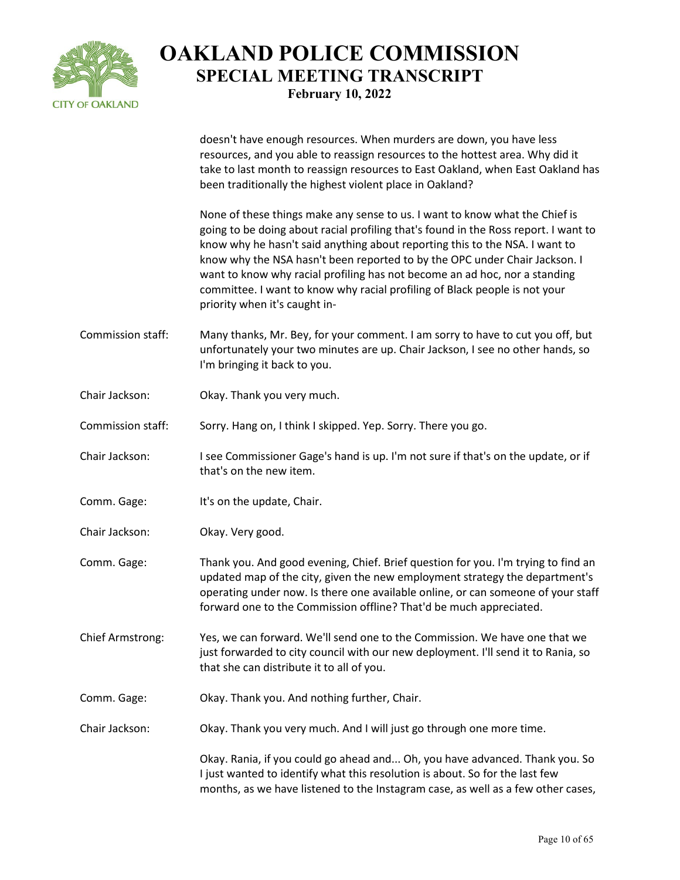

doesn't have enough resources. When murders are down, you have less resources, and you able to reassign resources to the hottest area. Why did it take to last month to reassign resources to East Oakland, when East Oakland has been traditionally the highest violent place in Oakland?

None of these things make any sense to us. I want to know what the Chief is going to be doing about racial profiling that's found in the Ross report. I want to know why he hasn't said anything about reporting this to the NSA. I want to know why the NSA hasn't been reported to by the OPC under Chair Jackson. I want to know why racial profiling has not become an ad hoc, nor a standing committee. I want to know why racial profiling of Black people is not your priority when it's caught in-

- Commission staff: Many thanks, Mr. Bey, for your comment. I am sorry to have to cut you off, but unfortunately your two minutes are up. Chair Jackson, I see no other hands, so I'm bringing it back to you.
- Chair Jackson: Okay. Thank you very much.

Commission staff: Sorry. Hang on, I think I skipped. Yep. Sorry. There you go.

- Chair Jackson: I see Commissioner Gage's hand is up. I'm not sure if that's on the update, or if that's on the new item.
- Comm. Gage: It's on the update, Chair.
- Chair Jackson: Okay. Very good.
- Comm. Gage: Thank you. And good evening, Chief. Brief question for you. I'm trying to find an updated map of the city, given the new employment strategy the department's operating under now. Is there one available online, or can someone of your staff forward one to the Commission offline? That'd be much appreciated.
- Chief Armstrong: Yes, we can forward. We'll send one to the Commission. We have one that we just forwarded to city council with our new deployment. I'll send it to Rania, so that she can distribute it to all of you.
- Comm. Gage: Okay. Thank you. And nothing further, Chair.
- Chair Jackson: Okay. Thank you very much. And I will just go through one more time.

Okay. Rania, if you could go ahead and... Oh, you have advanced. Thank you. So I just wanted to identify what this resolution is about. So for the last few months, as we have listened to the Instagram case, as well as a few other cases,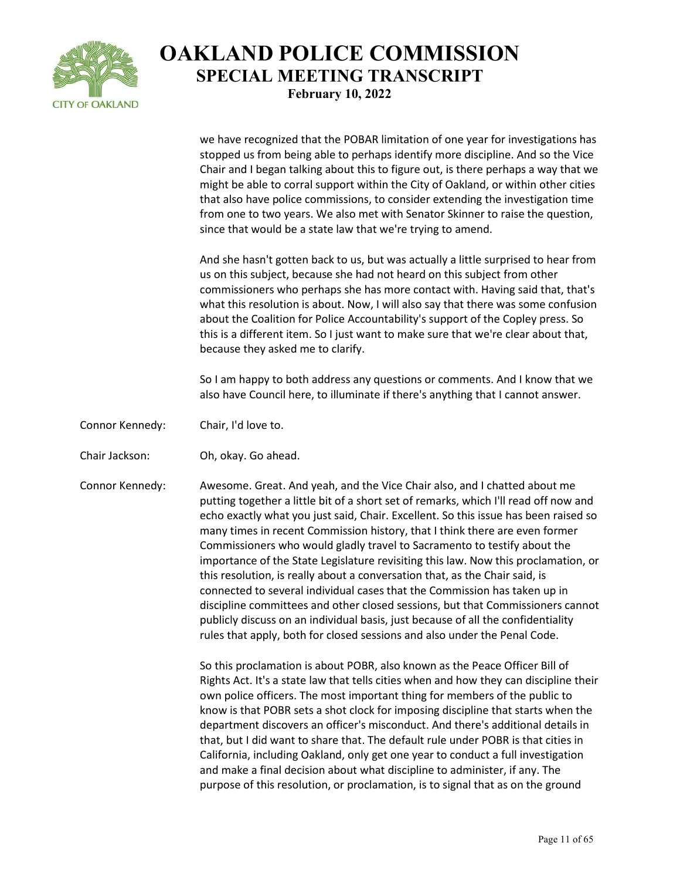

we have recognized that the POBAR limitation of one year for investigations has stopped us from being able to perhaps identify more discipline. And so the Vice Chair and I began talking about this to figure out, is there perhaps a way that we might be able to corral support within the City of Oakland, or within other cities that also have police commissions, to consider extending the investigation time from one to two years. We also met with Senator Skinner to raise the question, since that would be a state law that we're trying to amend.

And she hasn't gotten back to us, but was actually a little surprised to hear from us on this subject, because she had not heard on this subject from other commissioners who perhaps she has more contact with. Having said that, that's what this resolution is about. Now, I will also say that there was some confusion about the Coalition for Police Accountability's support of the Copley press. So this is a different item. So I just want to make sure that we're clear about that, because they asked me to clarify.

So I am happy to both address any questions or comments. And I know that we also have Council here, to illuminate if there's anything that I cannot answer.

- Connor Kennedy: Chair, I'd love to.
- Chair Jackson: Oh, okay. Go ahead.

Connor Kennedy: Awesome. Great. And yeah, and the Vice Chair also, and I chatted about me putting together a little bit of a short set of remarks, which I'll read off now and echo exactly what you just said, Chair. Excellent. So this issue has been raised so many times in recent Commission history, that I think there are even former Commissioners who would gladly travel to Sacramento to testify about the importance of the State Legislature revisiting this law. Now this proclamation, or this resolution, is really about a conversation that, as the Chair said, is connected to several individual cases that the Commission has taken up in discipline committees and other closed sessions, but that Commissioners cannot publicly discuss on an individual basis, just because of all the confidentiality rules that apply, both for closed sessions and also under the Penal Code.

> So this proclamation is about POBR, also known as the Peace Officer Bill of Rights Act. It's a state law that tells cities when and how they can discipline their own police officers. The most important thing for members of the public to know is that POBR sets a shot clock for imposing discipline that starts when the department discovers an officer's misconduct. And there's additional details in that, but I did want to share that. The default rule under POBR is that cities in California, including Oakland, only get one year to conduct a full investigation and make a final decision about what discipline to administer, if any. The purpose of this resolution, or proclamation, is to signal that as on the ground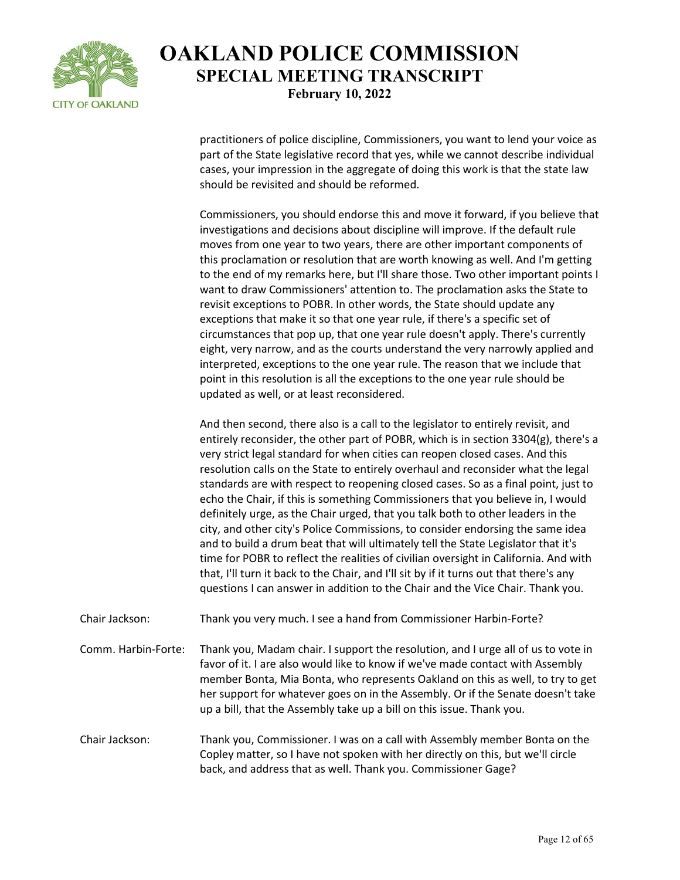

practitioners of police discipline, Commissioners, you want to lend your voice as part of the State legislative record that yes, while we cannot describe individual cases, your impression in the aggregate of doing this work is that the state law should be revisited and should be reformed.

Commissioners, you should endorse this and move it forward, if you believe that investigations and decisions about discipline will improve. If the default rule moves from one year to two years, there are other important components of this proclamation or resolution that are worth knowing as well. And I'm getting to the end of my remarks here, but I'll share those. Two other important points I want to draw Commissioners' attention to. The proclamation asks the State to revisit exceptions to POBR. In other words, the State should update any exceptions that make it so that one year rule, if there's a specific set of circumstances that pop up, that one year rule doesn't apply. There's currently eight, very narrow, and as the courts understand the very narrowly applied and interpreted, exceptions to the one year rule. The reason that we include that point in this resolution is all the exceptions to the one year rule should be updated as well, or at least reconsidered.

And then second, there also is a call to the legislator to entirely revisit, and entirely reconsider, the other part of POBR, which is in section 3304(g), there's a very strict legal standard for when cities can reopen closed cases. And this resolution calls on the State to entirely overhaul and reconsider what the legal standards are with respect to reopening closed cases. So as a final point, just to echo the Chair, if this is something Commissioners that you believe in, I would definitely urge, as the Chair urged, that you talk both to other leaders in the city, and other city's Police Commissions, to consider endorsing the same idea and to build a drum beat that will ultimately tell the State Legislator that it's time for POBR to reflect the realities of civilian oversight in California. And with that, I'll turn it back to the Chair, and I'll sit by if it turns out that there's any questions I can answer in addition to the Chair and the Vice Chair. Thank you.

Chair Jackson: Thank you very much. I see a hand from Commissioner Harbin-Forte?

Comm. Harbin-Forte: Thank you, Madam chair. I support the resolution, and I urge all of us to vote in favor of it. I are also would like to know if we've made contact with Assembly member Bonta, Mia Bonta, who represents Oakland on this as well, to try to get her support for whatever goes on in the Assembly. Or if the Senate doesn't take up a bill, that the Assembly take up a bill on this issue. Thank you.

Chair Jackson: Thank you, Commissioner. I was on a call with Assembly member Bonta on the Copley matter, so I have not spoken with her directly on this, but we'll circle back, and address that as well. Thank you. Commissioner Gage?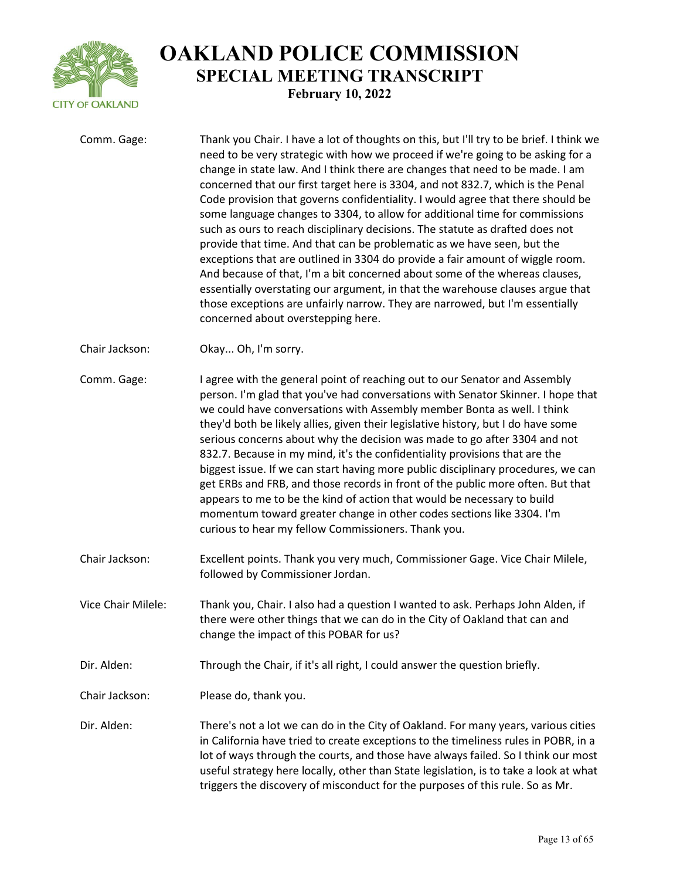

| Comm. Gage:        | Thank you Chair. I have a lot of thoughts on this, but I'll try to be brief. I think we<br>need to be very strategic with how we proceed if we're going to be asking for a<br>change in state law. And I think there are changes that need to be made. I am<br>concerned that our first target here is 3304, and not 832.7, which is the Penal<br>Code provision that governs confidentiality. I would agree that there should be<br>some language changes to 3304, to allow for additional time for commissions<br>such as ours to reach disciplinary decisions. The statute as drafted does not<br>provide that time. And that can be problematic as we have seen, but the<br>exceptions that are outlined in 3304 do provide a fair amount of wiggle room.<br>And because of that, I'm a bit concerned about some of the whereas clauses,<br>essentially overstating our argument, in that the warehouse clauses argue that<br>those exceptions are unfairly narrow. They are narrowed, but I'm essentially<br>concerned about overstepping here. |
|--------------------|------------------------------------------------------------------------------------------------------------------------------------------------------------------------------------------------------------------------------------------------------------------------------------------------------------------------------------------------------------------------------------------------------------------------------------------------------------------------------------------------------------------------------------------------------------------------------------------------------------------------------------------------------------------------------------------------------------------------------------------------------------------------------------------------------------------------------------------------------------------------------------------------------------------------------------------------------------------------------------------------------------------------------------------------------|
| Chair Jackson:     | Okay Oh, I'm sorry.                                                                                                                                                                                                                                                                                                                                                                                                                                                                                                                                                                                                                                                                                                                                                                                                                                                                                                                                                                                                                                  |
| Comm. Gage:        | I agree with the general point of reaching out to our Senator and Assembly<br>person. I'm glad that you've had conversations with Senator Skinner. I hope that<br>we could have conversations with Assembly member Bonta as well. I think<br>they'd both be likely allies, given their legislative history, but I do have some<br>serious concerns about why the decision was made to go after 3304 and not<br>832.7. Because in my mind, it's the confidentiality provisions that are the<br>biggest issue. If we can start having more public disciplinary procedures, we can<br>get ERBs and FRB, and those records in front of the public more often. But that<br>appears to me to be the kind of action that would be necessary to build<br>momentum toward greater change in other codes sections like 3304. I'm<br>curious to hear my fellow Commissioners. Thank you.                                                                                                                                                                        |
| Chair Jackson:     | Excellent points. Thank you very much, Commissioner Gage. Vice Chair Milele,<br>followed by Commissioner Jordan.                                                                                                                                                                                                                                                                                                                                                                                                                                                                                                                                                                                                                                                                                                                                                                                                                                                                                                                                     |
| Vice Chair Milele: | Thank you, Chair. I also had a question I wanted to ask. Perhaps John Alden, if<br>there were other things that we can do in the City of Oakland that can and<br>change the impact of this POBAR for us?                                                                                                                                                                                                                                                                                                                                                                                                                                                                                                                                                                                                                                                                                                                                                                                                                                             |
| Dir. Alden:        | Through the Chair, if it's all right, I could answer the question briefly.                                                                                                                                                                                                                                                                                                                                                                                                                                                                                                                                                                                                                                                                                                                                                                                                                                                                                                                                                                           |
| Chair Jackson:     | Please do, thank you.                                                                                                                                                                                                                                                                                                                                                                                                                                                                                                                                                                                                                                                                                                                                                                                                                                                                                                                                                                                                                                |
| Dir. Alden:        | There's not a lot we can do in the City of Oakland. For many years, various cities<br>in California have tried to create exceptions to the timeliness rules in POBR, in a<br>lot of ways through the courts, and those have always failed. So I think our most<br>useful strategy here locally, other than State legislation, is to take a look at what<br>triggers the discovery of misconduct for the purposes of this rule. So as Mr.                                                                                                                                                                                                                                                                                                                                                                                                                                                                                                                                                                                                             |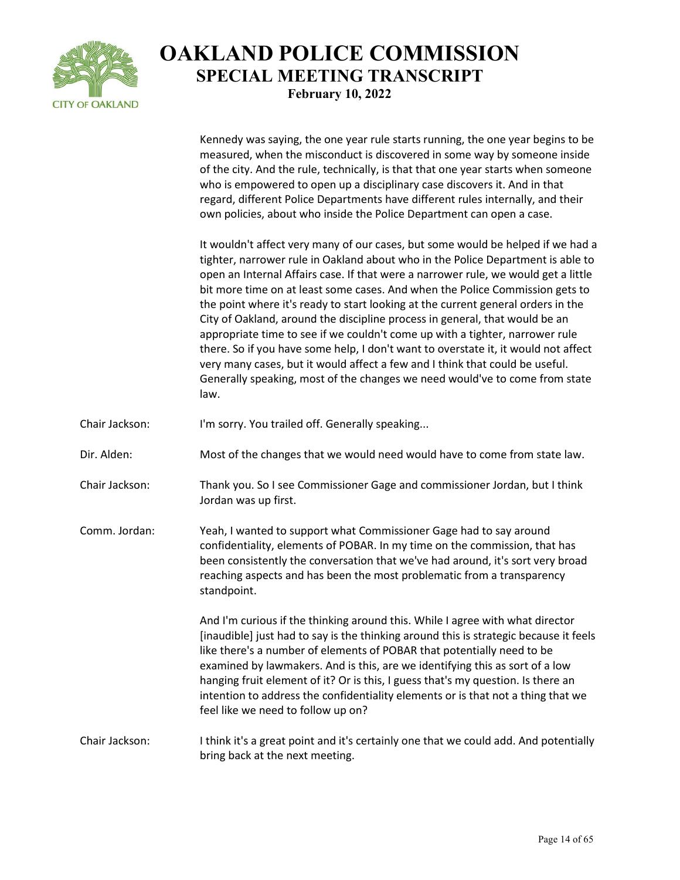

Kennedy was saying, the one year rule starts running, the one year begins to be measured, when the misconduct is discovered in some way by someone inside of the city. And the rule, technically, is that that one year starts when someone who is empowered to open up a disciplinary case discovers it. And in that regard, different Police Departments have different rules internally, and their own policies, about who inside the Police Department can open a case. It wouldn't affect very many of our cases, but some would be helped if we had a tighter, narrower rule in Oakland about who in the Police Department is able to open an Internal Affairs case. If that were a narrower rule, we would get a little bit more time on at least some cases. And when the Police Commission gets to the point where it's ready to start looking at the current general orders in the City of Oakland, around the discipline process in general, that would be an appropriate time to see if we couldn't come up with a tighter, narrower rule there. So if you have some help, I don't want to overstate it, it would not affect very many cases, but it would affect a few and I think that could be useful. Generally speaking, most of the changes we need would've to come from state

Chair Jackson: I'm sorry. You trailed off. Generally speaking...

law.

Dir. Alden: Most of the changes that we would need would have to come from state law.

Chair Jackson: Thank you. So I see Commissioner Gage and commissioner Jordan, but I think Jordan was up first.

Comm. Jordan: Yeah, I wanted to support what Commissioner Gage had to say around confidentiality, elements of POBAR. In my time on the commission, that has been consistently the conversation that we've had around, it's sort very broad reaching aspects and has been the most problematic from a transparency standpoint.

> And I'm curious if the thinking around this. While I agree with what director [inaudible] just had to say is the thinking around this is strategic because it feels like there's a number of elements of POBAR that potentially need to be examined by lawmakers. And is this, are we identifying this as sort of a low hanging fruit element of it? Or is this, I guess that's my question. Is there an intention to address the confidentiality elements or is that not a thing that we feel like we need to follow up on?

Chair Jackson: I think it's a great point and it's certainly one that we could add. And potentially bring back at the next meeting.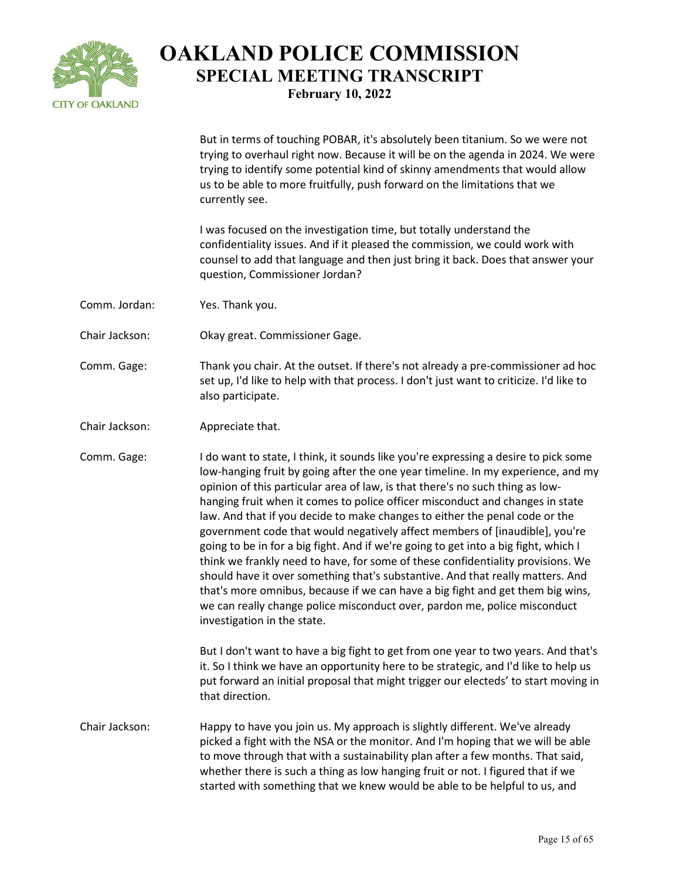

But in terms of touching POBAR, it's absolutely been titanium. So we were not trying to overhaul right now. Because it will be on the agenda in 2024. We were trying to identify some potential kind of skinny amendments that would allow

us to be able to more fruitfully, push forward on the limitations that we currently see. I was focused on the investigation time, but totally understand the confidentiality issues. And if it pleased the commission, we could work with counsel to add that language and then just bring it back. Does that answer your question, Commissioner Jordan? Comm. Jordan: Yes. Thank you. Chair Jackson: Okay great. Commissioner Gage. Comm. Gage: Thank you chair. At the outset. If there's not already a pre-commissioner ad hoc set up, I'd like to help with that process. I don't just want to criticize. I'd like to also participate. Chair Jackson: Appreciate that. Comm. Gage: I do want to state, I think, it sounds like you're expressing a desire to pick some low-hanging fruit by going after the one year timeline. In my experience, and my opinion of this particular area of law, is that there's no such thing as lowhanging fruit when it comes to police officer misconduct and changes in state law. And that if you decide to make changes to either the penal code or the government code that would negatively affect members of [inaudible], you're going to be in for a big fight. And if we're going to get into a big fight, which I think we frankly need to have, for some of these confidentiality provisions. We should have it over something that's substantive. And that really matters. And that's more omnibus, because if we can have a big fight and get them big wins, we can really change police misconduct over, pardon me, police misconduct investigation in the state. But I don't want to have a big fight to get from one year to two years. And that's it. So I think we have an opportunity here to be strategic, and I'd like to help us put forward an initial proposal that might trigger our electeds' to start moving in that direction. Chair Jackson: Happy to have you join us. My approach is slightly different. We've already picked a fight with the NSA or the monitor. And I'm hoping that we will be able to move through that with a sustainability plan after a few months. That said, whether there is such a thing as low hanging fruit or not. I figured that if we started with something that we knew would be able to be helpful to us, and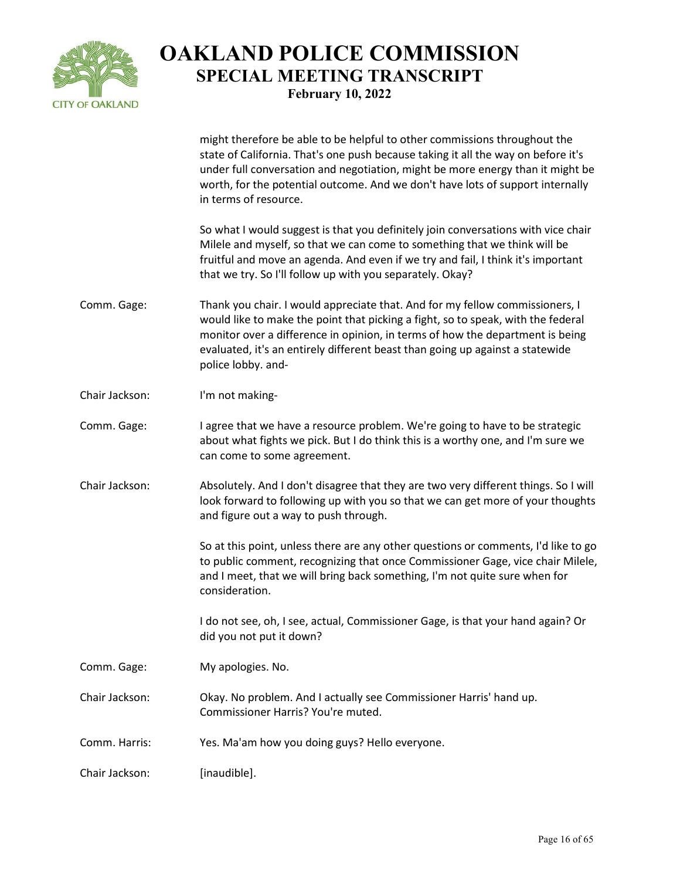

| Comm. Harris:  | Yes. Ma'am how you doing guys? Hello everyone.                                                                                                                                                                                                                                                                                                              |
|----------------|-------------------------------------------------------------------------------------------------------------------------------------------------------------------------------------------------------------------------------------------------------------------------------------------------------------------------------------------------------------|
| Chair Jackson: | Okay. No problem. And I actually see Commissioner Harris' hand up.<br>Commissioner Harris? You're muted.                                                                                                                                                                                                                                                    |
| Comm. Gage:    | My apologies. No.                                                                                                                                                                                                                                                                                                                                           |
|                | I do not see, oh, I see, actual, Commissioner Gage, is that your hand again? Or<br>did you not put it down?                                                                                                                                                                                                                                                 |
|                | So at this point, unless there are any other questions or comments, I'd like to go<br>to public comment, recognizing that once Commissioner Gage, vice chair Milele,<br>and I meet, that we will bring back something, I'm not quite sure when for<br>consideration.                                                                                        |
| Chair Jackson: | Absolutely. And I don't disagree that they are two very different things. So I will<br>look forward to following up with you so that we can get more of your thoughts<br>and figure out a way to push through.                                                                                                                                              |
| Comm. Gage:    | I agree that we have a resource problem. We're going to have to be strategic<br>about what fights we pick. But I do think this is a worthy one, and I'm sure we<br>can come to some agreement.                                                                                                                                                              |
| Chair Jackson: | I'm not making-                                                                                                                                                                                                                                                                                                                                             |
| Comm. Gage:    | Thank you chair. I would appreciate that. And for my fellow commissioners, I<br>would like to make the point that picking a fight, so to speak, with the federal<br>monitor over a difference in opinion, in terms of how the department is being<br>evaluated, it's an entirely different beast than going up against a statewide<br>police lobby. and-    |
|                | So what I would suggest is that you definitely join conversations with vice chair<br>Milele and myself, so that we can come to something that we think will be<br>fruitful and move an agenda. And even if we try and fail, I think it's important<br>that we try. So I'll follow up with you separately. Okay?                                             |
|                | might therefore be able to be helpful to other commissions throughout the<br>state of California. That's one push because taking it all the way on before it's<br>under full conversation and negotiation, might be more energy than it might be<br>worth, for the potential outcome. And we don't have lots of support internally<br>in terms of resource. |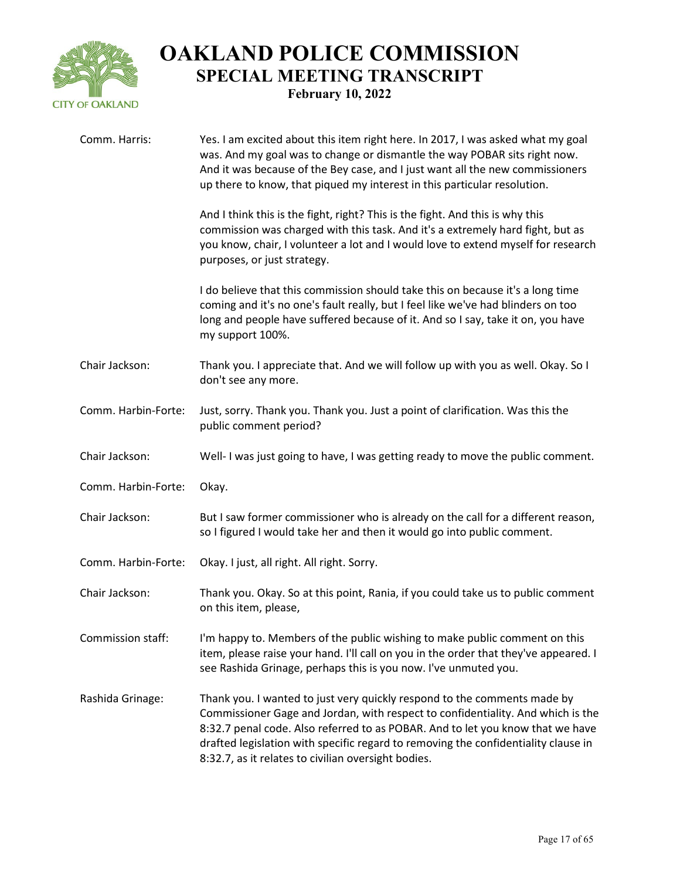

| Comm. Harris:       | Yes. I am excited about this item right here. In 2017, I was asked what my goal<br>was. And my goal was to change or dismantle the way POBAR sits right now.<br>And it was because of the Bey case, and I just want all the new commissioners<br>up there to know, that piqued my interest in this particular resolution.                                                                  |
|---------------------|--------------------------------------------------------------------------------------------------------------------------------------------------------------------------------------------------------------------------------------------------------------------------------------------------------------------------------------------------------------------------------------------|
|                     | And I think this is the fight, right? This is the fight. And this is why this<br>commission was charged with this task. And it's a extremely hard fight, but as<br>you know, chair, I volunteer a lot and I would love to extend myself for research<br>purposes, or just strategy.                                                                                                        |
|                     | I do believe that this commission should take this on because it's a long time<br>coming and it's no one's fault really, but I feel like we've had blinders on too<br>long and people have suffered because of it. And so I say, take it on, you have<br>my support 100%.                                                                                                                  |
| Chair Jackson:      | Thank you. I appreciate that. And we will follow up with you as well. Okay. So I<br>don't see any more.                                                                                                                                                                                                                                                                                    |
| Comm. Harbin-Forte: | Just, sorry. Thank you. Thank you. Just a point of clarification. Was this the<br>public comment period?                                                                                                                                                                                                                                                                                   |
| Chair Jackson:      | Well-I was just going to have, I was getting ready to move the public comment.                                                                                                                                                                                                                                                                                                             |
| Comm. Harbin-Forte: | Okay.                                                                                                                                                                                                                                                                                                                                                                                      |
| Chair Jackson:      | But I saw former commissioner who is already on the call for a different reason,<br>so I figured I would take her and then it would go into public comment.                                                                                                                                                                                                                                |
| Comm. Harbin-Forte: | Okay. I just, all right. All right. Sorry.                                                                                                                                                                                                                                                                                                                                                 |
| Chair Jackson:      | Thank you. Okay. So at this point, Rania, if you could take us to public comment<br>on this item, please,                                                                                                                                                                                                                                                                                  |
| Commission staff:   | I'm happy to. Members of the public wishing to make public comment on this<br>item, please raise your hand. I'll call on you in the order that they've appeared. I<br>see Rashida Grinage, perhaps this is you now. I've unmuted you.                                                                                                                                                      |
| Rashida Grinage:    | Thank you. I wanted to just very quickly respond to the comments made by<br>Commissioner Gage and Jordan, with respect to confidentiality. And which is the<br>8:32.7 penal code. Also referred to as POBAR. And to let you know that we have<br>drafted legislation with specific regard to removing the confidentiality clause in<br>8:32.7, as it relates to civilian oversight bodies. |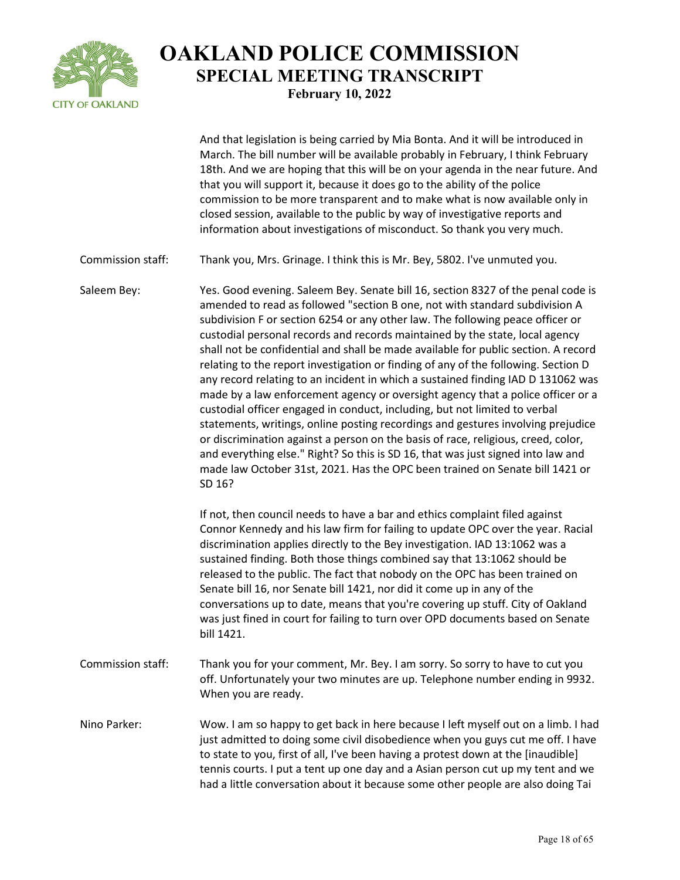

And that legislation is being carried by Mia Bonta. And it will be introduced in March. The bill number will be available probably in February, I think February 18th. And we are hoping that this will be on your agenda in the near future. And that you will support it, because it does go to the ability of the police commission to be more transparent and to make what is now available only in closed session, available to the public by way of investigative reports and information about investigations of misconduct. So thank you very much.

Commission staff: Thank you, Mrs. Grinage. I think this is Mr. Bey, 5802. I've unmuted you.

Saleem Bey: Yes. Good evening. Saleem Bey. Senate bill 16, section 8327 of the penal code is amended to read as followed "section B one, not with standard subdivision A subdivision F or section 6254 or any other law. The following peace officer or custodial personal records and records maintained by the state, local agency shall not be confidential and shall be made available for public section. A record relating to the report investigation or finding of any of the following. Section D any record relating to an incident in which a sustained finding IAD D 131062 was made by a law enforcement agency or oversight agency that a police officer or a custodial officer engaged in conduct, including, but not limited to verbal statements, writings, online posting recordings and gestures involving prejudice or discrimination against a person on the basis of race, religious, creed, color, and everything else." Right? So this is SD 16, that was just signed into law and made law October 31st, 2021. Has the OPC been trained on Senate bill 1421 or SD 16?

> If not, then council needs to have a bar and ethics complaint filed against Connor Kennedy and his law firm for failing to update OPC over the year. Racial discrimination applies directly to the Bey investigation. IAD 13:1062 was a sustained finding. Both those things combined say that 13:1062 should be released to the public. The fact that nobody on the OPC has been trained on Senate bill 16, nor Senate bill 1421, nor did it come up in any of the conversations up to date, means that you're covering up stuff. City of Oakland was just fined in court for failing to turn over OPD documents based on Senate bill 1421.

- Commission staff: Thank you for your comment, Mr. Bey. I am sorry. So sorry to have to cut you off. Unfortunately your two minutes are up. Telephone number ending in 9932. When you are ready.
- Nino Parker: Wow. I am so happy to get back in here because I left myself out on a limb. I had just admitted to doing some civil disobedience when you guys cut me off. I have to state to you, first of all, I've been having a protest down at the [inaudible] tennis courts. I put a tent up one day and a Asian person cut up my tent and we had a little conversation about it because some other people are also doing Tai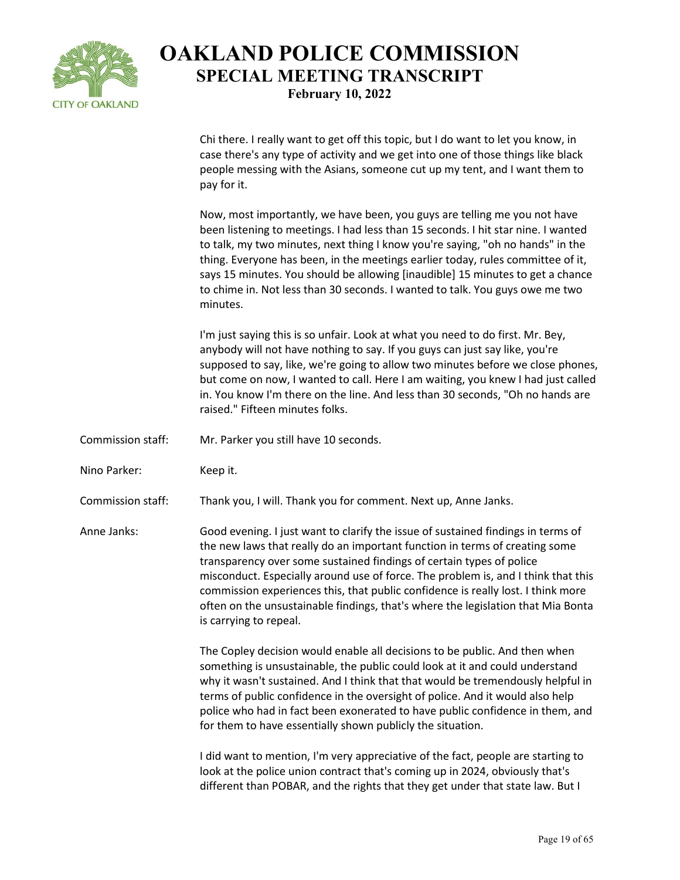

Chi there. I really want to get off this topic, but I do want to let you know, in case there's any type of activity and we get into one of those things like black people messing with the Asians, someone cut up my tent, and I want them to pay for it.

Now, most importantly, we have been, you guys are telling me you not have been listening to meetings. I had less than 15 seconds. I hit star nine. I wanted to talk, my two minutes, next thing I know you're saying, "oh no hands" in the thing. Everyone has been, in the meetings earlier today, rules committee of it, says 15 minutes. You should be allowing [inaudible] 15 minutes to get a chance to chime in. Not less than 30 seconds. I wanted to talk. You guys owe me two minutes.

I'm just saying this is so unfair. Look at what you need to do first. Mr. Bey, anybody will not have nothing to say. If you guys can just say like, you're supposed to say, like, we're going to allow two minutes before we close phones, but come on now, I wanted to call. Here I am waiting, you knew I had just called in. You know I'm there on the line. And less than 30 seconds, "Oh no hands are raised." Fifteen minutes folks.

- Commission staff: Mr. Parker you still have 10 seconds.
- Nino Parker: Keep it.

Commission staff: Thank you, I will. Thank you for comment. Next up, Anne Janks.

Anne Janks: Good evening. I just want to clarify the issue of sustained findings in terms of the new laws that really do an important function in terms of creating some transparency over some sustained findings of certain types of police misconduct. Especially around use of force. The problem is, and I think that this commission experiences this, that public confidence is really lost. I think more often on the unsustainable findings, that's where the legislation that Mia Bonta is carrying to repeal.

> The Copley decision would enable all decisions to be public. And then when something is unsustainable, the public could look at it and could understand why it wasn't sustained. And I think that that would be tremendously helpful in terms of public confidence in the oversight of police. And it would also help police who had in fact been exonerated to have public confidence in them, and for them to have essentially shown publicly the situation.

I did want to mention, I'm very appreciative of the fact, people are starting to look at the police union contract that's coming up in 2024, obviously that's different than POBAR, and the rights that they get under that state law. But I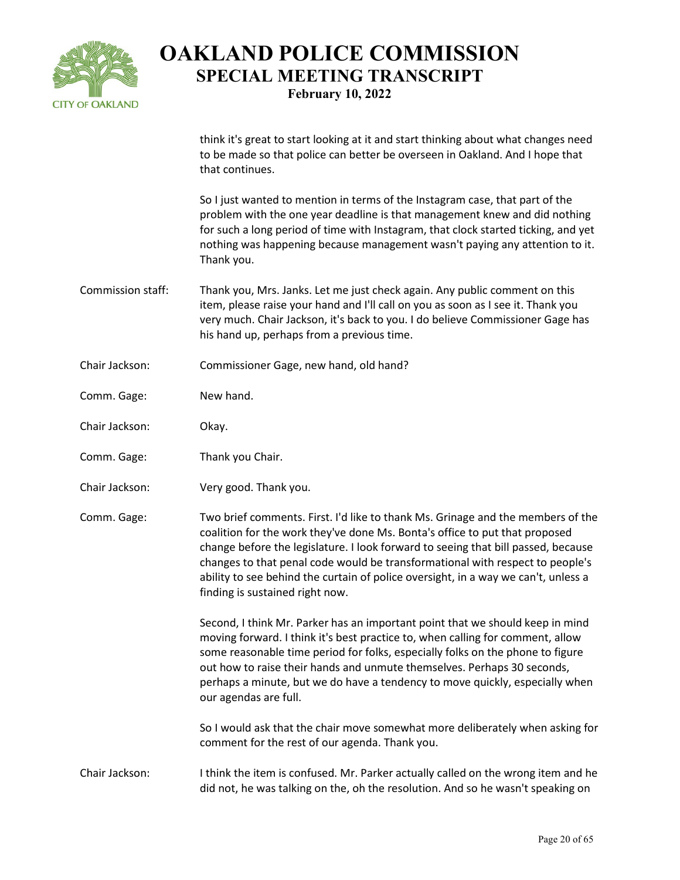

think it's great to start looking at it and start thinking about what changes need to be made so that police can better be overseen in Oakland. And I hope that that continues.

So I just wanted to mention in terms of the Instagram case, that part of the problem with the one year deadline is that management knew and did nothing for such a long period of time with Instagram, that clock started ticking, and yet nothing was happening because management wasn't paying any attention to it. Thank you.

- Commission staff: Thank you, Mrs. Janks. Let me just check again. Any public comment on this item, please raise your hand and I'll call on you as soon as I see it. Thank you very much. Chair Jackson, it's back to you. I do believe Commissioner Gage has his hand up, perhaps from a previous time.
- Chair Jackson: Commissioner Gage, new hand, old hand?
- Comm. Gage: New hand.
- Chair Jackson: Okay.
- Comm. Gage: Thank you Chair.
- Chair Jackson: Very good. Thank you.

Comm. Gage: Two brief comments. First. I'd like to thank Ms. Grinage and the members of the coalition for the work they've done Ms. Bonta's office to put that proposed change before the legislature. I look forward to seeing that bill passed, because changes to that penal code would be transformational with respect to people's ability to see behind the curtain of police oversight, in a way we can't, unless a finding is sustained right now.

> Second, I think Mr. Parker has an important point that we should keep in mind moving forward. I think it's best practice to, when calling for comment, allow some reasonable time period for folks, especially folks on the phone to figure out how to raise their hands and unmute themselves. Perhaps 30 seconds, perhaps a minute, but we do have a tendency to move quickly, especially when our agendas are full.

So I would ask that the chair move somewhat more deliberately when asking for comment for the rest of our agenda. Thank you.

Chair Jackson: I think the item is confused. Mr. Parker actually called on the wrong item and he did not, he was talking on the, oh the resolution. And so he wasn't speaking on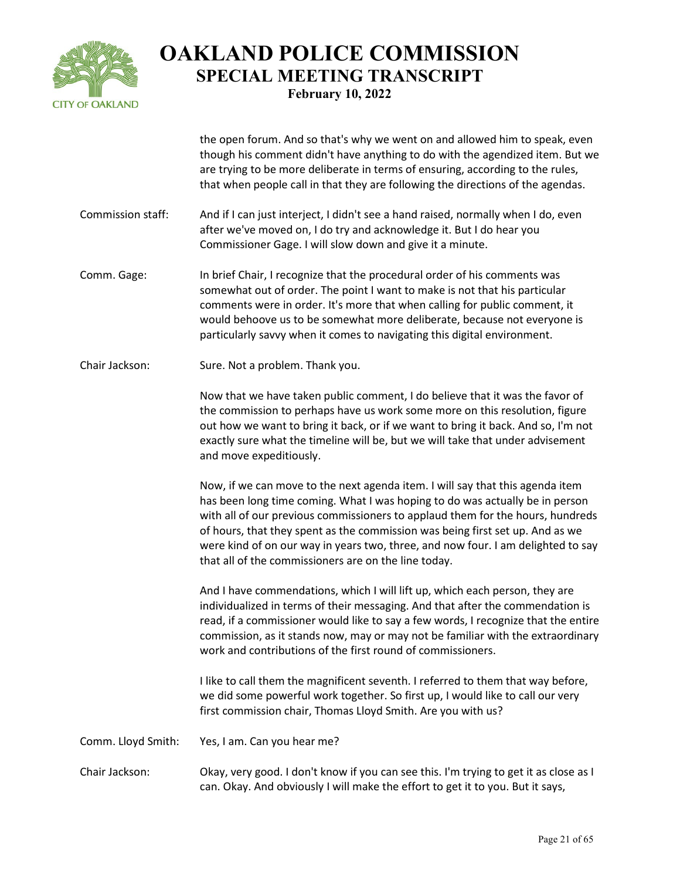

the open forum. And so that's why we went on and allowed him to speak, even though his comment didn't have anything to do with the agendized item. But we are trying to be more deliberate in terms of ensuring, according to the rules, that when people call in that they are following the directions of the agendas.

- Commission staff: And if I can just interject, I didn't see a hand raised, normally when I do, even after we've moved on, I do try and acknowledge it. But I do hear you Commissioner Gage. I will slow down and give it a minute.
- Comm. Gage: In brief Chair, I recognize that the procedural order of his comments was somewhat out of order. The point I want to make is not that his particular comments were in order. It's more that when calling for public comment, it would behoove us to be somewhat more deliberate, because not everyone is particularly savvy when it comes to navigating this digital environment.
- Chair Jackson: Sure. Not a problem. Thank you.

Now that we have taken public comment, I do believe that it was the favor of the commission to perhaps have us work some more on this resolution, figure out how we want to bring it back, or if we want to bring it back. And so, I'm not exactly sure what the timeline will be, but we will take that under advisement and move expeditiously.

Now, if we can move to the next agenda item. I will say that this agenda item has been long time coming. What I was hoping to do was actually be in person with all of our previous commissioners to applaud them for the hours, hundreds of hours, that they spent as the commission was being first set up. And as we were kind of on our way in years two, three, and now four. I am delighted to say that all of the commissioners are on the line today.

And I have commendations, which I will lift up, which each person, they are individualized in terms of their messaging. And that after the commendation is read, if a commissioner would like to say a few words, I recognize that the entire commission, as it stands now, may or may not be familiar with the extraordinary work and contributions of the first round of commissioners.

I like to call them the magnificent seventh. I referred to them that way before, we did some powerful work together. So first up, I would like to call our very first commission chair, Thomas Lloyd Smith. Are you with us?

Comm. Lloyd Smith: Yes, I am. Can you hear me?

Chair Jackson: Okay, very good. I don't know if you can see this. I'm trying to get it as close as I can. Okay. And obviously I will make the effort to get it to you. But it says,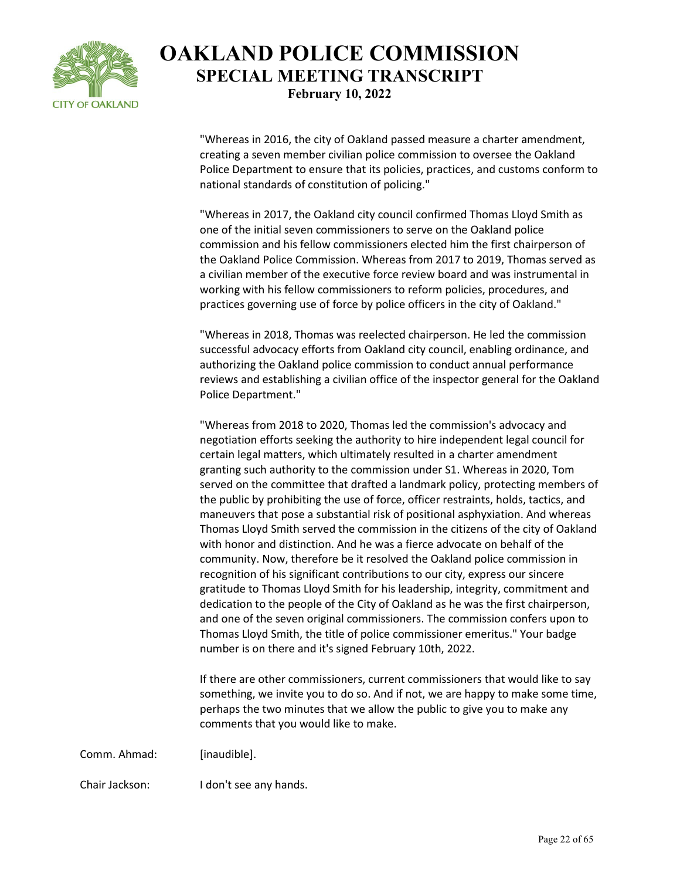

"Whereas in 2016, the city of Oakland passed measure a charter amendment, creating a seven member civilian police commission to oversee the Oakland Police Department to ensure that its policies, practices, and customs conform to national standards of constitution of policing."

"Whereas in 2017, the Oakland city council confirmed Thomas Lloyd Smith as one of the initial seven commissioners to serve on the Oakland police commission and his fellow commissioners elected him the first chairperson of the Oakland Police Commission. Whereas from 2017 to 2019, Thomas served as a civilian member of the executive force review board and was instrumental in working with his fellow commissioners to reform policies, procedures, and practices governing use of force by police officers in the city of Oakland."

"Whereas in 2018, Thomas was reelected chairperson. He led the commission successful advocacy efforts from Oakland city council, enabling ordinance, and authorizing the Oakland police commission to conduct annual performance reviews and establishing a civilian office of the inspector general for the Oakland Police Department."

"Whereas from 2018 to 2020, Thomas led the commission's advocacy and negotiation efforts seeking the authority to hire independent legal council for certain legal matters, which ultimately resulted in a charter amendment granting such authority to the commission under S1. Whereas in 2020, Tom served on the committee that drafted a landmark policy, protecting members of the public by prohibiting the use of force, officer restraints, holds, tactics, and maneuvers that pose a substantial risk of positional asphyxiation. And whereas Thomas Lloyd Smith served the commission in the citizens of the city of Oakland with honor and distinction. And he was a fierce advocate on behalf of the community. Now, therefore be it resolved the Oakland police commission in recognition of his significant contributions to our city, express our sincere gratitude to Thomas Lloyd Smith for his leadership, integrity, commitment and dedication to the people of the City of Oakland as he was the first chairperson, and one of the seven original commissioners. The commission confers upon to Thomas Lloyd Smith, the title of police commissioner emeritus." Your badge number is on there and it's signed February 10th, 2022.

If there are other commissioners, current commissioners that would like to say something, we invite you to do so. And if not, we are happy to make some time, perhaps the two minutes that we allow the public to give you to make any comments that you would like to make.

Comm. Ahmad: [inaudible].

Chair Jackson: I don't see any hands.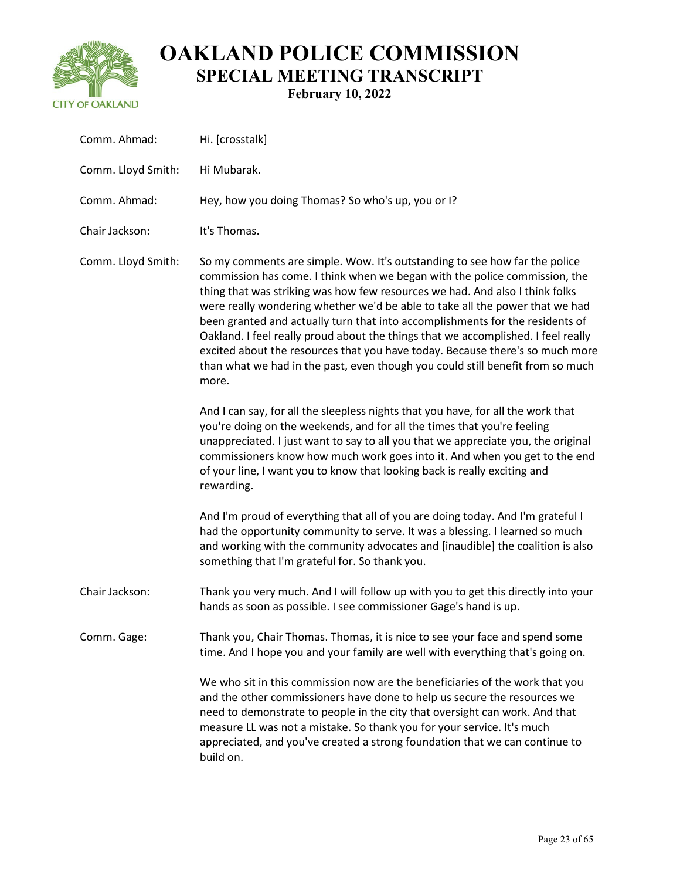

| Comm. Ahmad:       | Hi. [crosstalk]                                                                                                                                                                                                                                                                                                                                                                                                                                                                                                                                                                                                                                                            |
|--------------------|----------------------------------------------------------------------------------------------------------------------------------------------------------------------------------------------------------------------------------------------------------------------------------------------------------------------------------------------------------------------------------------------------------------------------------------------------------------------------------------------------------------------------------------------------------------------------------------------------------------------------------------------------------------------------|
| Comm. Lloyd Smith: | Hi Mubarak.                                                                                                                                                                                                                                                                                                                                                                                                                                                                                                                                                                                                                                                                |
| Comm. Ahmad:       | Hey, how you doing Thomas? So who's up, you or I?                                                                                                                                                                                                                                                                                                                                                                                                                                                                                                                                                                                                                          |
| Chair Jackson:     | It's Thomas.                                                                                                                                                                                                                                                                                                                                                                                                                                                                                                                                                                                                                                                               |
| Comm. Lloyd Smith: | So my comments are simple. Wow. It's outstanding to see how far the police<br>commission has come. I think when we began with the police commission, the<br>thing that was striking was how few resources we had. And also I think folks<br>were really wondering whether we'd be able to take all the power that we had<br>been granted and actually turn that into accomplishments for the residents of<br>Oakland. I feel really proud about the things that we accomplished. I feel really<br>excited about the resources that you have today. Because there's so much more<br>than what we had in the past, even though you could still benefit from so much<br>more. |
|                    | And I can say, for all the sleepless nights that you have, for all the work that<br>you're doing on the weekends, and for all the times that you're feeling<br>unappreciated. I just want to say to all you that we appreciate you, the original<br>commissioners know how much work goes into it. And when you get to the end<br>of your line, I want you to know that looking back is really exciting and<br>rewarding.                                                                                                                                                                                                                                                  |
|                    | And I'm proud of everything that all of you are doing today. And I'm grateful I<br>had the opportunity community to serve. It was a blessing. I learned so much<br>and working with the community advocates and [inaudible] the coalition is also<br>something that I'm grateful for. So thank you.                                                                                                                                                                                                                                                                                                                                                                        |
| Chair Jackson:     | Thank you very much. And I will follow up with you to get this directly into your<br>hands as soon as possible. I see commissioner Gage's hand is up.                                                                                                                                                                                                                                                                                                                                                                                                                                                                                                                      |
| Comm. Gage:        | Thank you, Chair Thomas. Thomas, it is nice to see your face and spend some<br>time. And I hope you and your family are well with everything that's going on.                                                                                                                                                                                                                                                                                                                                                                                                                                                                                                              |
|                    | We who sit in this commission now are the beneficiaries of the work that you<br>and the other commissioners have done to help us secure the resources we<br>need to demonstrate to people in the city that oversight can work. And that<br>measure LL was not a mistake. So thank you for your service. It's much<br>appreciated, and you've created a strong foundation that we can continue to<br>build on.                                                                                                                                                                                                                                                              |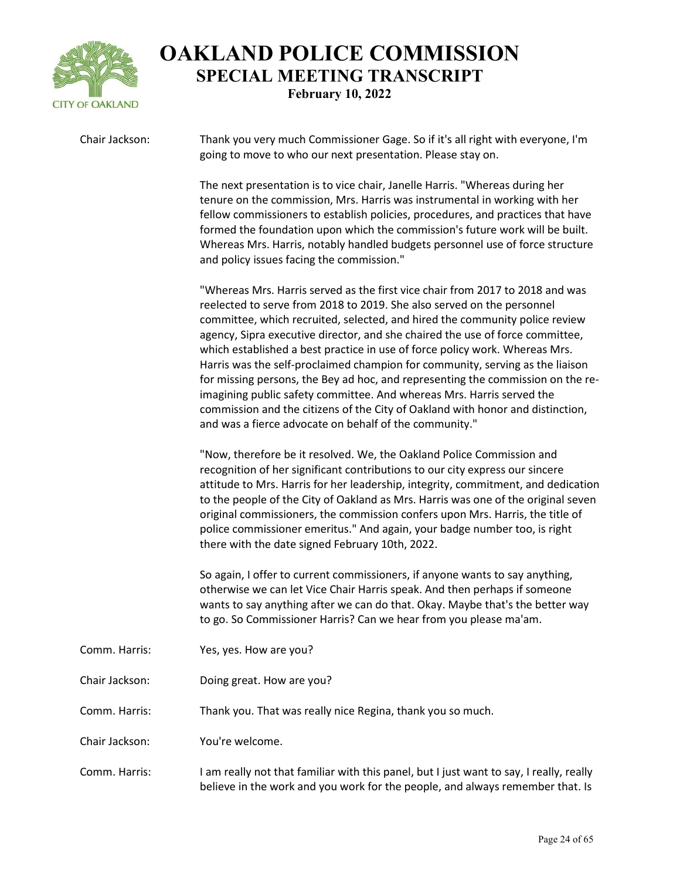

| Chair Jackson: | Thank you very much Commissioner Gage. So if it's all right with everyone, I'm<br>going to move to who our next presentation. Please stay on.                                                                                                                                                                                                                                                                                                                                                                                                                                                                                                                                                                                                                                                   |
|----------------|-------------------------------------------------------------------------------------------------------------------------------------------------------------------------------------------------------------------------------------------------------------------------------------------------------------------------------------------------------------------------------------------------------------------------------------------------------------------------------------------------------------------------------------------------------------------------------------------------------------------------------------------------------------------------------------------------------------------------------------------------------------------------------------------------|
|                | The next presentation is to vice chair, Janelle Harris. "Whereas during her<br>tenure on the commission, Mrs. Harris was instrumental in working with her<br>fellow commissioners to establish policies, procedures, and practices that have<br>formed the foundation upon which the commission's future work will be built.<br>Whereas Mrs. Harris, notably handled budgets personnel use of force structure<br>and policy issues facing the commission."                                                                                                                                                                                                                                                                                                                                      |
|                | "Whereas Mrs. Harris served as the first vice chair from 2017 to 2018 and was<br>reelected to serve from 2018 to 2019. She also served on the personnel<br>committee, which recruited, selected, and hired the community police review<br>agency, Sipra executive director, and she chaired the use of force committee,<br>which established a best practice in use of force policy work. Whereas Mrs.<br>Harris was the self-proclaimed champion for community, serving as the liaison<br>for missing persons, the Bey ad hoc, and representing the commission on the re-<br>imagining public safety committee. And whereas Mrs. Harris served the<br>commission and the citizens of the City of Oakland with honor and distinction,<br>and was a fierce advocate on behalf of the community." |
|                | "Now, therefore be it resolved. We, the Oakland Police Commission and<br>recognition of her significant contributions to our city express our sincere<br>attitude to Mrs. Harris for her leadership, integrity, commitment, and dedication<br>to the people of the City of Oakland as Mrs. Harris was one of the original seven<br>original commissioners, the commission confers upon Mrs. Harris, the title of<br>police commissioner emeritus." And again, your badge number too, is right<br>there with the date signed February 10th, 2022.                                                                                                                                                                                                                                                |
|                | So again, I offer to current commissioners, if anyone wants to say anything,<br>otherwise we can let Vice Chair Harris speak. And then perhaps if someone<br>wants to say anything after we can do that. Okay. Maybe that's the better way<br>to go. So Commissioner Harris? Can we hear from you please ma'am.                                                                                                                                                                                                                                                                                                                                                                                                                                                                                 |
| Comm. Harris:  | Yes, yes. How are you?                                                                                                                                                                                                                                                                                                                                                                                                                                                                                                                                                                                                                                                                                                                                                                          |
| Chair Jackson: | Doing great. How are you?                                                                                                                                                                                                                                                                                                                                                                                                                                                                                                                                                                                                                                                                                                                                                                       |
| Comm. Harris:  | Thank you. That was really nice Regina, thank you so much.                                                                                                                                                                                                                                                                                                                                                                                                                                                                                                                                                                                                                                                                                                                                      |
| Chair Jackson: | You're welcome.                                                                                                                                                                                                                                                                                                                                                                                                                                                                                                                                                                                                                                                                                                                                                                                 |
| Comm. Harris:  | I am really not that familiar with this panel, but I just want to say, I really, really<br>believe in the work and you work for the people, and always remember that. Is                                                                                                                                                                                                                                                                                                                                                                                                                                                                                                                                                                                                                        |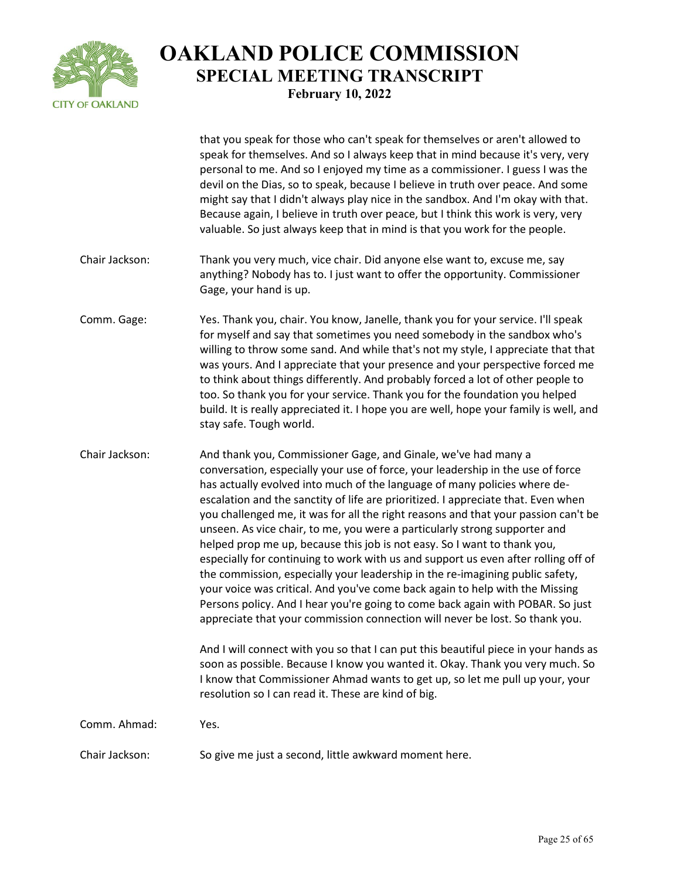

|                | that you speak for those who can't speak for themselves or aren't allowed to<br>speak for themselves. And so I always keep that in mind because it's very, very<br>personal to me. And so I enjoyed my time as a commissioner. I guess I was the<br>devil on the Dias, so to speak, because I believe in truth over peace. And some<br>might say that I didn't always play nice in the sandbox. And I'm okay with that.<br>Because again, I believe in truth over peace, but I think this work is very, very<br>valuable. So just always keep that in mind is that you work for the people.                                                                                                                                                                                                                                                                                                                                                                                                                                                                                         |
|----------------|-------------------------------------------------------------------------------------------------------------------------------------------------------------------------------------------------------------------------------------------------------------------------------------------------------------------------------------------------------------------------------------------------------------------------------------------------------------------------------------------------------------------------------------------------------------------------------------------------------------------------------------------------------------------------------------------------------------------------------------------------------------------------------------------------------------------------------------------------------------------------------------------------------------------------------------------------------------------------------------------------------------------------------------------------------------------------------------|
| Chair Jackson: | Thank you very much, vice chair. Did anyone else want to, excuse me, say<br>anything? Nobody has to. I just want to offer the opportunity. Commissioner<br>Gage, your hand is up.                                                                                                                                                                                                                                                                                                                                                                                                                                                                                                                                                                                                                                                                                                                                                                                                                                                                                                   |
| Comm. Gage:    | Yes. Thank you, chair. You know, Janelle, thank you for your service. I'll speak<br>for myself and say that sometimes you need somebody in the sandbox who's<br>willing to throw some sand. And while that's not my style, I appreciate that that<br>was yours. And I appreciate that your presence and your perspective forced me<br>to think about things differently. And probably forced a lot of other people to<br>too. So thank you for your service. Thank you for the foundation you helped<br>build. It is really appreciated it. I hope you are well, hope your family is well, and<br>stay safe. Tough world.                                                                                                                                                                                                                                                                                                                                                                                                                                                           |
| Chair Jackson: | And thank you, Commissioner Gage, and Ginale, we've had many a<br>conversation, especially your use of force, your leadership in the use of force<br>has actually evolved into much of the language of many policies where de-<br>escalation and the sanctity of life are prioritized. I appreciate that. Even when<br>you challenged me, it was for all the right reasons and that your passion can't be<br>unseen. As vice chair, to me, you were a particularly strong supporter and<br>helped prop me up, because this job is not easy. So I want to thank you,<br>especially for continuing to work with us and support us even after rolling off of<br>the commission, especially your leadership in the re-imagining public safety,<br>your voice was critical. And you've come back again to help with the Missing<br>Persons policy. And I hear you're going to come back again with POBAR. So just<br>appreciate that your commission connection will never be lost. So thank you.<br>And I will connect with you so that I can put this beautiful piece in your hands as |
|                | soon as possible. Because I know you wanted it. Okay. Thank you very much. So<br>I know that Commissioner Ahmad wants to get up, so let me pull up your, your<br>resolution so I can read it. These are kind of big.                                                                                                                                                                                                                                                                                                                                                                                                                                                                                                                                                                                                                                                                                                                                                                                                                                                                |
| Comm. Ahmad:   | Yes.                                                                                                                                                                                                                                                                                                                                                                                                                                                                                                                                                                                                                                                                                                                                                                                                                                                                                                                                                                                                                                                                                |
| Chair Jackson: | So give me just a second, little awkward moment here.                                                                                                                                                                                                                                                                                                                                                                                                                                                                                                                                                                                                                                                                                                                                                                                                                                                                                                                                                                                                                               |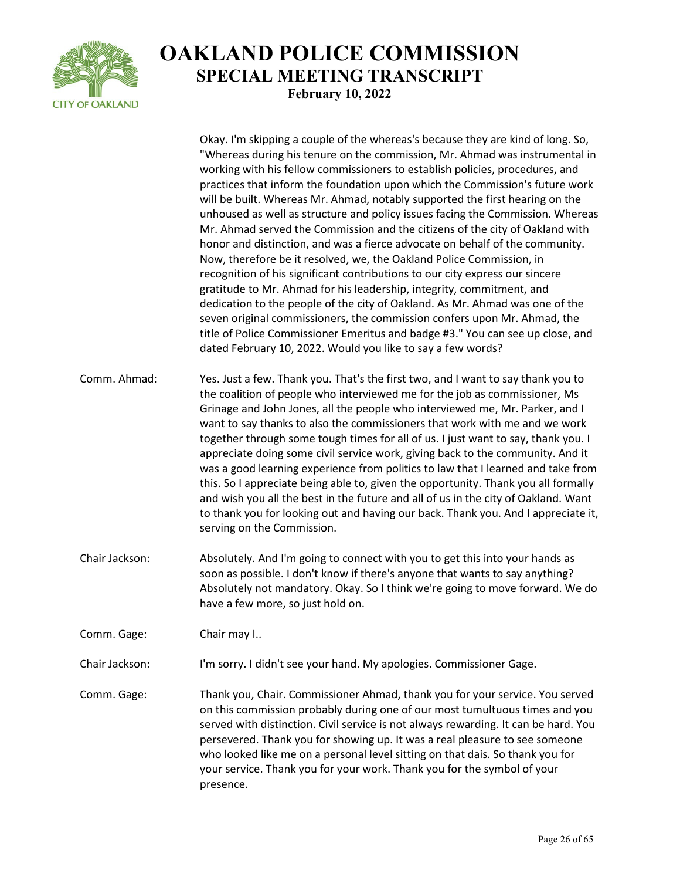

|                | Okay. I'm skipping a couple of the whereas's because they are kind of long. So,<br>"Whereas during his tenure on the commission, Mr. Ahmad was instrumental in<br>working with his fellow commissioners to establish policies, procedures, and<br>practices that inform the foundation upon which the Commission's future work<br>will be built. Whereas Mr. Ahmad, notably supported the first hearing on the<br>unhoused as well as structure and policy issues facing the Commission. Whereas<br>Mr. Ahmad served the Commission and the citizens of the city of Oakland with<br>honor and distinction, and was a fierce advocate on behalf of the community.<br>Now, therefore be it resolved, we, the Oakland Police Commission, in<br>recognition of his significant contributions to our city express our sincere<br>gratitude to Mr. Ahmad for his leadership, integrity, commitment, and<br>dedication to the people of the city of Oakland. As Mr. Ahmad was one of the<br>seven original commissioners, the commission confers upon Mr. Ahmad, the<br>title of Police Commissioner Emeritus and badge #3." You can see up close, and<br>dated February 10, 2022. Would you like to say a few words? |
|----------------|----------------------------------------------------------------------------------------------------------------------------------------------------------------------------------------------------------------------------------------------------------------------------------------------------------------------------------------------------------------------------------------------------------------------------------------------------------------------------------------------------------------------------------------------------------------------------------------------------------------------------------------------------------------------------------------------------------------------------------------------------------------------------------------------------------------------------------------------------------------------------------------------------------------------------------------------------------------------------------------------------------------------------------------------------------------------------------------------------------------------------------------------------------------------------------------------------------------|
| Comm. Ahmad:   | Yes. Just a few. Thank you. That's the first two, and I want to say thank you to<br>the coalition of people who interviewed me for the job as commissioner, Ms<br>Grinage and John Jones, all the people who interviewed me, Mr. Parker, and I<br>want to say thanks to also the commissioners that work with me and we work<br>together through some tough times for all of us. I just want to say, thank you. I<br>appreciate doing some civil service work, giving back to the community. And it<br>was a good learning experience from politics to law that I learned and take from<br>this. So I appreciate being able to, given the opportunity. Thank you all formally<br>and wish you all the best in the future and all of us in the city of Oakland. Want<br>to thank you for looking out and having our back. Thank you. And I appreciate it,<br>serving on the Commission.                                                                                                                                                                                                                                                                                                                         |
| Chair Jackson: | Absolutely. And I'm going to connect with you to get this into your hands as<br>soon as possible. I don't know if there's anyone that wants to say anything?<br>Absolutely not mandatory. Okay. So I think we're going to move forward. We do<br>have a few more, so just hold on.                                                                                                                                                                                                                                                                                                                                                                                                                                                                                                                                                                                                                                                                                                                                                                                                                                                                                                                             |
| Comm. Gage:    | Chair may I                                                                                                                                                                                                                                                                                                                                                                                                                                                                                                                                                                                                                                                                                                                                                                                                                                                                                                                                                                                                                                                                                                                                                                                                    |
| Chair Jackson: | I'm sorry. I didn't see your hand. My apologies. Commissioner Gage.                                                                                                                                                                                                                                                                                                                                                                                                                                                                                                                                                                                                                                                                                                                                                                                                                                                                                                                                                                                                                                                                                                                                            |
| Comm. Gage:    | Thank you, Chair. Commissioner Ahmad, thank you for your service. You served<br>on this commission probably during one of our most tumultuous times and you<br>served with distinction. Civil service is not always rewarding. It can be hard. You<br>persevered. Thank you for showing up. It was a real pleasure to see someone<br>who looked like me on a personal level sitting on that dais. So thank you for<br>your service. Thank you for your work. Thank you for the symbol of your<br>presence.                                                                                                                                                                                                                                                                                                                                                                                                                                                                                                                                                                                                                                                                                                     |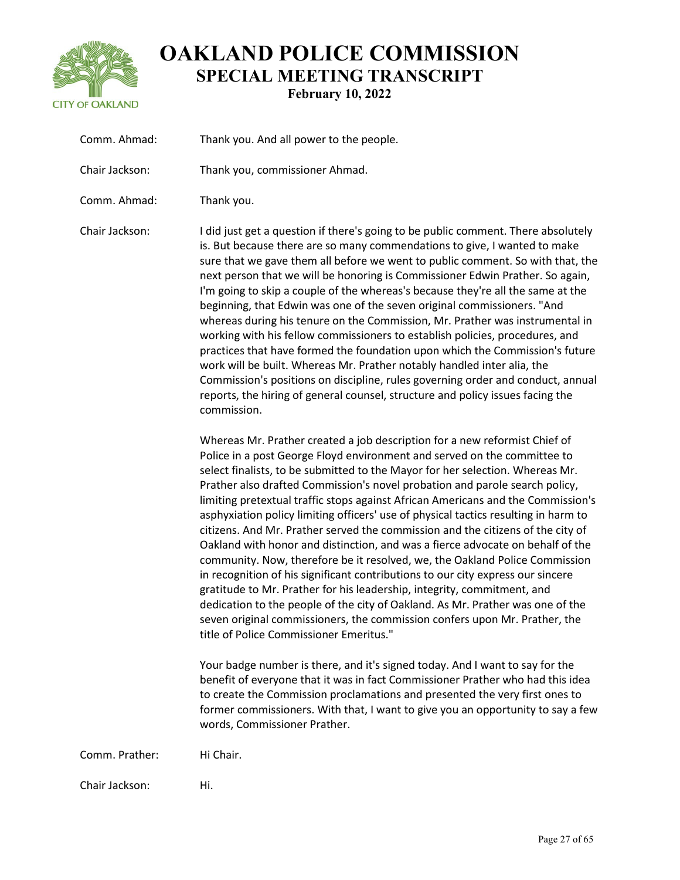

| Comm. Ahmad:   | Thank you. And all power to the people.                                                                                                                                                                                                                                                                                                                                                                                                                                                                                                                                                                                                                                                                                                                                                                                                                                                                                                                                                                                                                                                                                        |
|----------------|--------------------------------------------------------------------------------------------------------------------------------------------------------------------------------------------------------------------------------------------------------------------------------------------------------------------------------------------------------------------------------------------------------------------------------------------------------------------------------------------------------------------------------------------------------------------------------------------------------------------------------------------------------------------------------------------------------------------------------------------------------------------------------------------------------------------------------------------------------------------------------------------------------------------------------------------------------------------------------------------------------------------------------------------------------------------------------------------------------------------------------|
| Chair Jackson: | Thank you, commissioner Ahmad.                                                                                                                                                                                                                                                                                                                                                                                                                                                                                                                                                                                                                                                                                                                                                                                                                                                                                                                                                                                                                                                                                                 |
| Comm. Ahmad:   | Thank you.                                                                                                                                                                                                                                                                                                                                                                                                                                                                                                                                                                                                                                                                                                                                                                                                                                                                                                                                                                                                                                                                                                                     |
| Chair Jackson: | I did just get a question if there's going to be public comment. There absolutely<br>is. But because there are so many commendations to give, I wanted to make<br>sure that we gave them all before we went to public comment. So with that, the<br>next person that we will be honoring is Commissioner Edwin Prather. So again,<br>I'm going to skip a couple of the whereas's because they're all the same at the<br>beginning, that Edwin was one of the seven original commissioners. "And<br>whereas during his tenure on the Commission, Mr. Prather was instrumental in<br>working with his fellow commissioners to establish policies, procedures, and<br>practices that have formed the foundation upon which the Commission's future<br>work will be built. Whereas Mr. Prather notably handled inter alia, the<br>Commission's positions on discipline, rules governing order and conduct, annual<br>reports, the hiring of general counsel, structure and policy issues facing the<br>commission.                                                                                                                 |
|                | Whereas Mr. Prather created a job description for a new reformist Chief of<br>Police in a post George Floyd environment and served on the committee to<br>select finalists, to be submitted to the Mayor for her selection. Whereas Mr.<br>Prather also drafted Commission's novel probation and parole search policy,<br>limiting pretextual traffic stops against African Americans and the Commission's<br>asphyxiation policy limiting officers' use of physical tactics resulting in harm to<br>citizens. And Mr. Prather served the commission and the citizens of the city of<br>Oakland with honor and distinction, and was a fierce advocate on behalf of the<br>community. Now, therefore be it resolved, we, the Oakland Police Commission<br>in recognition of his significant contributions to our city express our sincere<br>gratitude to Mr. Prather for his leadership, integrity, commitment, and<br>dedication to the people of the city of Oakland. As Mr. Prather was one of the<br>seven original commissioners, the commission confers upon Mr. Prather, the<br>title of Police Commissioner Emeritus." |
|                | Your badge number is there, and it's signed today. And I want to say for the<br>benefit of everyone that it was in fact Commissioner Prather who had this idea<br>to create the Commission proclamations and presented the very first ones to<br>former commissioners. With that, I want to give you an opportunity to say a few<br>words, Commissioner Prather.                                                                                                                                                                                                                                                                                                                                                                                                                                                                                                                                                                                                                                                                                                                                                               |
| Comm. Prather: | Hi Chair.                                                                                                                                                                                                                                                                                                                                                                                                                                                                                                                                                                                                                                                                                                                                                                                                                                                                                                                                                                                                                                                                                                                      |
| Chair Jackson: | Hi.                                                                                                                                                                                                                                                                                                                                                                                                                                                                                                                                                                                                                                                                                                                                                                                                                                                                                                                                                                                                                                                                                                                            |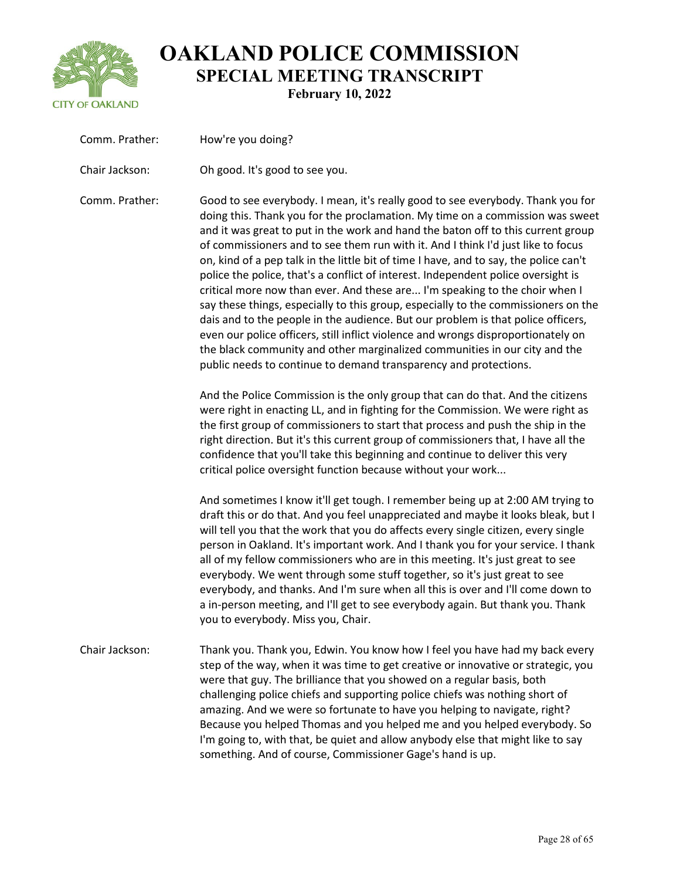

| Comm. Prather: | How're you doing?                                                                                                                                                                                                                                                                                                                                                                                                                                                                                                                                                                                                                                                                                                                                                                                                                                                                                                                                                                                                      |
|----------------|------------------------------------------------------------------------------------------------------------------------------------------------------------------------------------------------------------------------------------------------------------------------------------------------------------------------------------------------------------------------------------------------------------------------------------------------------------------------------------------------------------------------------------------------------------------------------------------------------------------------------------------------------------------------------------------------------------------------------------------------------------------------------------------------------------------------------------------------------------------------------------------------------------------------------------------------------------------------------------------------------------------------|
| Chair Jackson: | Oh good. It's good to see you.                                                                                                                                                                                                                                                                                                                                                                                                                                                                                                                                                                                                                                                                                                                                                                                                                                                                                                                                                                                         |
| Comm. Prather: | Good to see everybody. I mean, it's really good to see everybody. Thank you for<br>doing this. Thank you for the proclamation. My time on a commission was sweet<br>and it was great to put in the work and hand the baton off to this current group<br>of commissioners and to see them run with it. And I think I'd just like to focus<br>on, kind of a pep talk in the little bit of time I have, and to say, the police can't<br>police the police, that's a conflict of interest. Independent police oversight is<br>critical more now than ever. And these are I'm speaking to the choir when I<br>say these things, especially to this group, especially to the commissioners on the<br>dais and to the people in the audience. But our problem is that police officers,<br>even our police officers, still inflict violence and wrongs disproportionately on<br>the black community and other marginalized communities in our city and the<br>public needs to continue to demand transparency and protections. |
|                | And the Police Commission is the only group that can do that. And the citizens<br>were right in enacting LL, and in fighting for the Commission. We were right as<br>the first group of commissioners to start that process and push the ship in the<br>right direction. But it's this current group of commissioners that, I have all the<br>confidence that you'll take this beginning and continue to deliver this very<br>critical police oversight function because without your work                                                                                                                                                                                                                                                                                                                                                                                                                                                                                                                             |
|                | And sometimes I know it'll get tough. I remember being up at 2:00 AM trying to<br>draft this or do that. And you feel unappreciated and maybe it looks bleak, but I<br>will tell you that the work that you do affects every single citizen, every single<br>person in Oakland. It's important work. And I thank you for your service. I thank<br>all of my fellow commissioners who are in this meeting. It's just great to see<br>everybody. We went through some stuff together, so it's just great to see<br>everybody, and thanks. And I'm sure when all this is over and I'll come down to<br>a in-person meeting, and I'll get to see everybody again. But thank you. Thank<br>you to everybody. Miss you, Chair.                                                                                                                                                                                                                                                                                               |
| Chair Jackson: | Thank you. Thank you, Edwin. You know how I feel you have had my back every<br>step of the way, when it was time to get creative or innovative or strategic, you<br>were that guy. The brilliance that you showed on a regular basis, both<br>challenging police chiefs and supporting police chiefs was nothing short of<br>amazing. And we were so fortunate to have you helping to navigate, right?<br>Because you helped Thomas and you helped me and you helped everybody. So<br>I'm going to, with that, be quiet and allow anybody else that might like to say<br>something. And of course, Commissioner Gage's hand is up.                                                                                                                                                                                                                                                                                                                                                                                     |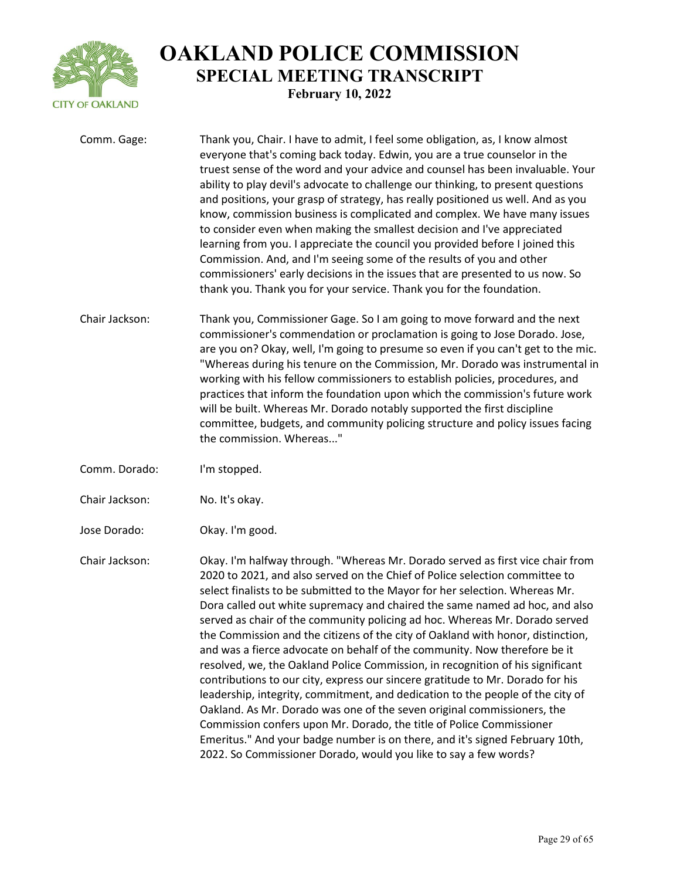

| Comm. Gage:    | Thank you, Chair. I have to admit, I feel some obligation, as, I know almost<br>everyone that's coming back today. Edwin, you are a true counselor in the<br>truest sense of the word and your advice and counsel has been invaluable. Your<br>ability to play devil's advocate to challenge our thinking, to present questions<br>and positions, your grasp of strategy, has really positioned us well. And as you<br>know, commission business is complicated and complex. We have many issues<br>to consider even when making the smallest decision and I've appreciated<br>learning from you. I appreciate the council you provided before I joined this<br>Commission. And, and I'm seeing some of the results of you and other<br>commissioners' early decisions in the issues that are presented to us now. So<br>thank you. Thank you for your service. Thank you for the foundation.                                                                                                                                                                                                                                            |
|----------------|------------------------------------------------------------------------------------------------------------------------------------------------------------------------------------------------------------------------------------------------------------------------------------------------------------------------------------------------------------------------------------------------------------------------------------------------------------------------------------------------------------------------------------------------------------------------------------------------------------------------------------------------------------------------------------------------------------------------------------------------------------------------------------------------------------------------------------------------------------------------------------------------------------------------------------------------------------------------------------------------------------------------------------------------------------------------------------------------------------------------------------------|
| Chair Jackson: | Thank you, Commissioner Gage. So I am going to move forward and the next<br>commissioner's commendation or proclamation is going to Jose Dorado. Jose,<br>are you on? Okay, well, I'm going to presume so even if you can't get to the mic.<br>"Whereas during his tenure on the Commission, Mr. Dorado was instrumental in<br>working with his fellow commissioners to establish policies, procedures, and<br>practices that inform the foundation upon which the commission's future work<br>will be built. Whereas Mr. Dorado notably supported the first discipline<br>committee, budgets, and community policing structure and policy issues facing<br>the commission. Whereas"                                                                                                                                                                                                                                                                                                                                                                                                                                                     |
| Comm. Dorado:  | I'm stopped.                                                                                                                                                                                                                                                                                                                                                                                                                                                                                                                                                                                                                                                                                                                                                                                                                                                                                                                                                                                                                                                                                                                             |
| Chair Jackson: | No. It's okay.                                                                                                                                                                                                                                                                                                                                                                                                                                                                                                                                                                                                                                                                                                                                                                                                                                                                                                                                                                                                                                                                                                                           |
| Jose Dorado:   | Okay. I'm good.                                                                                                                                                                                                                                                                                                                                                                                                                                                                                                                                                                                                                                                                                                                                                                                                                                                                                                                                                                                                                                                                                                                          |
| Chair Jackson: | Okay. I'm halfway through. "Whereas Mr. Dorado served as first vice chair from<br>2020 to 2021, and also served on the Chief of Police selection committee to<br>select finalists to be submitted to the Mayor for her selection. Whereas Mr.<br>Dora called out white supremacy and chaired the same named ad hoc, and also<br>served as chair of the community policing ad hoc. Whereas Mr. Dorado served<br>the Commission and the citizens of the city of Oakland with honor, distinction,<br>and was a fierce advocate on behalf of the community. Now therefore be it<br>resolved, we, the Oakland Police Commission, in recognition of his significant<br>contributions to our city, express our sincere gratitude to Mr. Dorado for his<br>leadership, integrity, commitment, and dedication to the people of the city of<br>Oakland. As Mr. Dorado was one of the seven original commissioners, the<br>Commission confers upon Mr. Dorado, the title of Police Commissioner<br>Emeritus." And your badge number is on there, and it's signed February 10th,<br>2022. So Commissioner Dorado, would you like to say a few words? |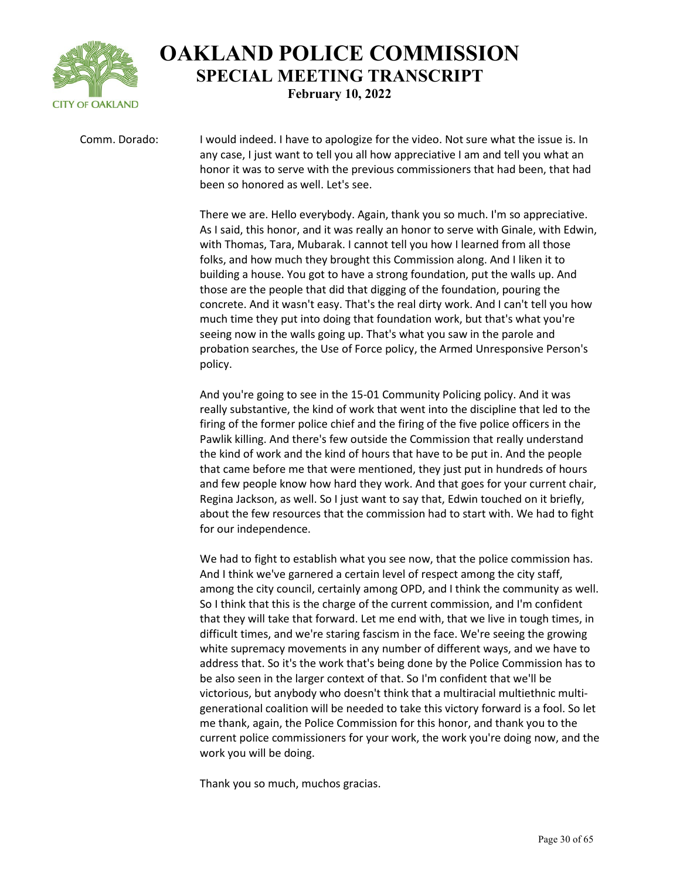

Comm. Dorado: I would indeed. I have to apologize for the video. Not sure what the issue is. In any case, I just want to tell you all how appreciative I am and tell you what an honor it was to serve with the previous commissioners that had been, that had been so honored as well. Let's see.

> There we are. Hello everybody. Again, thank you so much. I'm so appreciative. As I said, this honor, and it was really an honor to serve with Ginale, with Edwin, with Thomas, Tara, Mubarak. I cannot tell you how I learned from all those folks, and how much they brought this Commission along. And I liken it to building a house. You got to have a strong foundation, put the walls up. And those are the people that did that digging of the foundation, pouring the concrete. And it wasn't easy. That's the real dirty work. And I can't tell you how much time they put into doing that foundation work, but that's what you're seeing now in the walls going up. That's what you saw in the parole and probation searches, the Use of Force policy, the Armed Unresponsive Person's policy.

> And you're going to see in the 15-01 Community Policing policy. And it was really substantive, the kind of work that went into the discipline that led to the firing of the former police chief and the firing of the five police officers in the Pawlik killing. And there's few outside the Commission that really understand the kind of work and the kind of hours that have to be put in. And the people that came before me that were mentioned, they just put in hundreds of hours and few people know how hard they work. And that goes for your current chair, Regina Jackson, as well. So I just want to say that, Edwin touched on it briefly, about the few resources that the commission had to start with. We had to fight for our independence.

> We had to fight to establish what you see now, that the police commission has. And I think we've garnered a certain level of respect among the city staff, among the city council, certainly among OPD, and I think the community as well. So I think that this is the charge of the current commission, and I'm confident that they will take that forward. Let me end with, that we live in tough times, in difficult times, and we're staring fascism in the face. We're seeing the growing white supremacy movements in any number of different ways, and we have to address that. So it's the work that's being done by the Police Commission has to be also seen in the larger context of that. So I'm confident that we'll be victorious, but anybody who doesn't think that a multiracial multiethnic multigenerational coalition will be needed to take this victory forward is a fool. So let me thank, again, the Police Commission for this honor, and thank you to the current police commissioners for your work, the work you're doing now, and the work you will be doing.

Thank you so much, muchos gracias.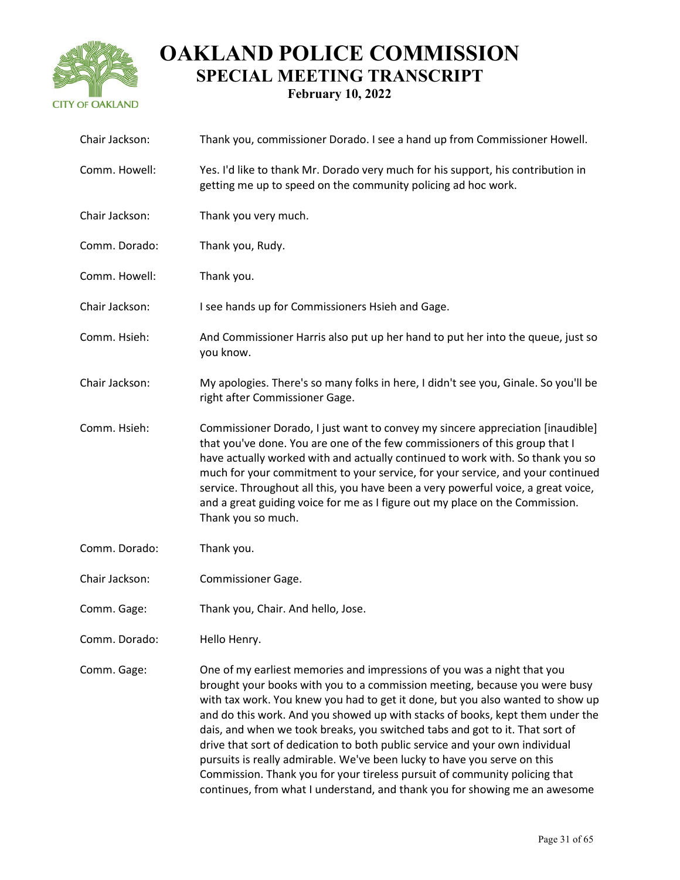

| Chair Jackson: | Thank you, commissioner Dorado. I see a hand up from Commissioner Howell.                                                                                                                                                                                                                                                                                                                                                                                                                                                                                                                                                                                                                                                        |
|----------------|----------------------------------------------------------------------------------------------------------------------------------------------------------------------------------------------------------------------------------------------------------------------------------------------------------------------------------------------------------------------------------------------------------------------------------------------------------------------------------------------------------------------------------------------------------------------------------------------------------------------------------------------------------------------------------------------------------------------------------|
| Comm. Howell:  | Yes. I'd like to thank Mr. Dorado very much for his support, his contribution in<br>getting me up to speed on the community policing ad hoc work.                                                                                                                                                                                                                                                                                                                                                                                                                                                                                                                                                                                |
| Chair Jackson: | Thank you very much.                                                                                                                                                                                                                                                                                                                                                                                                                                                                                                                                                                                                                                                                                                             |
| Comm. Dorado:  | Thank you, Rudy.                                                                                                                                                                                                                                                                                                                                                                                                                                                                                                                                                                                                                                                                                                                 |
| Comm. Howell:  | Thank you.                                                                                                                                                                                                                                                                                                                                                                                                                                                                                                                                                                                                                                                                                                                       |
| Chair Jackson: | I see hands up for Commissioners Hsieh and Gage.                                                                                                                                                                                                                                                                                                                                                                                                                                                                                                                                                                                                                                                                                 |
| Comm. Hsieh:   | And Commissioner Harris also put up her hand to put her into the queue, just so<br>you know.                                                                                                                                                                                                                                                                                                                                                                                                                                                                                                                                                                                                                                     |
| Chair Jackson: | My apologies. There's so many folks in here, I didn't see you, Ginale. So you'll be<br>right after Commissioner Gage.                                                                                                                                                                                                                                                                                                                                                                                                                                                                                                                                                                                                            |
| Comm. Hsieh:   | Commissioner Dorado, I just want to convey my sincere appreciation [inaudible]<br>that you've done. You are one of the few commissioners of this group that I<br>have actually worked with and actually continued to work with. So thank you so<br>much for your commitment to your service, for your service, and your continued<br>service. Throughout all this, you have been a very powerful voice, a great voice,<br>and a great guiding voice for me as I figure out my place on the Commission.<br>Thank you so much.                                                                                                                                                                                                     |
| Comm. Dorado:  | Thank you.                                                                                                                                                                                                                                                                                                                                                                                                                                                                                                                                                                                                                                                                                                                       |
| Chair Jackson: | <b>Commissioner Gage.</b>                                                                                                                                                                                                                                                                                                                                                                                                                                                                                                                                                                                                                                                                                                        |
| Comm. Gage:    | Thank you, Chair. And hello, Jose.                                                                                                                                                                                                                                                                                                                                                                                                                                                                                                                                                                                                                                                                                               |
| Comm. Dorado:  | Hello Henry.                                                                                                                                                                                                                                                                                                                                                                                                                                                                                                                                                                                                                                                                                                                     |
| Comm. Gage:    | One of my earliest memories and impressions of you was a night that you<br>brought your books with you to a commission meeting, because you were busy<br>with tax work. You knew you had to get it done, but you also wanted to show up<br>and do this work. And you showed up with stacks of books, kept them under the<br>dais, and when we took breaks, you switched tabs and got to it. That sort of<br>drive that sort of dedication to both public service and your own individual<br>pursuits is really admirable. We've been lucky to have you serve on this<br>Commission. Thank you for your tireless pursuit of community policing that<br>continues, from what I understand, and thank you for showing me an awesome |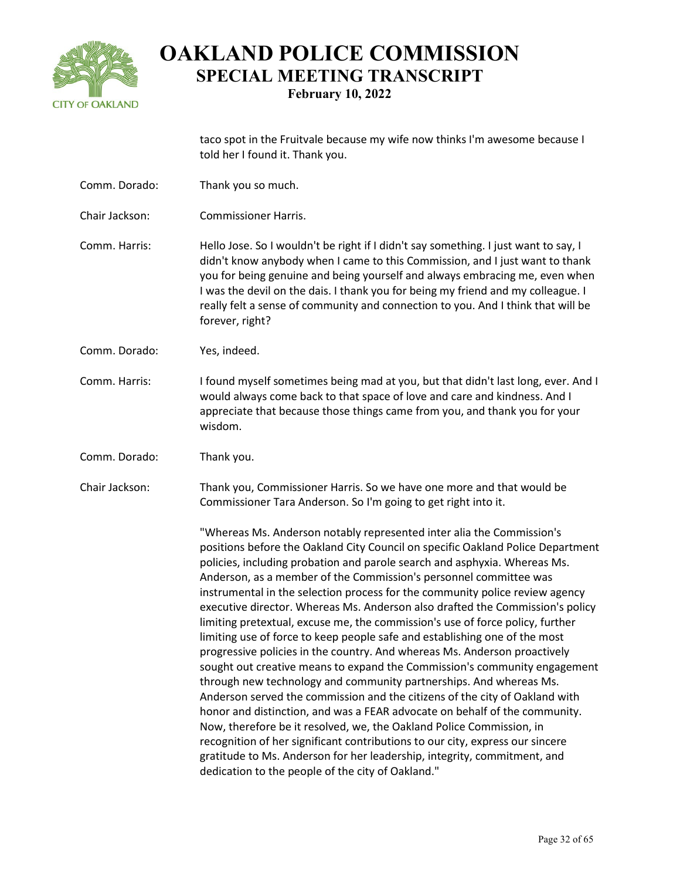

taco spot in the Fruitvale because my wife now thinks I'm awesome because I told her I found it. Thank you.

- Comm. Dorado: Thank you so much.
- Chair Jackson: Commissioner Harris.
- Comm. Harris: Hello Jose. So I wouldn't be right if I didn't say something. I just want to say, I didn't know anybody when I came to this Commission, and I just want to thank you for being genuine and being yourself and always embracing me, even when I was the devil on the dais. I thank you for being my friend and my colleague. I really felt a sense of community and connection to you. And I think that will be forever, right?
- Comm. Dorado: Yes, indeed.
- Comm. Harris: I found myself sometimes being mad at you, but that didn't last long, ever. And I would always come back to that space of love and care and kindness. And I appreciate that because those things came from you, and thank you for your wisdom.
- Comm. Dorado: Thank you.
- Chair Jackson: Thank you, Commissioner Harris. So we have one more and that would be Commissioner Tara Anderson. So I'm going to get right into it.

"Whereas Ms. Anderson notably represented inter alia the Commission's positions before the Oakland City Council on specific Oakland Police Department policies, including probation and parole search and asphyxia. Whereas Ms. Anderson, as a member of the Commission's personnel committee was instrumental in the selection process for the community police review agency executive director. Whereas Ms. Anderson also drafted the Commission's policy limiting pretextual, excuse me, the commission's use of force policy, further limiting use of force to keep people safe and establishing one of the most progressive policies in the country. And whereas Ms. Anderson proactively sought out creative means to expand the Commission's community engagement through new technology and community partnerships. And whereas Ms. Anderson served the commission and the citizens of the city of Oakland with honor and distinction, and was a FEAR advocate on behalf of the community. Now, therefore be it resolved, we, the Oakland Police Commission, in recognition of her significant contributions to our city, express our sincere gratitude to Ms. Anderson for her leadership, integrity, commitment, and dedication to the people of the city of Oakland."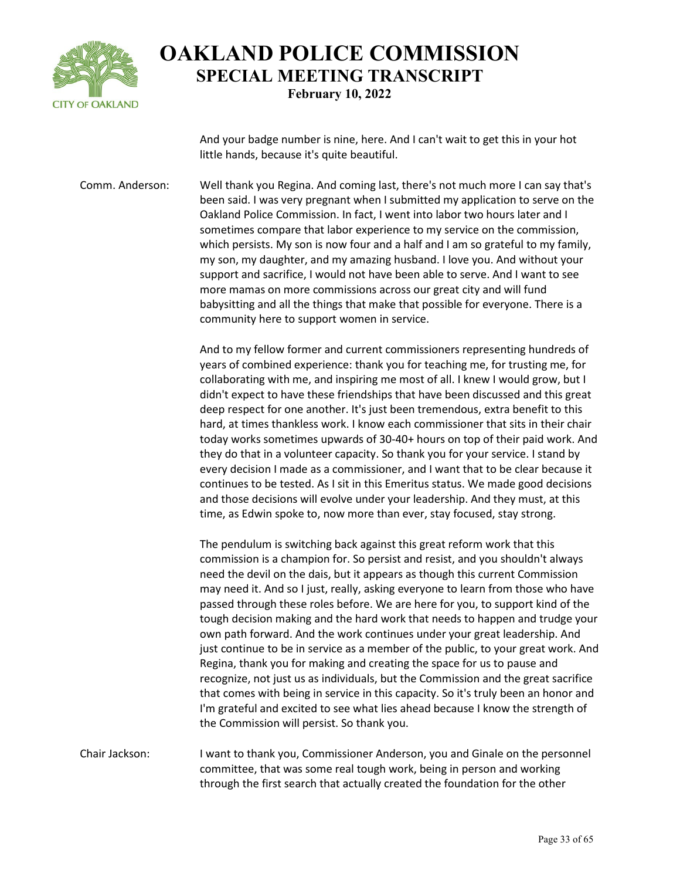

And your badge number is nine, here. And I can't wait to get this in your hot little hands, because it's quite beautiful.

Comm. Anderson: Well thank you Regina. And coming last, there's not much more I can say that's been said. I was very pregnant when I submitted my application to serve on the Oakland Police Commission. In fact, I went into labor two hours later and I sometimes compare that labor experience to my service on the commission, which persists. My son is now four and a half and I am so grateful to my family, my son, my daughter, and my amazing husband. I love you. And without your support and sacrifice, I would not have been able to serve. And I want to see more mamas on more commissions across our great city and will fund babysitting and all the things that make that possible for everyone. There is a community here to support women in service.

> And to my fellow former and current commissioners representing hundreds of years of combined experience: thank you for teaching me, for trusting me, for collaborating with me, and inspiring me most of all. I knew I would grow, but I didn't expect to have these friendships that have been discussed and this great deep respect for one another. It's just been tremendous, extra benefit to this hard, at times thankless work. I know each commissioner that sits in their chair today works sometimes upwards of 30-40+ hours on top of their paid work. And they do that in a volunteer capacity. So thank you for your service. I stand by every decision I made as a commissioner, and I want that to be clear because it continues to be tested. As I sit in this Emeritus status. We made good decisions and those decisions will evolve under your leadership. And they must, at this time, as Edwin spoke to, now more than ever, stay focused, stay strong.

> The pendulum is switching back against this great reform work that this commission is a champion for. So persist and resist, and you shouldn't always need the devil on the dais, but it appears as though this current Commission may need it. And so I just, really, asking everyone to learn from those who have passed through these roles before. We are here for you, to support kind of the tough decision making and the hard work that needs to happen and trudge your own path forward. And the work continues under your great leadership. And just continue to be in service as a member of the public, to your great work. And Regina, thank you for making and creating the space for us to pause and recognize, not just us as individuals, but the Commission and the great sacrifice that comes with being in service in this capacity. So it's truly been an honor and I'm grateful and excited to see what lies ahead because I know the strength of the Commission will persist. So thank you.

Chair Jackson: I want to thank you, Commissioner Anderson, you and Ginale on the personnel committee, that was some real tough work, being in person and working through the first search that actually created the foundation for the other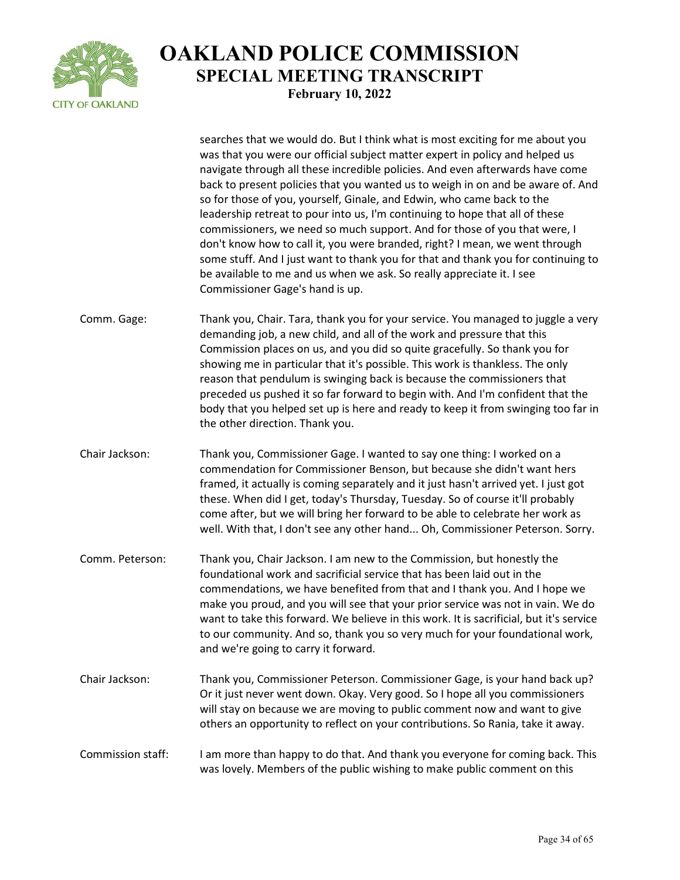

|                   | searches that we would do. But I think what is most exciting for me about you<br>was that you were our official subject matter expert in policy and helped us<br>navigate through all these incredible policies. And even afterwards have come<br>back to present policies that you wanted us to weigh in on and be aware of. And<br>so for those of you, yourself, Ginale, and Edwin, who came back to the<br>leadership retreat to pour into us, I'm continuing to hope that all of these<br>commissioners, we need so much support. And for those of you that were, I<br>don't know how to call it, you were branded, right? I mean, we went through<br>some stuff. And I just want to thank you for that and thank you for continuing to<br>be available to me and us when we ask. So really appreciate it. I see<br>Commissioner Gage's hand is up. |
|-------------------|----------------------------------------------------------------------------------------------------------------------------------------------------------------------------------------------------------------------------------------------------------------------------------------------------------------------------------------------------------------------------------------------------------------------------------------------------------------------------------------------------------------------------------------------------------------------------------------------------------------------------------------------------------------------------------------------------------------------------------------------------------------------------------------------------------------------------------------------------------|
| Comm. Gage:       | Thank you, Chair. Tara, thank you for your service. You managed to juggle a very<br>demanding job, a new child, and all of the work and pressure that this<br>Commission places on us, and you did so quite gracefully. So thank you for<br>showing me in particular that it's possible. This work is thankless. The only<br>reason that pendulum is swinging back is because the commissioners that<br>preceded us pushed it so far forward to begin with. And I'm confident that the<br>body that you helped set up is here and ready to keep it from swinging too far in<br>the other direction. Thank you.                                                                                                                                                                                                                                           |
| Chair Jackson:    | Thank you, Commissioner Gage. I wanted to say one thing: I worked on a<br>commendation for Commissioner Benson, but because she didn't want hers<br>framed, it actually is coming separately and it just hasn't arrived yet. I just got<br>these. When did I get, today's Thursday, Tuesday. So of course it'll probably<br>come after, but we will bring her forward to be able to celebrate her work as<br>well. With that, I don't see any other hand Oh, Commissioner Peterson. Sorry.                                                                                                                                                                                                                                                                                                                                                               |
| Comm. Peterson:   | Thank you, Chair Jackson. I am new to the Commission, but honestly the<br>foundational work and sacrificial service that has been laid out in the<br>commendations, we have benefited from that and I thank you. And I hope we<br>make you proud, and you will see that your prior service was not in vain. We do<br>want to take this forward. We believe in this work. It is sacrificial, but it's service<br>to our community. And so, thank you so very much for your foundational work,<br>and we're going to carry it forward.                                                                                                                                                                                                                                                                                                                     |
| Chair Jackson:    | Thank you, Commissioner Peterson. Commissioner Gage, is your hand back up?<br>Or it just never went down. Okay. Very good. So I hope all you commissioners<br>will stay on because we are moving to public comment now and want to give<br>others an opportunity to reflect on your contributions. So Rania, take it away.                                                                                                                                                                                                                                                                                                                                                                                                                                                                                                                               |
| Commission staff: | I am more than happy to do that. And thank you everyone for coming back. This<br>was lovely. Members of the public wishing to make public comment on this                                                                                                                                                                                                                                                                                                                                                                                                                                                                                                                                                                                                                                                                                                |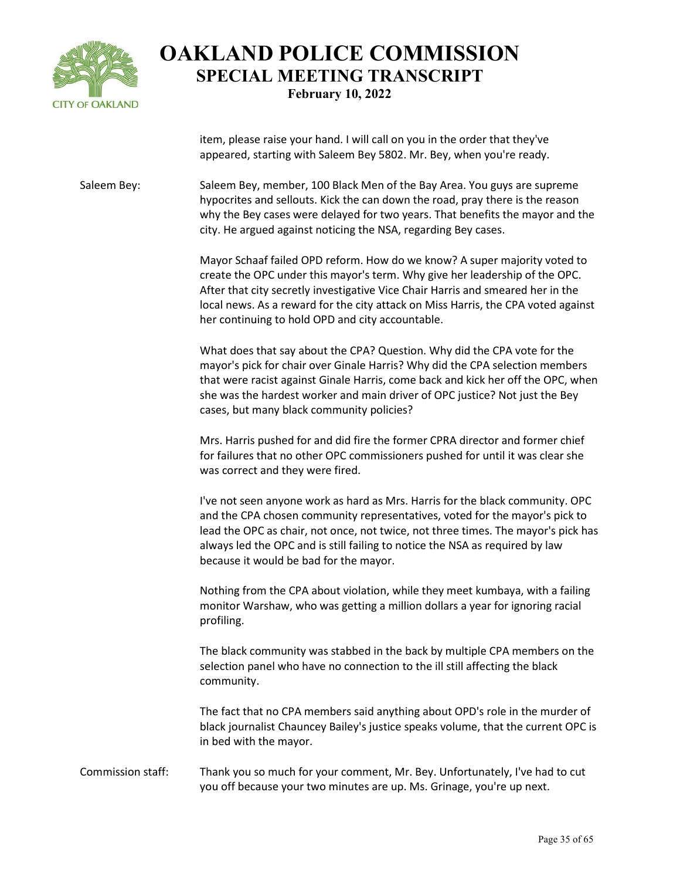

item, please raise your hand. I will call on you in the order that they've appeared, starting with Saleem Bey 5802. Mr. Bey, when you're ready.

Saleem Bey: Saleem Bey, member, 100 Black Men of the Bay Area. You guys are supreme hypocrites and sellouts. Kick the can down the road, pray there is the reason why the Bey cases were delayed for two years. That benefits the mayor and the city. He argued against noticing the NSA, regarding Bey cases.

> Mayor Schaaf failed OPD reform. How do we know? A super majority voted to create the OPC under this mayor's term. Why give her leadership of the OPC. After that city secretly investigative Vice Chair Harris and smeared her in the local news. As a reward for the city attack on Miss Harris, the CPA voted against her continuing to hold OPD and city accountable.

> What does that say about the CPA? Question. Why did the CPA vote for the mayor's pick for chair over Ginale Harris? Why did the CPA selection members that were racist against Ginale Harris, come back and kick her off the OPC, when she was the hardest worker and main driver of OPC justice? Not just the Bey cases, but many black community policies?

Mrs. Harris pushed for and did fire the former CPRA director and former chief for failures that no other OPC commissioners pushed for until it was clear she was correct and they were fired.

I've not seen anyone work as hard as Mrs. Harris for the black community. OPC and the CPA chosen community representatives, voted for the mayor's pick to lead the OPC as chair, not once, not twice, not three times. The mayor's pick has always led the OPC and is still failing to notice the NSA as required by law because it would be bad for the mayor.

Nothing from the CPA about violation, while they meet kumbaya, with a failing monitor Warshaw, who was getting a million dollars a year for ignoring racial profiling.

The black community was stabbed in the back by multiple CPA members on the selection panel who have no connection to the ill still affecting the black community.

The fact that no CPA members said anything about OPD's role in the murder of black journalist Chauncey Bailey's justice speaks volume, that the current OPC is in bed with the mayor.

Commission staff: Thank you so much for your comment, Mr. Bey. Unfortunately, I've had to cut you off because your two minutes are up. Ms. Grinage, you're up next.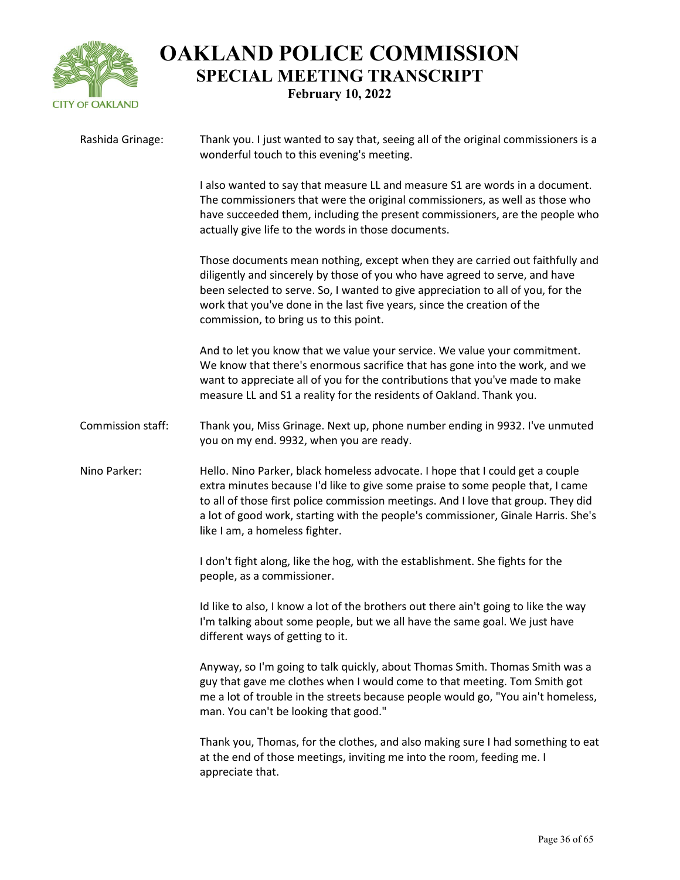

| Rashida Grinage:  | Thank you. I just wanted to say that, seeing all of the original commissioners is a<br>wonderful touch to this evening's meeting.                                                                                                                                                                                                                                           |
|-------------------|-----------------------------------------------------------------------------------------------------------------------------------------------------------------------------------------------------------------------------------------------------------------------------------------------------------------------------------------------------------------------------|
|                   | I also wanted to say that measure LL and measure S1 are words in a document.<br>The commissioners that were the original commissioners, as well as those who<br>have succeeded them, including the present commissioners, are the people who<br>actually give life to the words in those documents.                                                                         |
|                   | Those documents mean nothing, except when they are carried out faithfully and<br>diligently and sincerely by those of you who have agreed to serve, and have<br>been selected to serve. So, I wanted to give appreciation to all of you, for the<br>work that you've done in the last five years, since the creation of the<br>commission, to bring us to this point.       |
|                   | And to let you know that we value your service. We value your commitment.<br>We know that there's enormous sacrifice that has gone into the work, and we<br>want to appreciate all of you for the contributions that you've made to make<br>measure LL and S1 a reality for the residents of Oakland. Thank you.                                                            |
| Commission staff: | Thank you, Miss Grinage. Next up, phone number ending in 9932. I've unmuted<br>you on my end. 9932, when you are ready.                                                                                                                                                                                                                                                     |
| Nino Parker:      | Hello. Nino Parker, black homeless advocate. I hope that I could get a couple<br>extra minutes because I'd like to give some praise to some people that, I came<br>to all of those first police commission meetings. And I love that group. They did<br>a lot of good work, starting with the people's commissioner, Ginale Harris. She's<br>like I am, a homeless fighter. |
|                   | I don't fight along, like the hog, with the establishment. She fights for the<br>people, as a commissioner.                                                                                                                                                                                                                                                                 |
|                   | Id like to also, I know a lot of the brothers out there ain't going to like the way<br>I'm talking about some people, but we all have the same goal. We just have<br>different ways of getting to it.                                                                                                                                                                       |
|                   | Anyway, so I'm going to talk quickly, about Thomas Smith. Thomas Smith was a<br>guy that gave me clothes when I would come to that meeting. Tom Smith got<br>me a lot of trouble in the streets because people would go, "You ain't homeless,<br>man. You can't be looking that good."                                                                                      |
|                   | Thank you, Thomas, for the clothes, and also making sure I had something to eat<br>at the end of those meetings, inviting me into the room, feeding me. I<br>appreciate that.                                                                                                                                                                                               |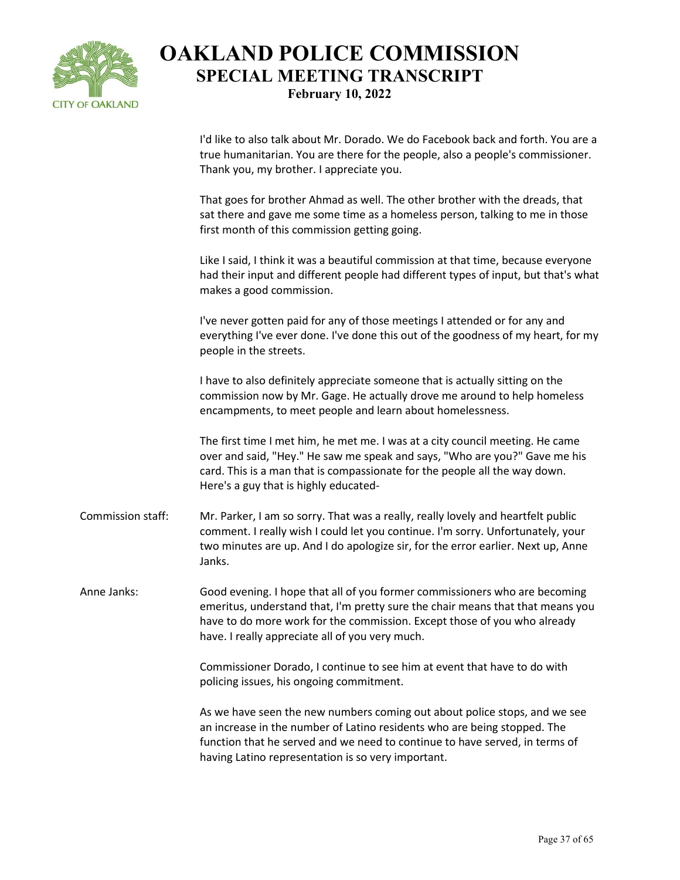

I'd like to also talk about Mr. Dorado. We do Facebook back and forth. You are a true humanitarian. You are there for the people, also a people's commissioner. Thank you, my brother. I appreciate you.

That goes for brother Ahmad as well. The other brother with the dreads, that sat there and gave me some time as a homeless person, talking to me in those first month of this commission getting going.

Like I said, I think it was a beautiful commission at that time, because everyone had their input and different people had different types of input, but that's what makes a good commission.

I've never gotten paid for any of those meetings I attended or for any and everything I've ever done. I've done this out of the goodness of my heart, for my people in the streets.

I have to also definitely appreciate someone that is actually sitting on the commission now by Mr. Gage. He actually drove me around to help homeless encampments, to meet people and learn about homelessness.

The first time I met him, he met me. I was at a city council meeting. He came over and said, "Hey." He saw me speak and says, "Who are you?" Gave me his card. This is a man that is compassionate for the people all the way down. Here's a guy that is highly educated-

Commission staff: Mr. Parker, I am so sorry. That was a really, really lovely and heartfelt public comment. I really wish I could let you continue. I'm sorry. Unfortunately, your two minutes are up. And I do apologize sir, for the error earlier. Next up, Anne Janks.

Anne Janks: Good evening. I hope that all of you former commissioners who are becoming emeritus, understand that, I'm pretty sure the chair means that that means you have to do more work for the commission. Except those of you who already have. I really appreciate all of you very much.

> Commissioner Dorado, I continue to see him at event that have to do with policing issues, his ongoing commitment.

As we have seen the new numbers coming out about police stops, and we see an increase in the number of Latino residents who are being stopped. The function that he served and we need to continue to have served, in terms of having Latino representation is so very important.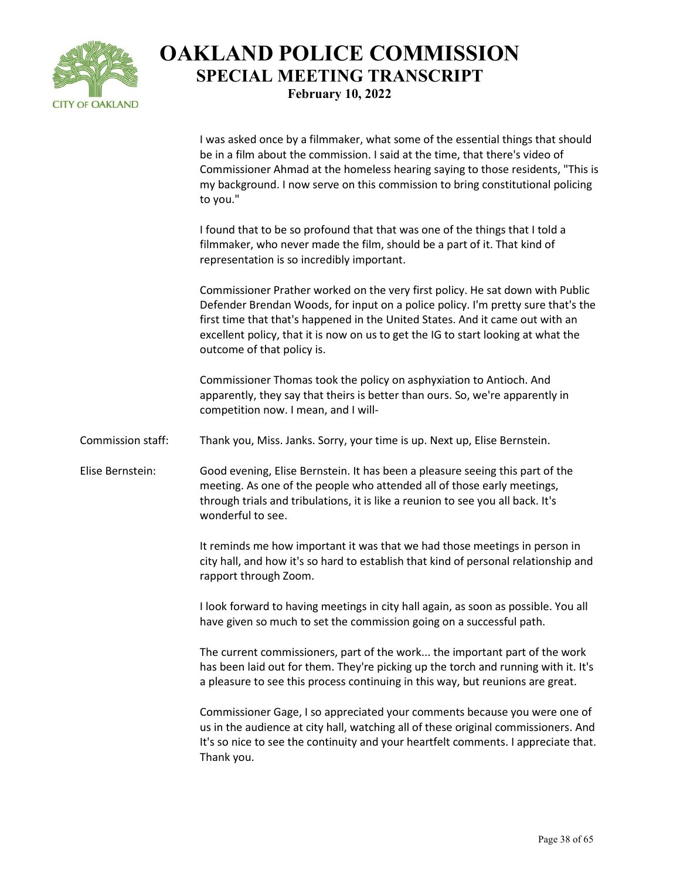

I was asked once by a filmmaker, what some of the essential things that should be in a film about the commission. I said at the time, that there's video of Commissioner Ahmad at the homeless hearing saying to those residents, "This is my background. I now serve on this commission to bring constitutional policing to you."

I found that to be so profound that that was one of the things that I told a filmmaker, who never made the film, should be a part of it. That kind of representation is so incredibly important.

Commissioner Prather worked on the very first policy. He sat down with Public Defender Brendan Woods, for input on a police policy. I'm pretty sure that's the first time that that's happened in the United States. And it came out with an excellent policy, that it is now on us to get the IG to start looking at what the outcome of that policy is.

Commissioner Thomas took the policy on asphyxiation to Antioch. And apparently, they say that theirs is better than ours. So, we're apparently in competition now. I mean, and I will-

Commission staff: Thank you, Miss. Janks. Sorry, your time is up. Next up, Elise Bernstein.

Elise Bernstein: Good evening, Elise Bernstein. It has been a pleasure seeing this part of the meeting. As one of the people who attended all of those early meetings, through trials and tribulations, it is like a reunion to see you all back. It's wonderful to see.

> It reminds me how important it was that we had those meetings in person in city hall, and how it's so hard to establish that kind of personal relationship and rapport through Zoom.

I look forward to having meetings in city hall again, as soon as possible. You all have given so much to set the commission going on a successful path.

The current commissioners, part of the work... the important part of the work has been laid out for them. They're picking up the torch and running with it. It's a pleasure to see this process continuing in this way, but reunions are great.

Commissioner Gage, I so appreciated your comments because you were one of us in the audience at city hall, watching all of these original commissioners. And It's so nice to see the continuity and your heartfelt comments. I appreciate that. Thank you.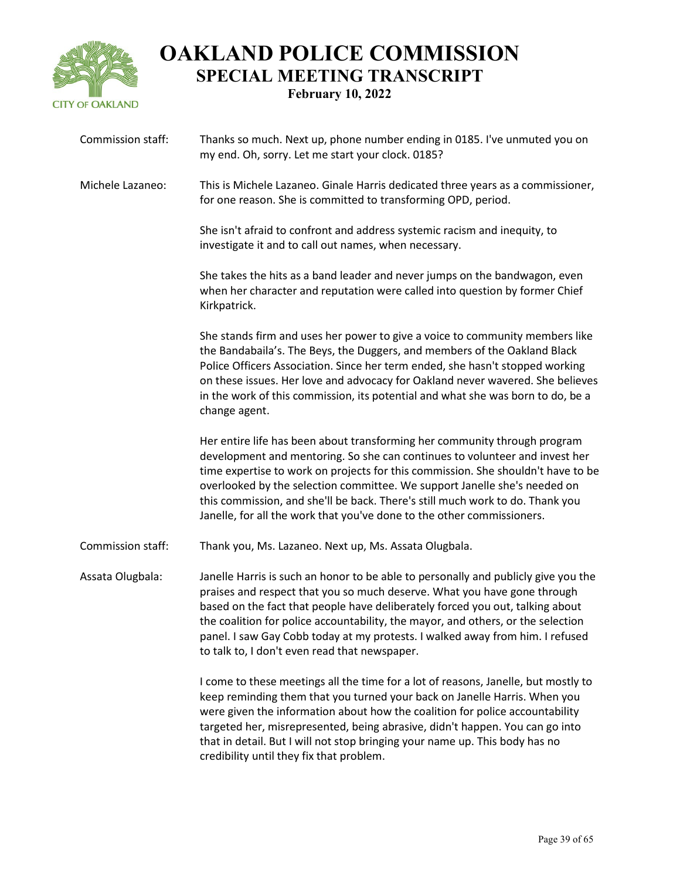

| Commission staff: | Thanks so much. Next up, phone number ending in 0185. I've unmuted you on<br>my end. Oh, sorry. Let me start your clock. 0185?                                                                                                                                                                                                                                                                                                                                                       |
|-------------------|--------------------------------------------------------------------------------------------------------------------------------------------------------------------------------------------------------------------------------------------------------------------------------------------------------------------------------------------------------------------------------------------------------------------------------------------------------------------------------------|
| Michele Lazaneo:  | This is Michele Lazaneo. Ginale Harris dedicated three years as a commissioner,<br>for one reason. She is committed to transforming OPD, period.                                                                                                                                                                                                                                                                                                                                     |
|                   | She isn't afraid to confront and address systemic racism and inequity, to<br>investigate it and to call out names, when necessary.                                                                                                                                                                                                                                                                                                                                                   |
|                   | She takes the hits as a band leader and never jumps on the bandwagon, even<br>when her character and reputation were called into question by former Chief<br>Kirkpatrick.                                                                                                                                                                                                                                                                                                            |
|                   | She stands firm and uses her power to give a voice to community members like<br>the Bandabaila's. The Beys, the Duggers, and members of the Oakland Black<br>Police Officers Association. Since her term ended, she hasn't stopped working<br>on these issues. Her love and advocacy for Oakland never wavered. She believes<br>in the work of this commission, its potential and what she was born to do, be a<br>change agent.                                                     |
|                   | Her entire life has been about transforming her community through program<br>development and mentoring. So she can continues to volunteer and invest her<br>time expertise to work on projects for this commission. She shouldn't have to be<br>overlooked by the selection committee. We support Janelle she's needed on<br>this commission, and she'll be back. There's still much work to do. Thank you<br>Janelle, for all the work that you've done to the other commissioners. |
| Commission staff: | Thank you, Ms. Lazaneo. Next up, Ms. Assata Olugbala.                                                                                                                                                                                                                                                                                                                                                                                                                                |
| Assata Olugbala:  | Janelle Harris is such an honor to be able to personally and publicly give you the<br>praises and respect that you so much deserve. What you have gone through<br>based on the fact that people have deliberately forced you out, talking about<br>the coalition for police accountability, the mayor, and others, or the selection<br>panel. I saw Gay Cobb today at my protests. I walked away from him. I refused<br>to talk to, I don't even read that newspaper.                |
|                   | I come to these meetings all the time for a lot of reasons, Janelle, but mostly to<br>keep reminding them that you turned your back on Janelle Harris. When you<br>were given the information about how the coalition for police accountability<br>targeted her, misrepresented, being abrasive, didn't happen. You can go into<br>that in detail. But I will not stop bringing your name up. This body has no<br>credibility until they fix that problem.                           |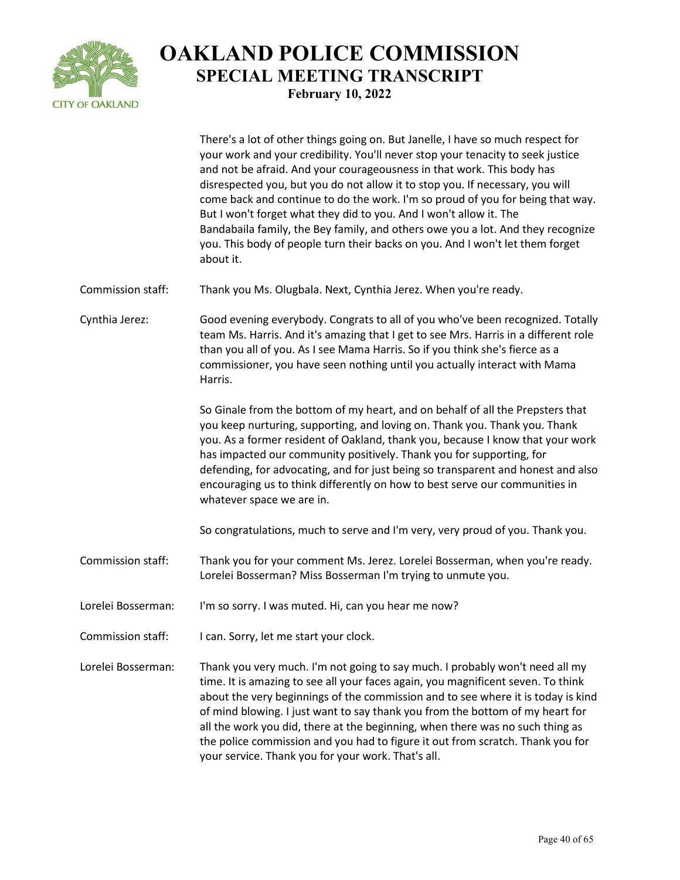

There's a lot of other things going on. But Janelle, I have so much respect for your work and your credibility. You'll never stop your tenacity to seek justice and not be afraid. And your courageousness in that work. This body has disrespected you, but you do not allow it to stop you. If necessary, you will come back and continue to do the work. I'm so proud of you for being that way. But I won't forget what they did to you. And I won't allow it. The Bandabaila family, the Bey family, and others owe you a lot. And they recognize you. This body of people turn their backs on you. And I won't let them forget about it. Commission staff: Thank you Ms. Olugbala. Next, Cynthia Jerez. When you're ready. Cynthia Jerez: Good evening everybody. Congrats to all of you who've been recognized. Totally team Ms. Harris. And it's amazing that I get to see Mrs. Harris in a different role than you all of you. As I see Mama Harris. So if you think she's fierce as a commissioner, you have seen nothing until you actually interact with Mama Harris. So Ginale from the bottom of my heart, and on behalf of all the Prepsters that you keep nurturing, supporting, and loving on. Thank you. Thank you. Thank you. As a former resident of Oakland, thank you, because I know that your work has impacted our community positively. Thank you for supporting, for defending, for advocating, and for just being so transparent and honest and also encouraging us to think differently on how to best serve our communities in whatever space we are in. So congratulations, much to serve and I'm very, very proud of you. Thank you. Commission staff: Thank you for your comment Ms. Jerez. Lorelei Bosserman, when you're ready. Lorelei Bosserman? Miss Bosserman I'm trying to unmute you. Lorelei Bosserman: I'm so sorry. I was muted. Hi, can you hear me now? Commission staff: I can. Sorry, let me start your clock. Lorelei Bosserman: Thank you very much. I'm not going to say much. I probably won't need all my time. It is amazing to see all your faces again, you magnificent seven. To think about the very beginnings of the commission and to see where it is today is kind of mind blowing. I just want to say thank you from the bottom of my heart for all the work you did, there at the beginning, when there was no such thing as the police commission and you had to figure it out from scratch. Thank you for your service. Thank you for your work. That's all.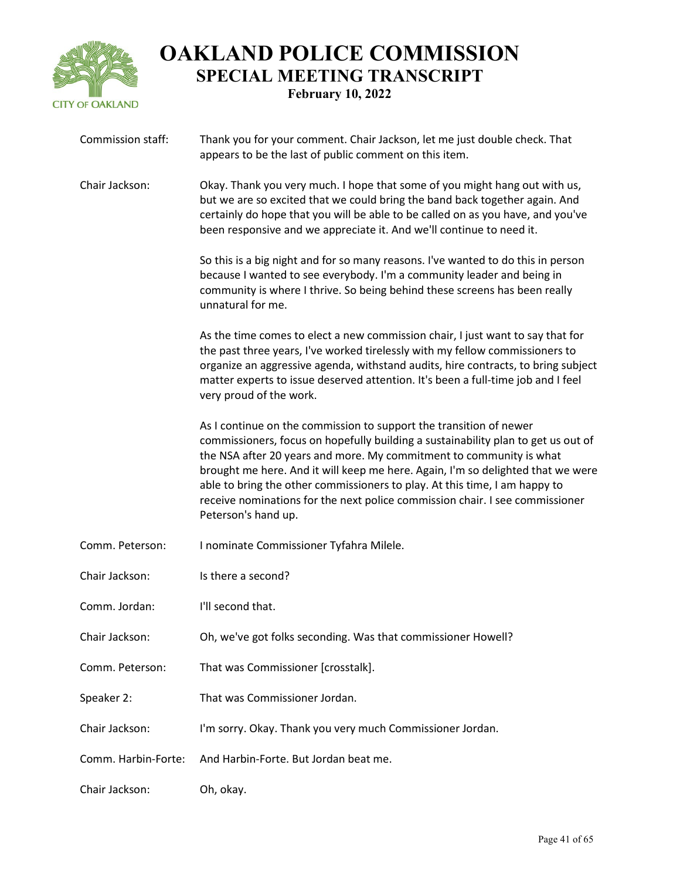

| Commission staff:   | Thank you for your comment. Chair Jackson, let me just double check. That<br>appears to be the last of public comment on this item.                                                                                                                                                                                                                                                                                                                                                                    |
|---------------------|--------------------------------------------------------------------------------------------------------------------------------------------------------------------------------------------------------------------------------------------------------------------------------------------------------------------------------------------------------------------------------------------------------------------------------------------------------------------------------------------------------|
| Chair Jackson:      | Okay. Thank you very much. I hope that some of you might hang out with us,<br>but we are so excited that we could bring the band back together again. And<br>certainly do hope that you will be able to be called on as you have, and you've<br>been responsive and we appreciate it. And we'll continue to need it.                                                                                                                                                                                   |
|                     | So this is a big night and for so many reasons. I've wanted to do this in person<br>because I wanted to see everybody. I'm a community leader and being in<br>community is where I thrive. So being behind these screens has been really<br>unnatural for me.                                                                                                                                                                                                                                          |
|                     | As the time comes to elect a new commission chair, I just want to say that for<br>the past three years, I've worked tirelessly with my fellow commissioners to<br>organize an aggressive agenda, withstand audits, hire contracts, to bring subject<br>matter experts to issue deserved attention. It's been a full-time job and I feel<br>very proud of the work.                                                                                                                                     |
|                     | As I continue on the commission to support the transition of newer<br>commissioners, focus on hopefully building a sustainability plan to get us out of<br>the NSA after 20 years and more. My commitment to community is what<br>brought me here. And it will keep me here. Again, I'm so delighted that we were<br>able to bring the other commissioners to play. At this time, I am happy to<br>receive nominations for the next police commission chair. I see commissioner<br>Peterson's hand up. |
| Comm. Peterson:     | I nominate Commissioner Tyfahra Milele.                                                                                                                                                                                                                                                                                                                                                                                                                                                                |
| Chair Jackson:      | Is there a second?                                                                                                                                                                                                                                                                                                                                                                                                                                                                                     |
| Comm. Jordan:       | I'll second that.                                                                                                                                                                                                                                                                                                                                                                                                                                                                                      |
| Chair Jackson:      | Oh, we've got folks seconding. Was that commissioner Howell?                                                                                                                                                                                                                                                                                                                                                                                                                                           |
| Comm. Peterson:     | That was Commissioner [crosstalk].                                                                                                                                                                                                                                                                                                                                                                                                                                                                     |
| Speaker 2:          | That was Commissioner Jordan.                                                                                                                                                                                                                                                                                                                                                                                                                                                                          |
| Chair Jackson:      | I'm sorry. Okay. Thank you very much Commissioner Jordan.                                                                                                                                                                                                                                                                                                                                                                                                                                              |
| Comm. Harbin-Forte: | And Harbin-Forte. But Jordan beat me.                                                                                                                                                                                                                                                                                                                                                                                                                                                                  |
| Chair Jackson:      | Oh, okay.                                                                                                                                                                                                                                                                                                                                                                                                                                                                                              |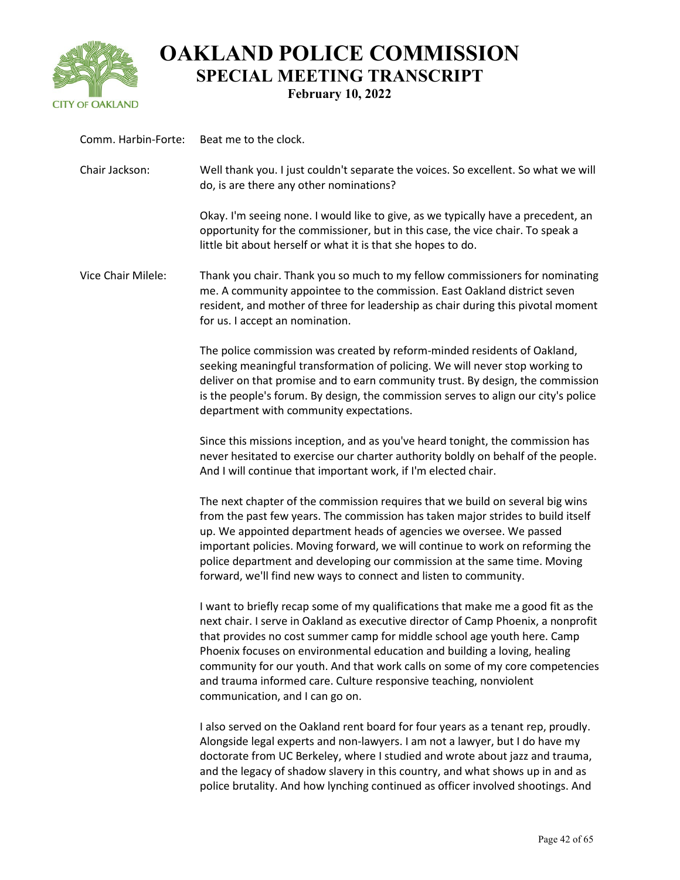

| Comm. Harbin-Forte: | Beat me to the clock.                                                                                                                                                                                                                                                                                                                                                                                                                                                                                                  |
|---------------------|------------------------------------------------------------------------------------------------------------------------------------------------------------------------------------------------------------------------------------------------------------------------------------------------------------------------------------------------------------------------------------------------------------------------------------------------------------------------------------------------------------------------|
| Chair Jackson:      | Well thank you. I just couldn't separate the voices. So excellent. So what we will<br>do, is are there any other nominations?                                                                                                                                                                                                                                                                                                                                                                                          |
|                     | Okay. I'm seeing none. I would like to give, as we typically have a precedent, an<br>opportunity for the commissioner, but in this case, the vice chair. To speak a<br>little bit about herself or what it is that she hopes to do.                                                                                                                                                                                                                                                                                    |
| Vice Chair Milele:  | Thank you chair. Thank you so much to my fellow commissioners for nominating<br>me. A community appointee to the commission. East Oakland district seven<br>resident, and mother of three for leadership as chair during this pivotal moment<br>for us. I accept an nomination.                                                                                                                                                                                                                                        |
|                     | The police commission was created by reform-minded residents of Oakland,<br>seeking meaningful transformation of policing. We will never stop working to<br>deliver on that promise and to earn community trust. By design, the commission<br>is the people's forum. By design, the commission serves to align our city's police<br>department with community expectations.                                                                                                                                            |
|                     | Since this missions inception, and as you've heard tonight, the commission has<br>never hesitated to exercise our charter authority boldly on behalf of the people.<br>And I will continue that important work, if I'm elected chair.                                                                                                                                                                                                                                                                                  |
|                     | The next chapter of the commission requires that we build on several big wins<br>from the past few years. The commission has taken major strides to build itself<br>up. We appointed department heads of agencies we oversee. We passed<br>important policies. Moving forward, we will continue to work on reforming the<br>police department and developing our commission at the same time. Moving<br>forward, we'll find new ways to connect and listen to community.                                               |
|                     | I want to briefly recap some of my qualifications that make me a good fit as the<br>next chair. I serve in Oakland as executive director of Camp Phoenix, a nonprofit<br>that provides no cost summer camp for middle school age youth here. Camp<br>Phoenix focuses on environmental education and building a loving, healing<br>community for our youth. And that work calls on some of my core competencies<br>and trauma informed care. Culture responsive teaching, nonviolent<br>communication, and I can go on. |
|                     | I also served on the Oakland rent board for four years as a tenant rep, proudly.<br>Alongside legal experts and non-lawyers. I am not a lawyer, but I do have my<br>doctorate from UC Berkeley, where I studied and wrote about jazz and trauma,<br>and the legacy of shadow slavery in this country, and what shows up in and as<br>police brutality. And how lynching continued as officer involved shootings. And                                                                                                   |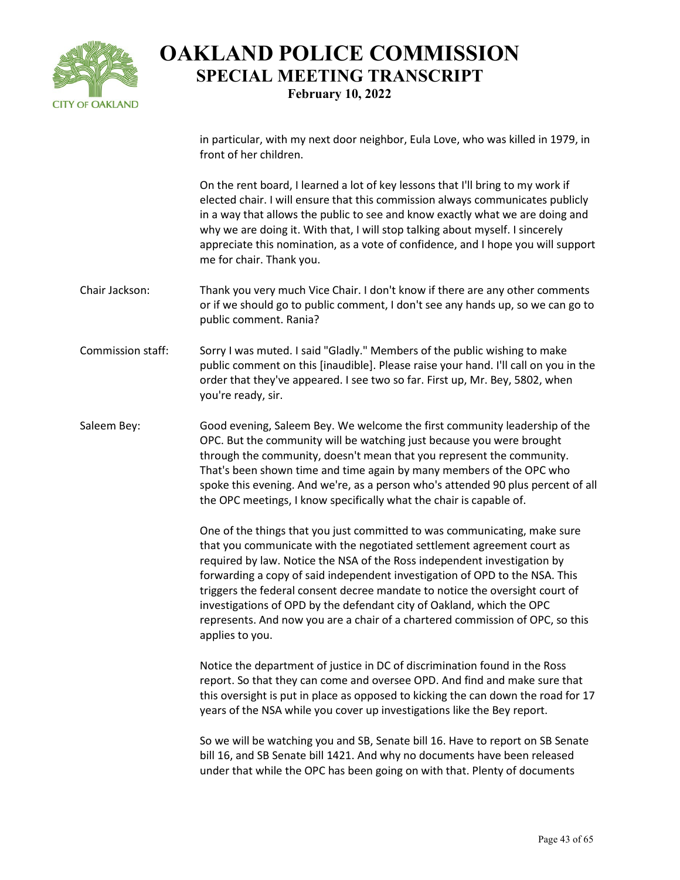

in particular, with my next door neighbor, Eula Love, who was killed in 1979, in front of her children.

On the rent board, I learned a lot of key lessons that I'll bring to my work if elected chair. I will ensure that this commission always communicates publicly in a way that allows the public to see and know exactly what we are doing and why we are doing it. With that, I will stop talking about myself. I sincerely appreciate this nomination, as a vote of confidence, and I hope you will support me for chair. Thank you.

- Chair Jackson: Thank you very much Vice Chair. I don't know if there are any other comments or if we should go to public comment, I don't see any hands up, so we can go to public comment. Rania?
- Commission staff: Sorry I was muted. I said "Gladly." Members of the public wishing to make public comment on this [inaudible]. Please raise your hand. I'll call on you in the order that they've appeared. I see two so far. First up, Mr. Bey, 5802, when you're ready, sir.
- Saleem Bey: Good evening, Saleem Bey. We welcome the first community leadership of the OPC. But the community will be watching just because you were brought through the community, doesn't mean that you represent the community. That's been shown time and time again by many members of the OPC who spoke this evening. And we're, as a person who's attended 90 plus percent of all the OPC meetings, I know specifically what the chair is capable of.

One of the things that you just committed to was communicating, make sure that you communicate with the negotiated settlement agreement court as required by law. Notice the NSA of the Ross independent investigation by forwarding a copy of said independent investigation of OPD to the NSA. This triggers the federal consent decree mandate to notice the oversight court of investigations of OPD by the defendant city of Oakland, which the OPC represents. And now you are a chair of a chartered commission of OPC, so this applies to you.

Notice the department of justice in DC of discrimination found in the Ross report. So that they can come and oversee OPD. And find and make sure that this oversight is put in place as opposed to kicking the can down the road for 17 years of the NSA while you cover up investigations like the Bey report.

So we will be watching you and SB, Senate bill 16. Have to report on SB Senate bill 16, and SB Senate bill 1421. And why no documents have been released under that while the OPC has been going on with that. Plenty of documents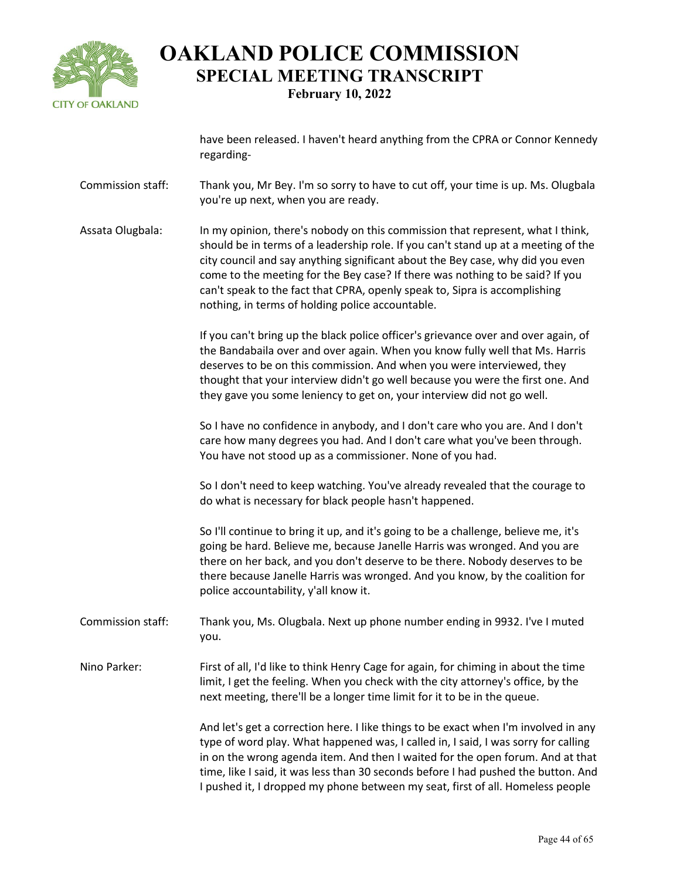

have been released. I haven't heard anything from the CPRA or Connor Kennedy regarding-

- Commission staff: Thank you, Mr Bey. I'm so sorry to have to cut off, your time is up. Ms. Olugbala you're up next, when you are ready.
- Assata Olugbala: In my opinion, there's nobody on this commission that represent, what I think, should be in terms of a leadership role. If you can't stand up at a meeting of the city council and say anything significant about the Bey case, why did you even come to the meeting for the Bey case? If there was nothing to be said? If you can't speak to the fact that CPRA, openly speak to, Sipra is accomplishing nothing, in terms of holding police accountable.

If you can't bring up the black police officer's grievance over and over again, of the Bandabaila over and over again. When you know fully well that Ms. Harris deserves to be on this commission. And when you were interviewed, they thought that your interview didn't go well because you were the first one. And they gave you some leniency to get on, your interview did not go well.

So I have no confidence in anybody, and I don't care who you are. And I don't care how many degrees you had. And I don't care what you've been through. You have not stood up as a commissioner. None of you had.

So I don't need to keep watching. You've already revealed that the courage to do what is necessary for black people hasn't happened.

So I'll continue to bring it up, and it's going to be a challenge, believe me, it's going be hard. Believe me, because Janelle Harris was wronged. And you are there on her back, and you don't deserve to be there. Nobody deserves to be there because Janelle Harris was wronged. And you know, by the coalition for police accountability, y'all know it.

- Commission staff: Thank you, Ms. Olugbala. Next up phone number ending in 9932. I've I muted you.
- Nino Parker: First of all, I'd like to think Henry Cage for again, for chiming in about the time limit, I get the feeling. When you check with the city attorney's office, by the next meeting, there'll be a longer time limit for it to be in the queue.

And let's get a correction here. I like things to be exact when I'm involved in any type of word play. What happened was, I called in, I said, I was sorry for calling in on the wrong agenda item. And then I waited for the open forum. And at that time, like I said, it was less than 30 seconds before I had pushed the button. And I pushed it, I dropped my phone between my seat, first of all. Homeless people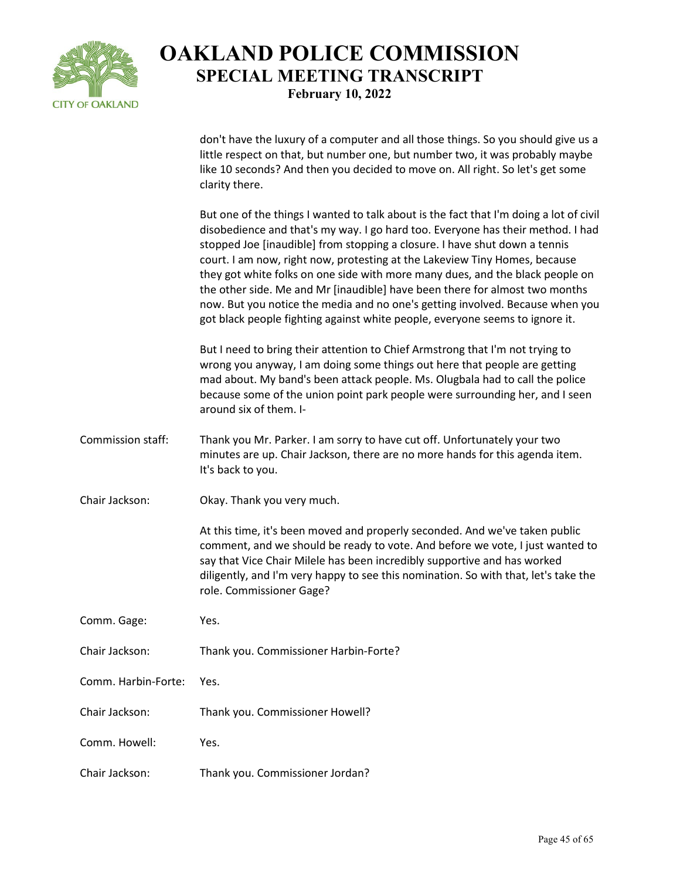

don't have the luxury of a computer and all those things. So you should give us a little respect on that, but number one, but number two, it was probably maybe like 10 seconds? And then you decided to move on. All right. So let's get some clarity there.

But one of the things I wanted to talk about is the fact that I'm doing a lot of civil disobedience and that's my way. I go hard too. Everyone has their method. I had stopped Joe [inaudible] from stopping a closure. I have shut down a tennis court. I am now, right now, protesting at the Lakeview Tiny Homes, because they got white folks on one side with more many dues, and the black people on the other side. Me and Mr [inaudible] have been there for almost two months now. But you notice the media and no one's getting involved. Because when you got black people fighting against white people, everyone seems to ignore it.

But I need to bring their attention to Chief Armstrong that I'm not trying to wrong you anyway, I am doing some things out here that people are getting mad about. My band's been attack people. Ms. Olugbala had to call the police because some of the union point park people were surrounding her, and I seen around six of them. I-

- Commission staff: Thank you Mr. Parker. I am sorry to have cut off. Unfortunately your two minutes are up. Chair Jackson, there are no more hands for this agenda item. It's back to you.
- Chair Jackson: Okay. Thank you very much.

At this time, it's been moved and properly seconded. And we've taken public comment, and we should be ready to vote. And before we vote, I just wanted to say that Vice Chair Milele has been incredibly supportive and has worked diligently, and I'm very happy to see this nomination. So with that, let's take the role. Commissioner Gage?

- Comm. Gage: Yes.
- Chair Jackson: Thank you. Commissioner Harbin-Forte?
- Comm. Harbin-Forte: Yes.
- Chair Jackson: Thank you. Commissioner Howell?
- Comm. Howell: Yes.
- Chair Jackson: Thank you. Commissioner Jordan?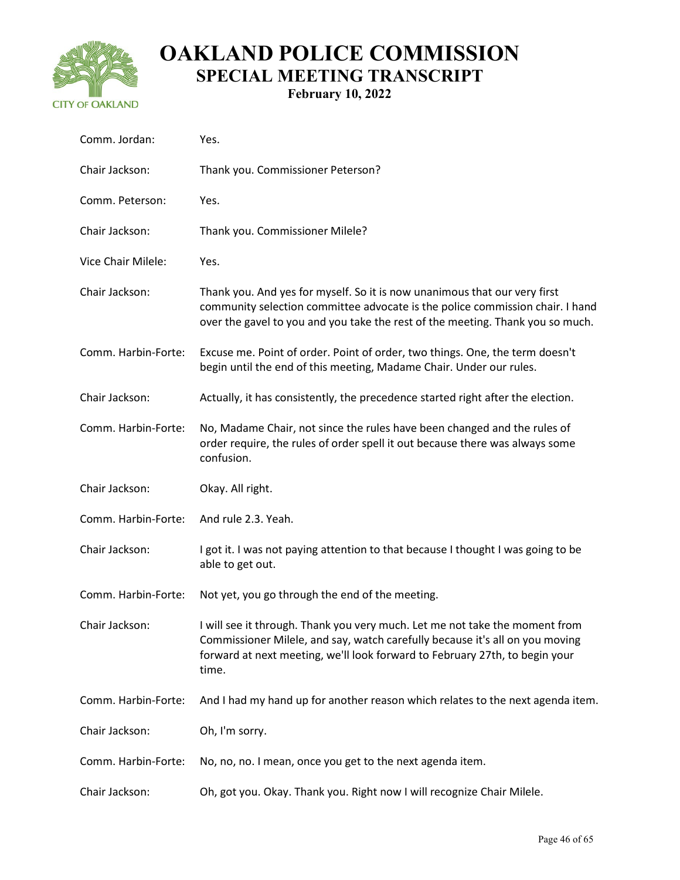

| Comm. Jordan:       | Yes.                                                                                                                                                                                                                                                |
|---------------------|-----------------------------------------------------------------------------------------------------------------------------------------------------------------------------------------------------------------------------------------------------|
| Chair Jackson:      | Thank you. Commissioner Peterson?                                                                                                                                                                                                                   |
| Comm. Peterson:     | Yes.                                                                                                                                                                                                                                                |
| Chair Jackson:      | Thank you. Commissioner Milele?                                                                                                                                                                                                                     |
| Vice Chair Milele:  | Yes.                                                                                                                                                                                                                                                |
| Chair Jackson:      | Thank you. And yes for myself. So it is now unanimous that our very first<br>community selection committee advocate is the police commission chair. I hand<br>over the gavel to you and you take the rest of the meeting. Thank you so much.        |
| Comm. Harbin-Forte: | Excuse me. Point of order. Point of order, two things. One, the term doesn't<br>begin until the end of this meeting, Madame Chair. Under our rules.                                                                                                 |
| Chair Jackson:      | Actually, it has consistently, the precedence started right after the election.                                                                                                                                                                     |
| Comm. Harbin-Forte: | No, Madame Chair, not since the rules have been changed and the rules of<br>order require, the rules of order spell it out because there was always some<br>confusion.                                                                              |
| Chair Jackson:      | Okay. All right.                                                                                                                                                                                                                                    |
|                     |                                                                                                                                                                                                                                                     |
| Comm. Harbin-Forte: | And rule 2.3. Yeah.                                                                                                                                                                                                                                 |
| Chair Jackson:      | I got it. I was not paying attention to that because I thought I was going to be<br>able to get out.                                                                                                                                                |
| Comm. Harbin-Forte: | Not yet, you go through the end of the meeting.                                                                                                                                                                                                     |
| Chair Jackson:      | I will see it through. Thank you very much. Let me not take the moment from<br>Commissioner Milele, and say, watch carefully because it's all on you moving<br>forward at next meeting, we'll look forward to February 27th, to begin your<br>time. |
| Comm. Harbin-Forte: | And I had my hand up for another reason which relates to the next agenda item.                                                                                                                                                                      |
| Chair Jackson:      | Oh, I'm sorry.                                                                                                                                                                                                                                      |
| Comm. Harbin-Forte: | No, no, no. I mean, once you get to the next agenda item.                                                                                                                                                                                           |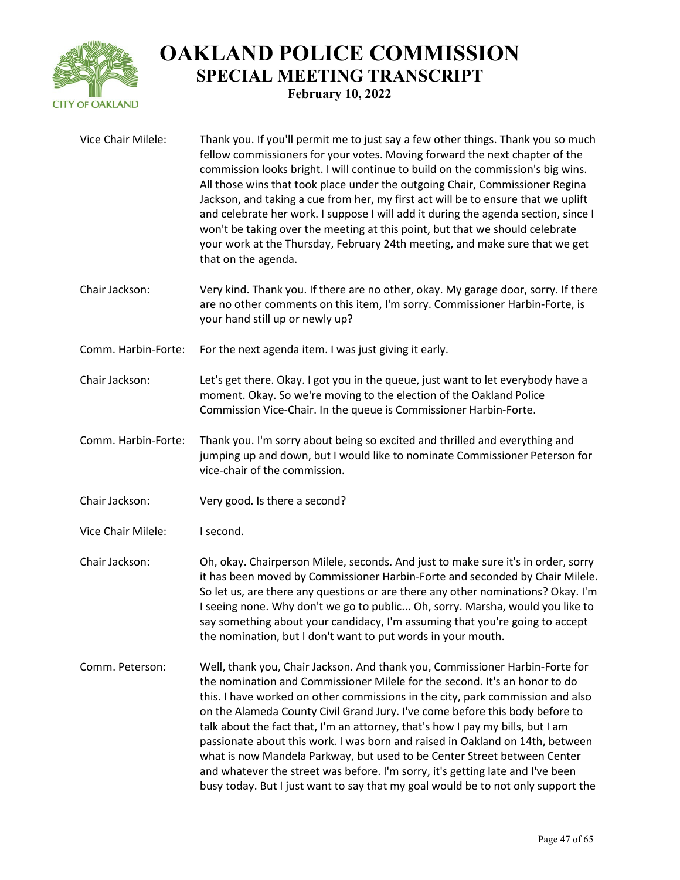

| Vice Chair Milele:  | Thank you. If you'll permit me to just say a few other things. Thank you so much<br>fellow commissioners for your votes. Moving forward the next chapter of the<br>commission looks bright. I will continue to build on the commission's big wins.<br>All those wins that took place under the outgoing Chair, Commissioner Regina<br>Jackson, and taking a cue from her, my first act will be to ensure that we uplift<br>and celebrate her work. I suppose I will add it during the agenda section, since I<br>won't be taking over the meeting at this point, but that we should celebrate<br>your work at the Thursday, February 24th meeting, and make sure that we get<br>that on the agenda.                                               |
|---------------------|---------------------------------------------------------------------------------------------------------------------------------------------------------------------------------------------------------------------------------------------------------------------------------------------------------------------------------------------------------------------------------------------------------------------------------------------------------------------------------------------------------------------------------------------------------------------------------------------------------------------------------------------------------------------------------------------------------------------------------------------------|
| Chair Jackson:      | Very kind. Thank you. If there are no other, okay. My garage door, sorry. If there<br>are no other comments on this item, I'm sorry. Commissioner Harbin-Forte, is<br>your hand still up or newly up?                                                                                                                                                                                                                                                                                                                                                                                                                                                                                                                                             |
| Comm. Harbin-Forte: | For the next agenda item. I was just giving it early.                                                                                                                                                                                                                                                                                                                                                                                                                                                                                                                                                                                                                                                                                             |
| Chair Jackson:      | Let's get there. Okay. I got you in the queue, just want to let everybody have a<br>moment. Okay. So we're moving to the election of the Oakland Police<br>Commission Vice-Chair. In the queue is Commissioner Harbin-Forte.                                                                                                                                                                                                                                                                                                                                                                                                                                                                                                                      |
| Comm. Harbin-Forte: | Thank you. I'm sorry about being so excited and thrilled and everything and<br>jumping up and down, but I would like to nominate Commissioner Peterson for<br>vice-chair of the commission.                                                                                                                                                                                                                                                                                                                                                                                                                                                                                                                                                       |
| Chair Jackson:      | Very good. Is there a second?                                                                                                                                                                                                                                                                                                                                                                                                                                                                                                                                                                                                                                                                                                                     |
| Vice Chair Milele:  | I second.                                                                                                                                                                                                                                                                                                                                                                                                                                                                                                                                                                                                                                                                                                                                         |
| Chair Jackson:      | Oh, okay. Chairperson Milele, seconds. And just to make sure it's in order, sorry<br>it has been moved by Commissioner Harbin-Forte and seconded by Chair Milele.<br>So let us, are there any questions or are there any other nominations? Okay. I'm<br>I seeing none. Why don't we go to public Oh, sorry. Marsha, would you like to<br>say something about your candidacy, I'm assuming that you're going to accept<br>the nomination, but I don't want to put words in your mouth.                                                                                                                                                                                                                                                            |
| Comm. Peterson:     | Well, thank you, Chair Jackson. And thank you, Commissioner Harbin-Forte for<br>the nomination and Commissioner Milele for the second. It's an honor to do<br>this. I have worked on other commissions in the city, park commission and also<br>on the Alameda County Civil Grand Jury. I've come before this body before to<br>talk about the fact that, I'm an attorney, that's how I pay my bills, but I am<br>passionate about this work. I was born and raised in Oakland on 14th, between<br>what is now Mandela Parkway, but used to be Center Street between Center<br>and whatever the street was before. I'm sorry, it's getting late and I've been<br>busy today. But I just want to say that my goal would be to not only support the |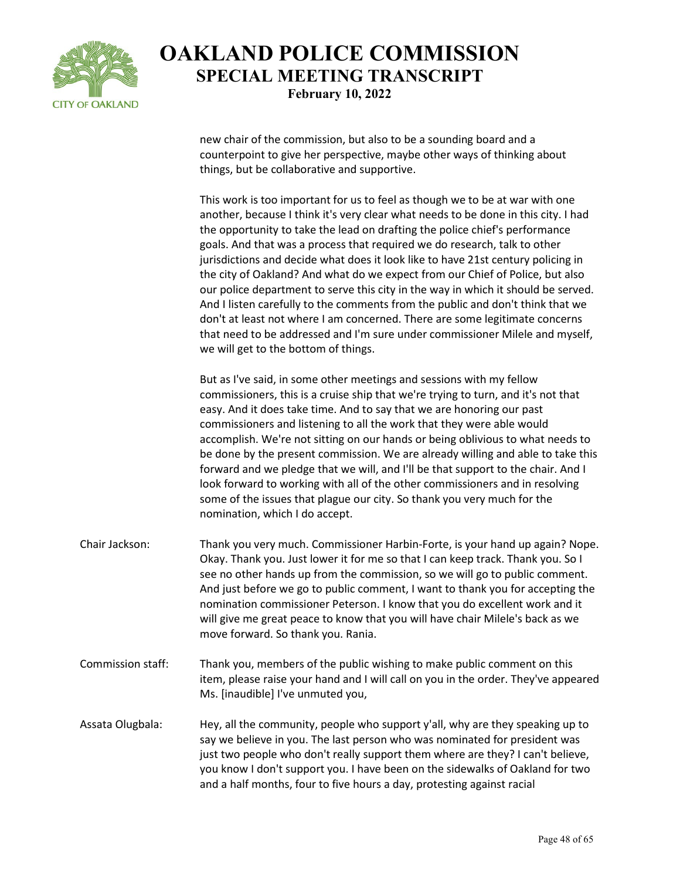

new chair of the commission, but also to be a sounding board and a counterpoint to give her perspective, maybe other ways of thinking about things, but be collaborative and supportive.

This work is too important for us to feel as though we to be at war with one another, because I think it's very clear what needs to be done in this city. I had the opportunity to take the lead on drafting the police chief's performance goals. And that was a process that required we do research, talk to other jurisdictions and decide what does it look like to have 21st century policing in the city of Oakland? And what do we expect from our Chief of Police, but also our police department to serve this city in the way in which it should be served. And I listen carefully to the comments from the public and don't think that we don't at least not where I am concerned. There are some legitimate concerns that need to be addressed and I'm sure under commissioner Milele and myself, we will get to the bottom of things.

But as I've said, in some other meetings and sessions with my fellow commissioners, this is a cruise ship that we're trying to turn, and it's not that easy. And it does take time. And to say that we are honoring our past commissioners and listening to all the work that they were able would accomplish. We're not sitting on our hands or being oblivious to what needs to be done by the present commission. We are already willing and able to take this forward and we pledge that we will, and I'll be that support to the chair. And I look forward to working with all of the other commissioners and in resolving some of the issues that plague our city. So thank you very much for the nomination, which I do accept.

- Chair Jackson: Thank you very much. Commissioner Harbin-Forte, is your hand up again? Nope. Okay. Thank you. Just lower it for me so that I can keep track. Thank you. So I see no other hands up from the commission, so we will go to public comment. And just before we go to public comment, I want to thank you for accepting the nomination commissioner Peterson. I know that you do excellent work and it will give me great peace to know that you will have chair Milele's back as we move forward. So thank you. Rania.
- Commission staff: Thank you, members of the public wishing to make public comment on this item, please raise your hand and I will call on you in the order. They've appeared Ms. [inaudible] I've unmuted you,

Assata Olugbala: Hey, all the community, people who support y'all, why are they speaking up to say we believe in you. The last person who was nominated for president was just two people who don't really support them where are they? I can't believe, you know I don't support you. I have been on the sidewalks of Oakland for two and a half months, four to five hours a day, protesting against racial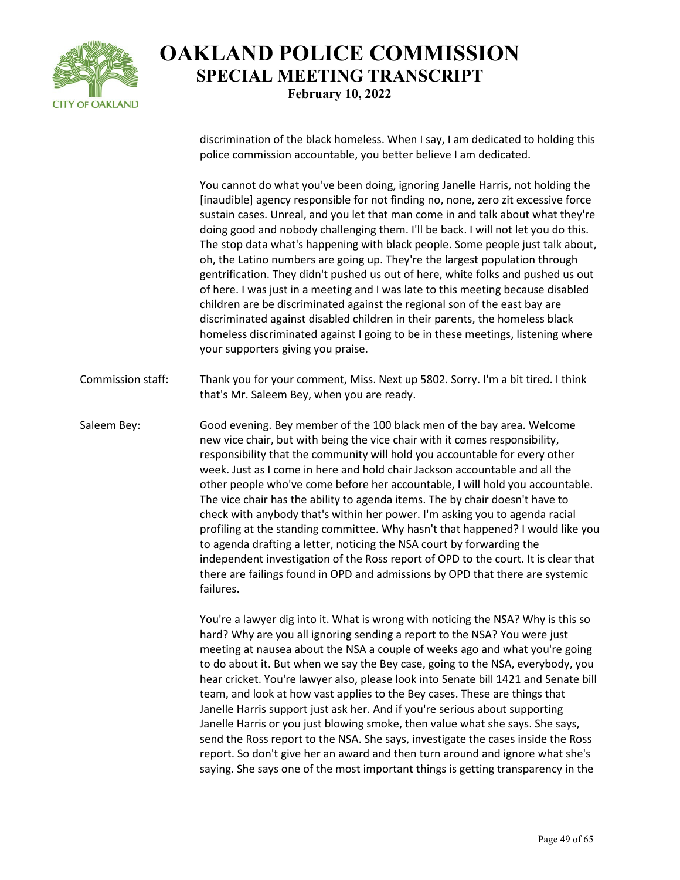

discrimination of the black homeless. When I say, I am dedicated to holding this police commission accountable, you better believe I am dedicated.

You cannot do what you've been doing, ignoring Janelle Harris, not holding the [inaudible] agency responsible for not finding no, none, zero zit excessive force sustain cases. Unreal, and you let that man come in and talk about what they're doing good and nobody challenging them. I'll be back. I will not let you do this. The stop data what's happening with black people. Some people just talk about, oh, the Latino numbers are going up. They're the largest population through gentrification. They didn't pushed us out of here, white folks and pushed us out of here. I was just in a meeting and I was late to this meeting because disabled children are be discriminated against the regional son of the east bay are discriminated against disabled children in their parents, the homeless black homeless discriminated against I going to be in these meetings, listening where your supporters giving you praise.

Commission staff: Thank you for your comment, Miss. Next up 5802. Sorry. I'm a bit tired. I think that's Mr. Saleem Bey, when you are ready.

Saleem Bey: Good evening. Bey member of the 100 black men of the bay area. Welcome new vice chair, but with being the vice chair with it comes responsibility, responsibility that the community will hold you accountable for every other week. Just as I come in here and hold chair Jackson accountable and all the other people who've come before her accountable, I will hold you accountable. The vice chair has the ability to agenda items. The by chair doesn't have to check with anybody that's within her power. I'm asking you to agenda racial profiling at the standing committee. Why hasn't that happened? I would like you to agenda drafting a letter, noticing the NSA court by forwarding the independent investigation of the Ross report of OPD to the court. It is clear that there are failings found in OPD and admissions by OPD that there are systemic failures.

> You're a lawyer dig into it. What is wrong with noticing the NSA? Why is this so hard? Why are you all ignoring sending a report to the NSA? You were just meeting at nausea about the NSA a couple of weeks ago and what you're going to do about it. But when we say the Bey case, going to the NSA, everybody, you hear cricket. You're lawyer also, please look into Senate bill 1421 and Senate bill team, and look at how vast applies to the Bey cases. These are things that Janelle Harris support just ask her. And if you're serious about supporting Janelle Harris or you just blowing smoke, then value what she says. She says, send the Ross report to the NSA. She says, investigate the cases inside the Ross report. So don't give her an award and then turn around and ignore what she's saying. She says one of the most important things is getting transparency in the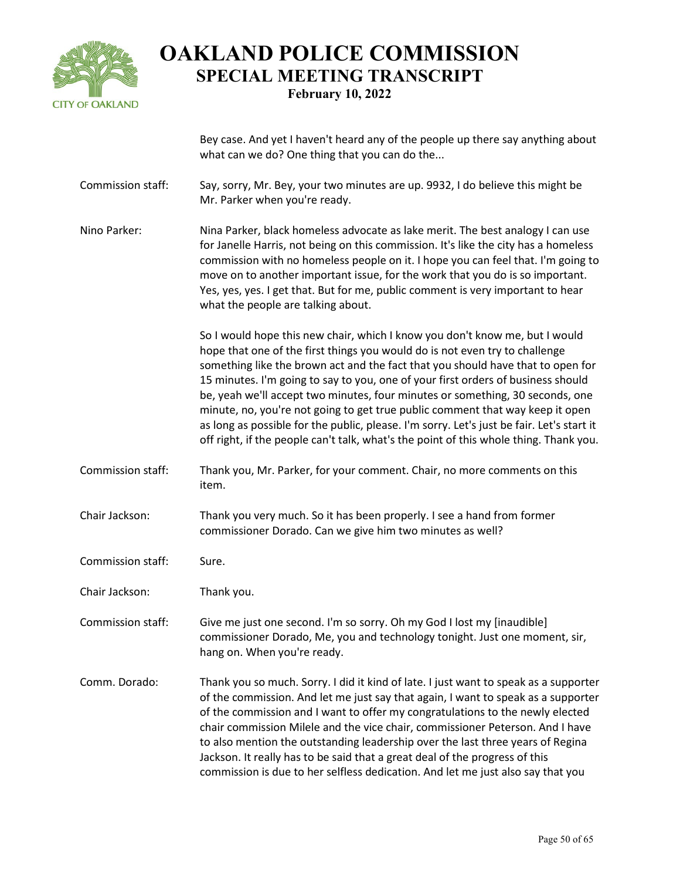

Bey case. And yet I haven't heard any of the people up there say anything about what can we do? One thing that you can do the...

Commission staff: Say, sorry, Mr. Bey, your two minutes are up. 9932, I do believe this might be Mr. Parker when you're ready.

Nino Parker: Nina Parker, black homeless advocate as lake merit. The best analogy I can use for Janelle Harris, not being on this commission. It's like the city has a homeless commission with no homeless people on it. I hope you can feel that. I'm going to move on to another important issue, for the work that you do is so important. Yes, yes, yes. I get that. But for me, public comment is very important to hear what the people are talking about.

> So I would hope this new chair, which I know you don't know me, but I would hope that one of the first things you would do is not even try to challenge something like the brown act and the fact that you should have that to open for 15 minutes. I'm going to say to you, one of your first orders of business should be, yeah we'll accept two minutes, four minutes or something, 30 seconds, one minute, no, you're not going to get true public comment that way keep it open as long as possible for the public, please. I'm sorry. Let's just be fair. Let's start it off right, if the people can't talk, what's the point of this whole thing. Thank you.

- Commission staff: Thank you, Mr. Parker, for your comment. Chair, no more comments on this item.
- Chair Jackson: Thank you very much. So it has been properly. I see a hand from former commissioner Dorado. Can we give him two minutes as well?
- Commission staff: Sure.
- Chair Jackson: Thank you.

Commission staff: Give me just one second. I'm so sorry. Oh my God I lost my [inaudible] commissioner Dorado, Me, you and technology tonight. Just one moment, sir, hang on. When you're ready.

Comm. Dorado: Thank you so much. Sorry. I did it kind of late. I just want to speak as a supporter of the commission. And let me just say that again, I want to speak as a supporter of the commission and I want to offer my congratulations to the newly elected chair commission Milele and the vice chair, commissioner Peterson. And I have to also mention the outstanding leadership over the last three years of Regina Jackson. It really has to be said that a great deal of the progress of this commission is due to her selfless dedication. And let me just also say that you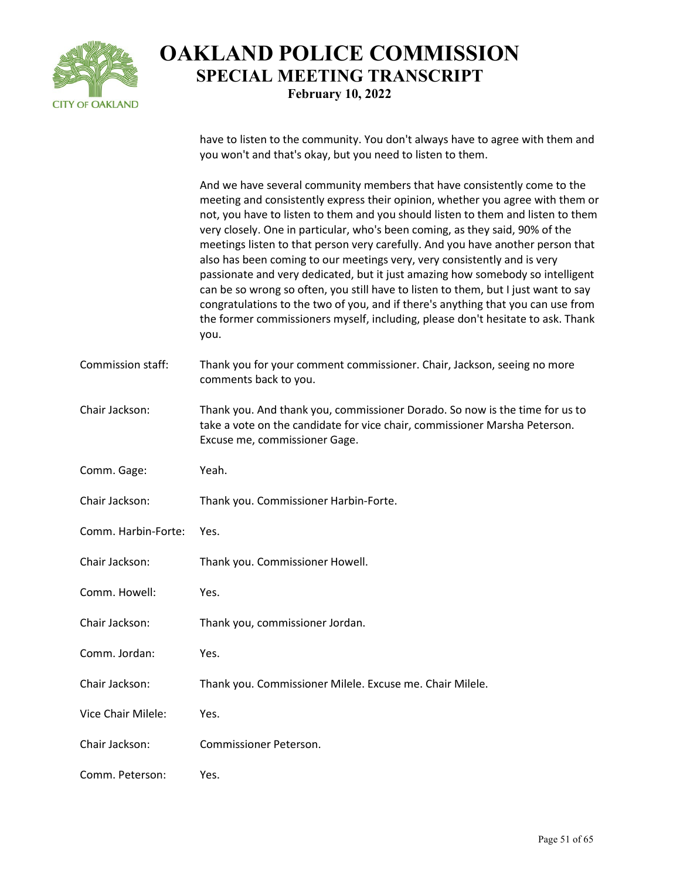

have to listen to the community. You don't always have to agree with them and you won't and that's okay, but you need to listen to them.

And we have several community members that have consistently come to the meeting and consistently express their opinion, whether you agree with them or not, you have to listen to them and you should listen to them and listen to them very closely. One in particular, who's been coming, as they said, 90% of the meetings listen to that person very carefully. And you have another person that also has been coming to our meetings very, very consistently and is very passionate and very dedicated, but it just amazing how somebody so intelligent can be so wrong so often, you still have to listen to them, but I just want to say congratulations to the two of you, and if there's anything that you can use from the former commissioners myself, including, please don't hesitate to ask. Thank you.

- Commission staff: Thank you for your comment commissioner. Chair, Jackson, seeing no more comments back to you.
- Chair Jackson: Thank you. And thank you, commissioner Dorado. So now is the time for us to take a vote on the candidate for vice chair, commissioner Marsha Peterson. Excuse me, commissioner Gage.
- Comm. Gage: Yeah.
- Chair Jackson: Thank you. Commissioner Harbin-Forte.
- Comm. Harbin-Forte: Yes.
- Chair Jackson: Thank you. Commissioner Howell.
- Comm. Howell: Yes.
- Chair Jackson: Thank you, commissioner Jordan.
- Comm. Jordan: Yes.
- Chair Jackson: Thank you. Commissioner Milele. Excuse me. Chair Milele.
- Vice Chair Milele: Yes.
- Chair Jackson: Commissioner Peterson.
- Comm. Peterson: Yes.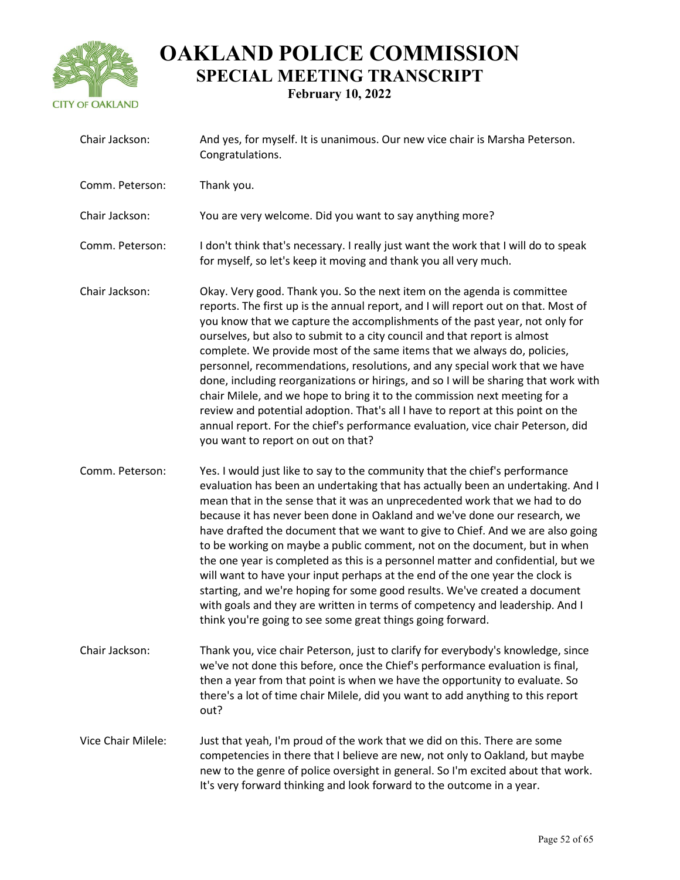

| Chair Jackson:     | And yes, for myself. It is unanimous. Our new vice chair is Marsha Peterson.<br>Congratulations.                                                                                                                                                                                                                                                                                                                                                                                                                                                                                                                                                                                                                                                                                                                                                                                         |
|--------------------|------------------------------------------------------------------------------------------------------------------------------------------------------------------------------------------------------------------------------------------------------------------------------------------------------------------------------------------------------------------------------------------------------------------------------------------------------------------------------------------------------------------------------------------------------------------------------------------------------------------------------------------------------------------------------------------------------------------------------------------------------------------------------------------------------------------------------------------------------------------------------------------|
| Comm. Peterson:    | Thank you.                                                                                                                                                                                                                                                                                                                                                                                                                                                                                                                                                                                                                                                                                                                                                                                                                                                                               |
| Chair Jackson:     | You are very welcome. Did you want to say anything more?                                                                                                                                                                                                                                                                                                                                                                                                                                                                                                                                                                                                                                                                                                                                                                                                                                 |
| Comm. Peterson:    | I don't think that's necessary. I really just want the work that I will do to speak<br>for myself, so let's keep it moving and thank you all very much.                                                                                                                                                                                                                                                                                                                                                                                                                                                                                                                                                                                                                                                                                                                                  |
| Chair Jackson:     | Okay. Very good. Thank you. So the next item on the agenda is committee<br>reports. The first up is the annual report, and I will report out on that. Most of<br>you know that we capture the accomplishments of the past year, not only for<br>ourselves, but also to submit to a city council and that report is almost<br>complete. We provide most of the same items that we always do, policies,<br>personnel, recommendations, resolutions, and any special work that we have<br>done, including reorganizations or hirings, and so I will be sharing that work with<br>chair Milele, and we hope to bring it to the commission next meeting for a<br>review and potential adoption. That's all I have to report at this point on the<br>annual report. For the chief's performance evaluation, vice chair Peterson, did<br>you want to report on out on that?                     |
| Comm. Peterson:    | Yes. I would just like to say to the community that the chief's performance<br>evaluation has been an undertaking that has actually been an undertaking. And I<br>mean that in the sense that it was an unprecedented work that we had to do<br>because it has never been done in Oakland and we've done our research, we<br>have drafted the document that we want to give to Chief. And we are also going<br>to be working on maybe a public comment, not on the document, but in when<br>the one year is completed as this is a personnel matter and confidential, but we<br>will want to have your input perhaps at the end of the one year the clock is<br>starting, and we're hoping for some good results. We've created a document<br>with goals and they are written in terms of competency and leadership. And I<br>think you're going to see some great things going forward. |
| Chair Jackson:     | Thank you, vice chair Peterson, just to clarify for everybody's knowledge, since<br>we've not done this before, once the Chief's performance evaluation is final,<br>then a year from that point is when we have the opportunity to evaluate. So<br>there's a lot of time chair Milele, did you want to add anything to this report<br>out?                                                                                                                                                                                                                                                                                                                                                                                                                                                                                                                                              |
| Vice Chair Milele: | Just that yeah, I'm proud of the work that we did on this. There are some<br>competencies in there that I believe are new, not only to Oakland, but maybe<br>new to the genre of police oversight in general. So I'm excited about that work.<br>It's very forward thinking and look forward to the outcome in a year.                                                                                                                                                                                                                                                                                                                                                                                                                                                                                                                                                                   |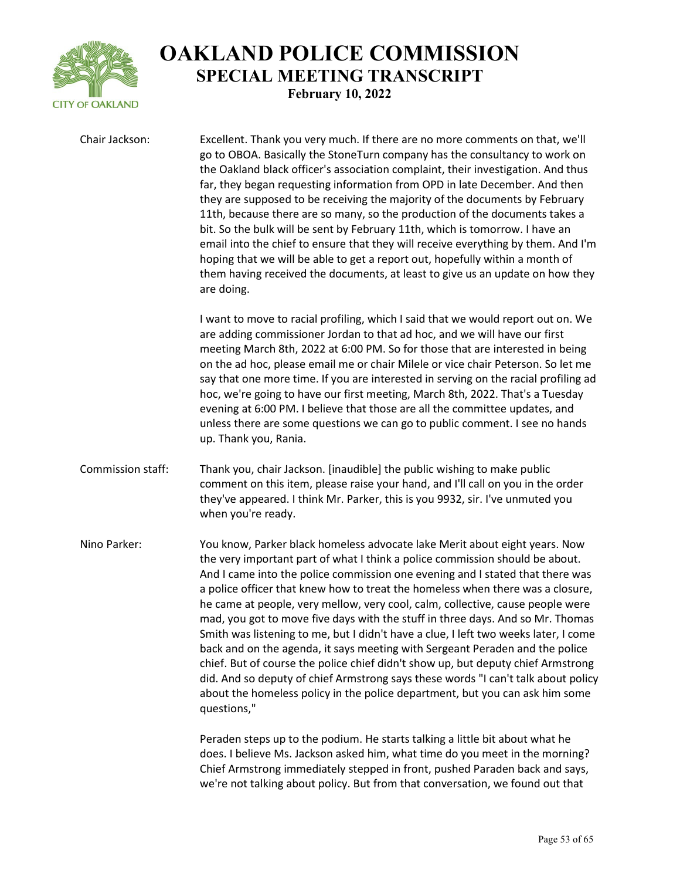

Chair Jackson: Excellent. Thank you very much. If there are no more comments on that, we'll go to OBOA. Basically the StoneTurn company has the consultancy to work on the Oakland black officer's association complaint, their investigation. And thus far, they began requesting information from OPD in late December. And then they are supposed to be receiving the majority of the documents by February 11th, because there are so many, so the production of the documents takes a bit. So the bulk will be sent by February 11th, which is tomorrow. I have an email into the chief to ensure that they will receive everything by them. And I'm hoping that we will be able to get a report out, hopefully within a month of them having received the documents, at least to give us an update on how they are doing. I want to move to racial profiling, which I said that we would report out on. We are adding commissioner Jordan to that ad hoc, and we will have our first meeting March 8th, 2022 at 6:00 PM. So for those that are interested in being on the ad hoc, please email me or chair Milele or vice chair Peterson. So let me say that one more time. If you are interested in serving on the racial profiling ad hoc, we're going to have our first meeting, March 8th, 2022. That's a Tuesday evening at 6:00 PM. I believe that those are all the committee updates, and unless there are some questions we can go to public comment. I see no hands up. Thank you, Rania. Commission staff: Thank you, chair Jackson. [inaudible] the public wishing to make public comment on this item, please raise your hand, and I'll call on you in the order they've appeared. I think Mr. Parker, this is you 9932, sir. I've unmuted you when you're ready. Nino Parker: You know, Parker black homeless advocate lake Merit about eight years. Now the very important part of what I think a police commission should be about. And I came into the police commission one evening and I stated that there was a police officer that knew how to treat the homeless when there was a closure, he came at people, very mellow, very cool, calm, collective, cause people were mad, you got to move five days with the stuff in three days. And so Mr. Thomas Smith was listening to me, but I didn't have a clue, I left two weeks later, I come back and on the agenda, it says meeting with Sergeant Peraden and the police chief. But of course the police chief didn't show up, but deputy chief Armstrong did. And so deputy of chief Armstrong says these words "I can't talk about policy about the homeless policy in the police department, but you can ask him some questions,"

> Peraden steps up to the podium. He starts talking a little bit about what he does. I believe Ms. Jackson asked him, what time do you meet in the morning? Chief Armstrong immediately stepped in front, pushed Paraden back and says, we're not talking about policy. But from that conversation, we found out that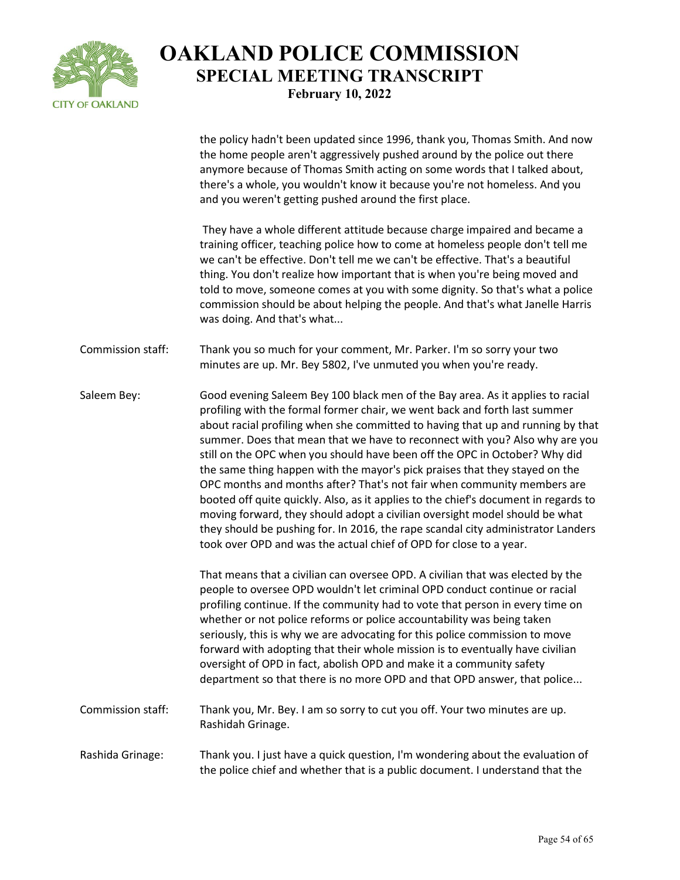

the policy hadn't been updated since 1996, thank you, Thomas Smith. And now the home people aren't aggressively pushed around by the police out there anymore because of Thomas Smith acting on some words that I talked about, there's a whole, you wouldn't know it because you're not homeless. And you and you weren't getting pushed around the first place.

They have a whole different attitude because charge impaired and became a training officer, teaching police how to come at homeless people don't tell me we can't be effective. Don't tell me we can't be effective. That's a beautiful thing. You don't realize how important that is when you're being moved and told to move, someone comes at you with some dignity. So that's what a police commission should be about helping the people. And that's what Janelle Harris was doing. And that's what...

- Commission staff: Thank you so much for your comment, Mr. Parker. I'm so sorry your two minutes are up. Mr. Bey 5802, I've unmuted you when you're ready.
- Saleem Bey: Good evening Saleem Bey 100 black men of the Bay area. As it applies to racial profiling with the formal former chair, we went back and forth last summer about racial profiling when she committed to having that up and running by that summer. Does that mean that we have to reconnect with you? Also why are you still on the OPC when you should have been off the OPC in October? Why did the same thing happen with the mayor's pick praises that they stayed on the OPC months and months after? That's not fair when community members are booted off quite quickly. Also, as it applies to the chief's document in regards to moving forward, they should adopt a civilian oversight model should be what they should be pushing for. In 2016, the rape scandal city administrator Landers took over OPD and was the actual chief of OPD for close to a year.

That means that a civilian can oversee OPD. A civilian that was elected by the people to oversee OPD wouldn't let criminal OPD conduct continue or racial profiling continue. If the community had to vote that person in every time on whether or not police reforms or police accountability was being taken seriously, this is why we are advocating for this police commission to move forward with adopting that their whole mission is to eventually have civilian oversight of OPD in fact, abolish OPD and make it a community safety department so that there is no more OPD and that OPD answer, that police...

- Commission staff: Thank you, Mr. Bey. I am so sorry to cut you off. Your two minutes are up. Rashidah Grinage.
- Rashida Grinage: Thank you. I just have a quick question, I'm wondering about the evaluation of the police chief and whether that is a public document. I understand that the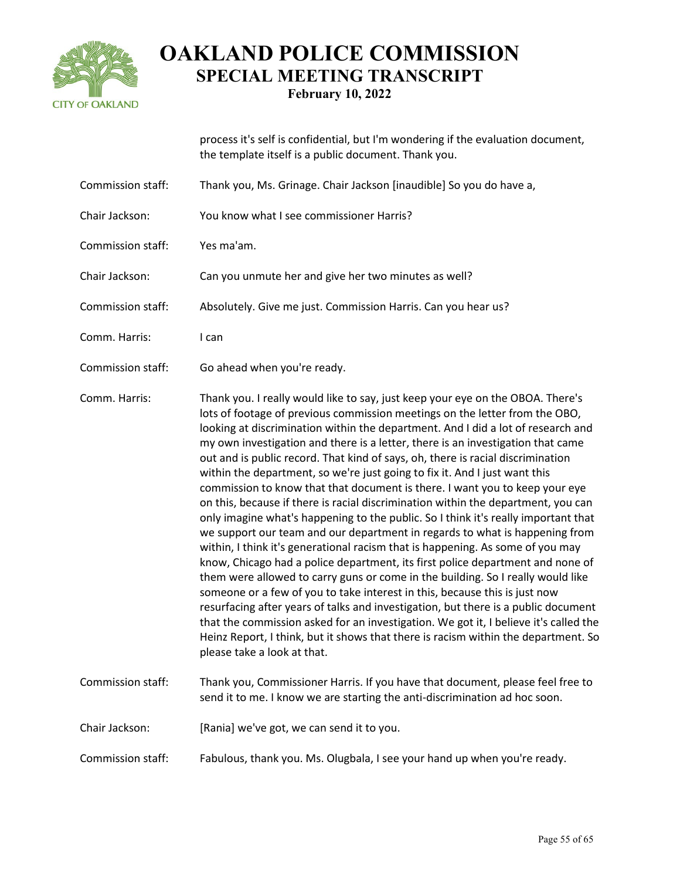

process it's self is confidential, but I'm wondering if the evaluation document, the template itself is a public document. Thank you.

- Commission staff: Thank you, Ms. Grinage. Chair Jackson [inaudible] So you do have a,
- Chair Jackson: You know what I see commissioner Harris?
- Commission staff: Yes ma'am.
- Chair Jackson: Can you unmute her and give her two minutes as well?
- Commission staff: Absolutely. Give me just. Commission Harris. Can you hear us?
- Comm. Harris: I can
- Commission staff: Go ahead when you're ready.

Comm. Harris: Thank you. I really would like to say, just keep your eye on the OBOA. There's lots of footage of previous commission meetings on the letter from the OBO, looking at discrimination within the department. And I did a lot of research and my own investigation and there is a letter, there is an investigation that came out and is public record. That kind of says, oh, there is racial discrimination within the department, so we're just going to fix it. And I just want this commission to know that that document is there. I want you to keep your eye on this, because if there is racial discrimination within the department, you can only imagine what's happening to the public. So I think it's really important that we support our team and our department in regards to what is happening from within, I think it's generational racism that is happening. As some of you may know, Chicago had a police department, its first police department and none of them were allowed to carry guns or come in the building. So I really would like someone or a few of you to take interest in this, because this is just now resurfacing after years of talks and investigation, but there is a public document that the commission asked for an investigation. We got it, I believe it's called the Heinz Report, I think, but it shows that there is racism within the department. So please take a look at that.

- Commission staff: Thank you, Commissioner Harris. If you have that document, please feel free to send it to me. I know we are starting the anti-discrimination ad hoc soon.
- Chair Jackson: [Rania] we've got, we can send it to you.
- Commission staff: Fabulous, thank you. Ms. Olugbala, I see your hand up when you're ready.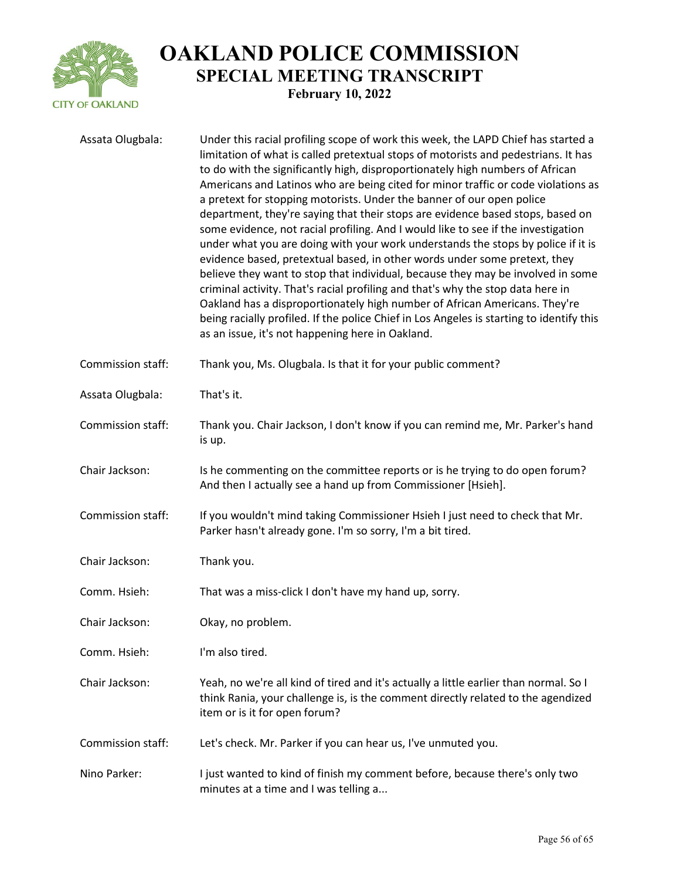

| Assata Olugbala:  | Under this racial profiling scope of work this week, the LAPD Chief has started a<br>limitation of what is called pretextual stops of motorists and pedestrians. It has<br>to do with the significantly high, disproportionately high numbers of African<br>Americans and Latinos who are being cited for minor traffic or code violations as<br>a pretext for stopping motorists. Under the banner of our open police<br>department, they're saying that their stops are evidence based stops, based on<br>some evidence, not racial profiling. And I would like to see if the investigation<br>under what you are doing with your work understands the stops by police if it is<br>evidence based, pretextual based, in other words under some pretext, they<br>believe they want to stop that individual, because they may be involved in some<br>criminal activity. That's racial profiling and that's why the stop data here in<br>Oakland has a disproportionately high number of African Americans. They're<br>being racially profiled. If the police Chief in Los Angeles is starting to identify this<br>as an issue, it's not happening here in Oakland. |
|-------------------|--------------------------------------------------------------------------------------------------------------------------------------------------------------------------------------------------------------------------------------------------------------------------------------------------------------------------------------------------------------------------------------------------------------------------------------------------------------------------------------------------------------------------------------------------------------------------------------------------------------------------------------------------------------------------------------------------------------------------------------------------------------------------------------------------------------------------------------------------------------------------------------------------------------------------------------------------------------------------------------------------------------------------------------------------------------------------------------------------------------------------------------------------------------------|
| Commission staff: | Thank you, Ms. Olugbala. Is that it for your public comment?                                                                                                                                                                                                                                                                                                                                                                                                                                                                                                                                                                                                                                                                                                                                                                                                                                                                                                                                                                                                                                                                                                       |
| Assata Olugbala:  | That's it.                                                                                                                                                                                                                                                                                                                                                                                                                                                                                                                                                                                                                                                                                                                                                                                                                                                                                                                                                                                                                                                                                                                                                         |
| Commission staff: | Thank you. Chair Jackson, I don't know if you can remind me, Mr. Parker's hand<br>is up.                                                                                                                                                                                                                                                                                                                                                                                                                                                                                                                                                                                                                                                                                                                                                                                                                                                                                                                                                                                                                                                                           |
| Chair Jackson:    | Is he commenting on the committee reports or is he trying to do open forum?<br>And then I actually see a hand up from Commissioner [Hsieh].                                                                                                                                                                                                                                                                                                                                                                                                                                                                                                                                                                                                                                                                                                                                                                                                                                                                                                                                                                                                                        |
| Commission staff: | If you wouldn't mind taking Commissioner Hsieh I just need to check that Mr.<br>Parker hasn't already gone. I'm so sorry, I'm a bit tired.                                                                                                                                                                                                                                                                                                                                                                                                                                                                                                                                                                                                                                                                                                                                                                                                                                                                                                                                                                                                                         |
| Chair Jackson:    | Thank you.                                                                                                                                                                                                                                                                                                                                                                                                                                                                                                                                                                                                                                                                                                                                                                                                                                                                                                                                                                                                                                                                                                                                                         |
| Comm. Hsieh:      | That was a miss-click I don't have my hand up, sorry.                                                                                                                                                                                                                                                                                                                                                                                                                                                                                                                                                                                                                                                                                                                                                                                                                                                                                                                                                                                                                                                                                                              |
| Chair Jackson:    | Okay, no problem.                                                                                                                                                                                                                                                                                                                                                                                                                                                                                                                                                                                                                                                                                                                                                                                                                                                                                                                                                                                                                                                                                                                                                  |
| Comm. Hsieh:      | I'm also tired.                                                                                                                                                                                                                                                                                                                                                                                                                                                                                                                                                                                                                                                                                                                                                                                                                                                                                                                                                                                                                                                                                                                                                    |
| Chair Jackson:    | Yeah, no we're all kind of tired and it's actually a little earlier than normal. So I<br>think Rania, your challenge is, is the comment directly related to the agendized<br>item or is it for open forum?                                                                                                                                                                                                                                                                                                                                                                                                                                                                                                                                                                                                                                                                                                                                                                                                                                                                                                                                                         |
| Commission staff: | Let's check. Mr. Parker if you can hear us, I've unmuted you.                                                                                                                                                                                                                                                                                                                                                                                                                                                                                                                                                                                                                                                                                                                                                                                                                                                                                                                                                                                                                                                                                                      |
| Nino Parker:      | I just wanted to kind of finish my comment before, because there's only two<br>minutes at a time and I was telling a                                                                                                                                                                                                                                                                                                                                                                                                                                                                                                                                                                                                                                                                                                                                                                                                                                                                                                                                                                                                                                               |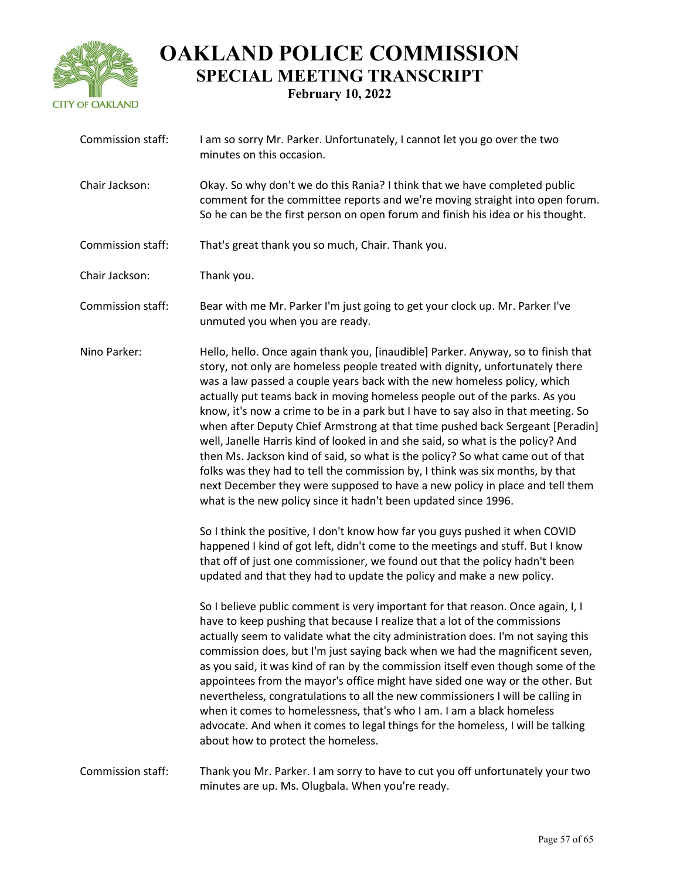

| Commission staff: | I am so sorry Mr. Parker. Unfortunately, I cannot let you go over the two<br>minutes on this occasion.                                                                                                                                                                                                                                                                                                                                                                                                                                                                                                                                                                                                                                                                                                                                                                                                                                                                                                                                                                                                                                                                                                                                                                                                                                                                                                                                                                                                                                                                                                                                                                                                                                                                                                                                                                                                                                                                                       |
|-------------------|----------------------------------------------------------------------------------------------------------------------------------------------------------------------------------------------------------------------------------------------------------------------------------------------------------------------------------------------------------------------------------------------------------------------------------------------------------------------------------------------------------------------------------------------------------------------------------------------------------------------------------------------------------------------------------------------------------------------------------------------------------------------------------------------------------------------------------------------------------------------------------------------------------------------------------------------------------------------------------------------------------------------------------------------------------------------------------------------------------------------------------------------------------------------------------------------------------------------------------------------------------------------------------------------------------------------------------------------------------------------------------------------------------------------------------------------------------------------------------------------------------------------------------------------------------------------------------------------------------------------------------------------------------------------------------------------------------------------------------------------------------------------------------------------------------------------------------------------------------------------------------------------------------------------------------------------------------------------------------------------|
| Chair Jackson:    | Okay. So why don't we do this Rania? I think that we have completed public<br>comment for the committee reports and we're moving straight into open forum.<br>So he can be the first person on open forum and finish his idea or his thought.                                                                                                                                                                                                                                                                                                                                                                                                                                                                                                                                                                                                                                                                                                                                                                                                                                                                                                                                                                                                                                                                                                                                                                                                                                                                                                                                                                                                                                                                                                                                                                                                                                                                                                                                                |
| Commission staff: | That's great thank you so much, Chair. Thank you.                                                                                                                                                                                                                                                                                                                                                                                                                                                                                                                                                                                                                                                                                                                                                                                                                                                                                                                                                                                                                                                                                                                                                                                                                                                                                                                                                                                                                                                                                                                                                                                                                                                                                                                                                                                                                                                                                                                                            |
| Chair Jackson:    | Thank you.                                                                                                                                                                                                                                                                                                                                                                                                                                                                                                                                                                                                                                                                                                                                                                                                                                                                                                                                                                                                                                                                                                                                                                                                                                                                                                                                                                                                                                                                                                                                                                                                                                                                                                                                                                                                                                                                                                                                                                                   |
| Commission staff: | Bear with me Mr. Parker I'm just going to get your clock up. Mr. Parker I've<br>unmuted you when you are ready.                                                                                                                                                                                                                                                                                                                                                                                                                                                                                                                                                                                                                                                                                                                                                                                                                                                                                                                                                                                                                                                                                                                                                                                                                                                                                                                                                                                                                                                                                                                                                                                                                                                                                                                                                                                                                                                                              |
| Nino Parker:      | Hello, hello. Once again thank you, [inaudible] Parker. Anyway, so to finish that<br>story, not only are homeless people treated with dignity, unfortunately there<br>was a law passed a couple years back with the new homeless policy, which<br>actually put teams back in moving homeless people out of the parks. As you<br>know, it's now a crime to be in a park but I have to say also in that meeting. So<br>when after Deputy Chief Armstrong at that time pushed back Sergeant [Peradin]<br>well, Janelle Harris kind of looked in and she said, so what is the policy? And<br>then Ms. Jackson kind of said, so what is the policy? So what came out of that<br>folks was they had to tell the commission by, I think was six months, by that<br>next December they were supposed to have a new policy in place and tell them<br>what is the new policy since it hadn't been updated since 1996.<br>So I think the positive, I don't know how far you guys pushed it when COVID<br>happened I kind of got left, didn't come to the meetings and stuff. But I know<br>that off of just one commissioner, we found out that the policy hadn't been<br>updated and that they had to update the policy and make a new policy.<br>So I believe public comment is very important for that reason. Once again, I, I<br>have to keep pushing that because I realize that a lot of the commissions<br>actually seem to validate what the city administration does. I'm not saying this<br>commission does, but I'm just saying back when we had the magnificent seven,<br>as you said, it was kind of ran by the commission itself even though some of the<br>appointees from the mayor's office might have sided one way or the other. But<br>nevertheless, congratulations to all the new commissioners I will be calling in<br>when it comes to homelessness, that's who I am. I am a black homeless<br>advocate. And when it comes to legal things for the homeless, I will be talking |
|                   | about how to protect the homeless.                                                                                                                                                                                                                                                                                                                                                                                                                                                                                                                                                                                                                                                                                                                                                                                                                                                                                                                                                                                                                                                                                                                                                                                                                                                                                                                                                                                                                                                                                                                                                                                                                                                                                                                                                                                                                                                                                                                                                           |
| Commission staff: | Thank you Mr. Parker. I am sorry to have to cut you off unfortunately your two                                                                                                                                                                                                                                                                                                                                                                                                                                                                                                                                                                                                                                                                                                                                                                                                                                                                                                                                                                                                                                                                                                                                                                                                                                                                                                                                                                                                                                                                                                                                                                                                                                                                                                                                                                                                                                                                                                               |

minutes are up. Ms. Olugbala. When you're ready.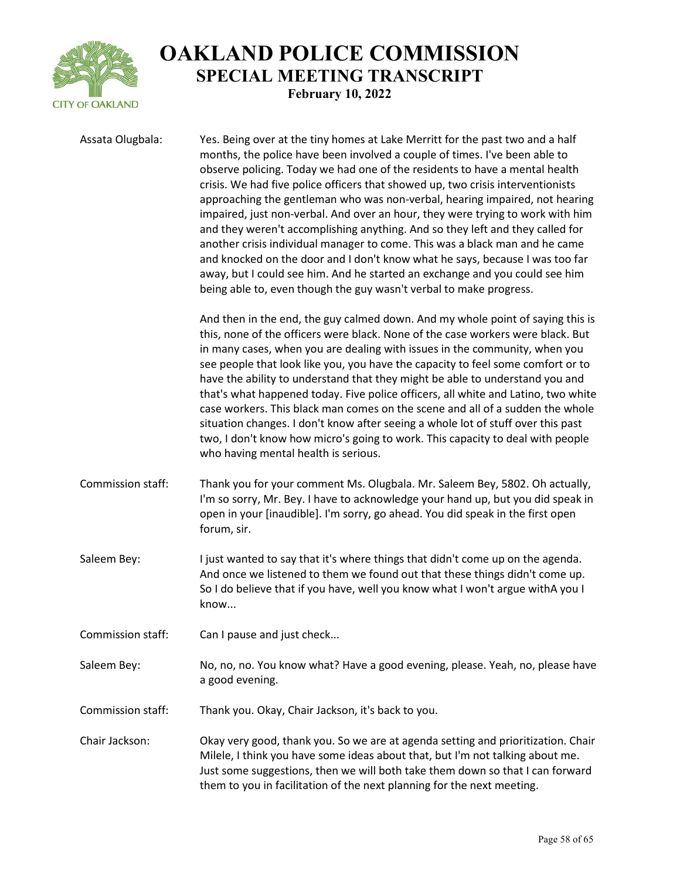

| Assata Olugbala:  | Yes. Being over at the tiny homes at Lake Merritt for the past two and a half<br>months, the police have been involved a couple of times. I've been able to<br>observe policing. Today we had one of the residents to have a mental health<br>crisis. We had five police officers that showed up, two crisis interventionists<br>approaching the gentleman who was non-verbal, hearing impaired, not hearing<br>impaired, just non-verbal. And over an hour, they were trying to work with him<br>and they weren't accomplishing anything. And so they left and they called for<br>another crisis individual manager to come. This was a black man and he came<br>and knocked on the door and I don't know what he says, because I was too far<br>away, but I could see him. And he started an exchange and you could see him<br>being able to, even though the guy wasn't verbal to make progress. |
|-------------------|-----------------------------------------------------------------------------------------------------------------------------------------------------------------------------------------------------------------------------------------------------------------------------------------------------------------------------------------------------------------------------------------------------------------------------------------------------------------------------------------------------------------------------------------------------------------------------------------------------------------------------------------------------------------------------------------------------------------------------------------------------------------------------------------------------------------------------------------------------------------------------------------------------|
|                   | And then in the end, the guy calmed down. And my whole point of saying this is<br>this, none of the officers were black. None of the case workers were black. But<br>in many cases, when you are dealing with issues in the community, when you<br>see people that look like you, you have the capacity to feel some comfort or to<br>have the ability to understand that they might be able to understand you and<br>that's what happened today. Five police officers, all white and Latino, two white<br>case workers. This black man comes on the scene and all of a sudden the whole<br>situation changes. I don't know after seeing a whole lot of stuff over this past<br>two, I don't know how micro's going to work. This capacity to deal with people<br>who having mental health is serious.                                                                                              |
| Commission staff: | Thank you for your comment Ms. Olugbala. Mr. Saleem Bey, 5802. Oh actually,<br>I'm so sorry, Mr. Bey. I have to acknowledge your hand up, but you did speak in<br>open in your [inaudible]. I'm sorry, go ahead. You did speak in the first open<br>forum, sir.                                                                                                                                                                                                                                                                                                                                                                                                                                                                                                                                                                                                                                     |
| Saleem Bey:       | I just wanted to say that it's where things that didn't come up on the agenda.<br>And once we listened to them we found out that these things didn't come up.<br>So I do believe that if you have, well you know what I won't argue withA you I<br>know                                                                                                                                                                                                                                                                                                                                                                                                                                                                                                                                                                                                                                             |
| Commission staff: | Can I pause and just check                                                                                                                                                                                                                                                                                                                                                                                                                                                                                                                                                                                                                                                                                                                                                                                                                                                                          |
| Saleem Bey:       | No, no, no. You know what? Have a good evening, please. Yeah, no, please have<br>a good evening.                                                                                                                                                                                                                                                                                                                                                                                                                                                                                                                                                                                                                                                                                                                                                                                                    |
| Commission staff: | Thank you. Okay, Chair Jackson, it's back to you.                                                                                                                                                                                                                                                                                                                                                                                                                                                                                                                                                                                                                                                                                                                                                                                                                                                   |
| Chair Jackson:    | Okay very good, thank you. So we are at agenda setting and prioritization. Chair<br>Milele, I think you have some ideas about that, but I'm not talking about me.<br>Just some suggestions, then we will both take them down so that I can forward<br>them to you in facilitation of the next planning for the next meeting.                                                                                                                                                                                                                                                                                                                                                                                                                                                                                                                                                                        |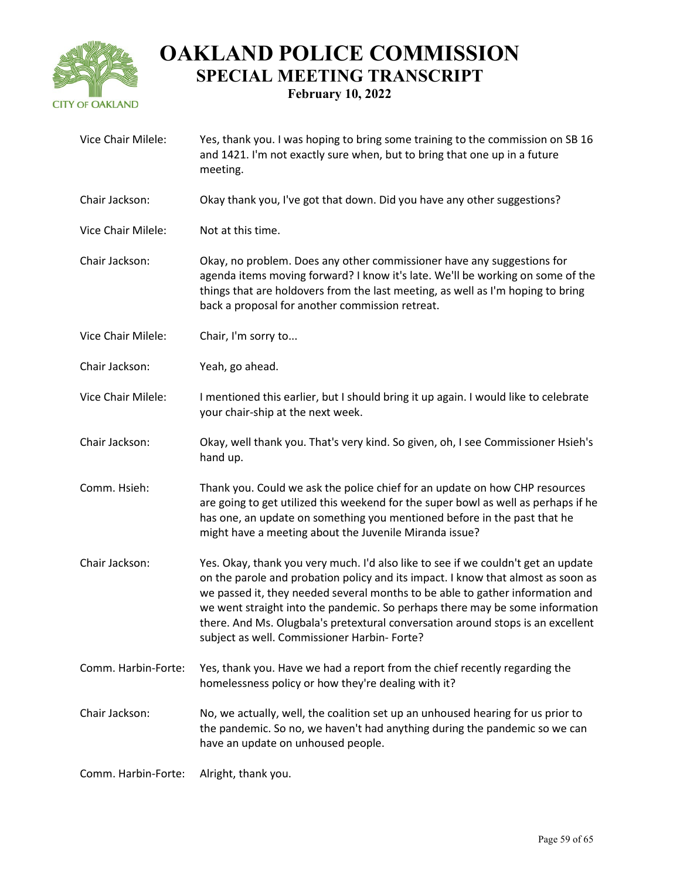

| Vice Chair Milele:  | Yes, thank you. I was hoping to bring some training to the commission on SB 16<br>and 1421. I'm not exactly sure when, but to bring that one up in a future<br>meeting.                                                                                                                                                                                                                                                                                                   |
|---------------------|---------------------------------------------------------------------------------------------------------------------------------------------------------------------------------------------------------------------------------------------------------------------------------------------------------------------------------------------------------------------------------------------------------------------------------------------------------------------------|
| Chair Jackson:      | Okay thank you, I've got that down. Did you have any other suggestions?                                                                                                                                                                                                                                                                                                                                                                                                   |
| Vice Chair Milele:  | Not at this time.                                                                                                                                                                                                                                                                                                                                                                                                                                                         |
| Chair Jackson:      | Okay, no problem. Does any other commissioner have any suggestions for<br>agenda items moving forward? I know it's late. We'll be working on some of the<br>things that are holdovers from the last meeting, as well as I'm hoping to bring<br>back a proposal for another commission retreat.                                                                                                                                                                            |
| Vice Chair Milele:  | Chair, I'm sorry to                                                                                                                                                                                                                                                                                                                                                                                                                                                       |
| Chair Jackson:      | Yeah, go ahead.                                                                                                                                                                                                                                                                                                                                                                                                                                                           |
| Vice Chair Milele:  | I mentioned this earlier, but I should bring it up again. I would like to celebrate<br>your chair-ship at the next week.                                                                                                                                                                                                                                                                                                                                                  |
| Chair Jackson:      | Okay, well thank you. That's very kind. So given, oh, I see Commissioner Hsieh's<br>hand up.                                                                                                                                                                                                                                                                                                                                                                              |
| Comm. Hsieh:        | Thank you. Could we ask the police chief for an update on how CHP resources<br>are going to get utilized this weekend for the super bowl as well as perhaps if he<br>has one, an update on something you mentioned before in the past that he<br>might have a meeting about the Juvenile Miranda issue?                                                                                                                                                                   |
| Chair Jackson:      | Yes. Okay, thank you very much. I'd also like to see if we couldn't get an update<br>on the parole and probation policy and its impact. I know that almost as soon as<br>we passed it, they needed several months to be able to gather information and<br>we went straight into the pandemic. So perhaps there may be some information<br>there. And Ms. Olugbala's pretextural conversation around stops is an excellent<br>subject as well. Commissioner Harbin- Forte? |
| Comm. Harbin-Forte: | Yes, thank you. Have we had a report from the chief recently regarding the<br>homelessness policy or how they're dealing with it?                                                                                                                                                                                                                                                                                                                                         |
| Chair Jackson:      | No, we actually, well, the coalition set up an unhoused hearing for us prior to<br>the pandemic. So no, we haven't had anything during the pandemic so we can<br>have an update on unhoused people.                                                                                                                                                                                                                                                                       |
| Comm. Harbin-Forte: | Alright, thank you.                                                                                                                                                                                                                                                                                                                                                                                                                                                       |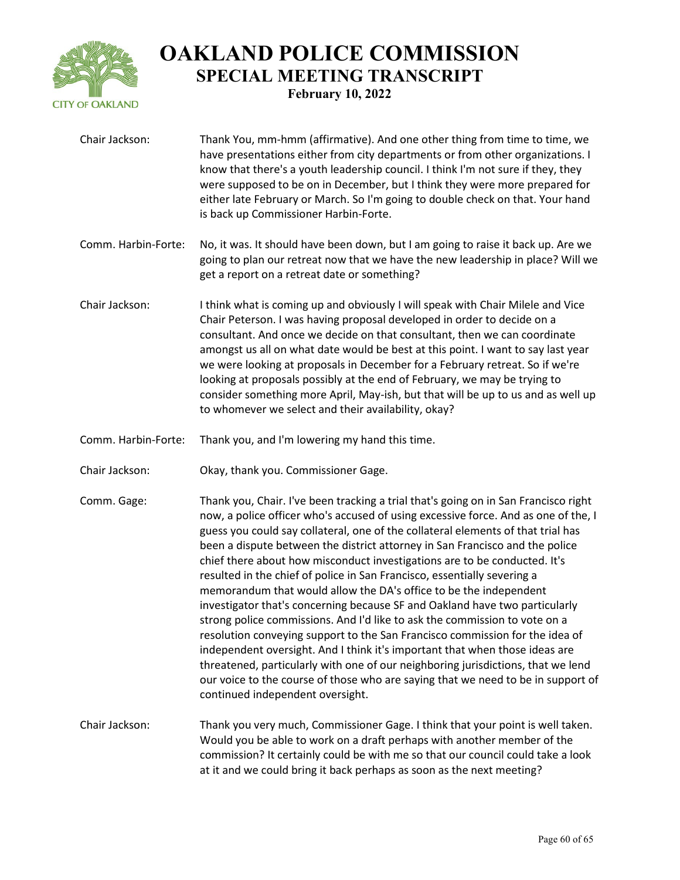

| Chair Jackson:      | Thank You, mm-hmm (affirmative). And one other thing from time to time, we<br>have presentations either from city departments or from other organizations. I<br>know that there's a youth leadership council. I think I'm not sure if they, they<br>were supposed to be on in December, but I think they were more prepared for<br>either late February or March. So I'm going to double check on that. Your hand<br>is back up Commissioner Harbin-Forte.                                                                                                                                                                                                                                                                                                                                                                                                                                                                                                                                                                                                                                                          |
|---------------------|---------------------------------------------------------------------------------------------------------------------------------------------------------------------------------------------------------------------------------------------------------------------------------------------------------------------------------------------------------------------------------------------------------------------------------------------------------------------------------------------------------------------------------------------------------------------------------------------------------------------------------------------------------------------------------------------------------------------------------------------------------------------------------------------------------------------------------------------------------------------------------------------------------------------------------------------------------------------------------------------------------------------------------------------------------------------------------------------------------------------|
| Comm. Harbin-Forte: | No, it was. It should have been down, but I am going to raise it back up. Are we<br>going to plan our retreat now that we have the new leadership in place? Will we<br>get a report on a retreat date or something?                                                                                                                                                                                                                                                                                                                                                                                                                                                                                                                                                                                                                                                                                                                                                                                                                                                                                                 |
| Chair Jackson:      | I think what is coming up and obviously I will speak with Chair Milele and Vice<br>Chair Peterson. I was having proposal developed in order to decide on a<br>consultant. And once we decide on that consultant, then we can coordinate<br>amongst us all on what date would be best at this point. I want to say last year<br>we were looking at proposals in December for a February retreat. So if we're<br>looking at proposals possibly at the end of February, we may be trying to<br>consider something more April, May-ish, but that will be up to us and as well up<br>to whomever we select and their availability, okay?                                                                                                                                                                                                                                                                                                                                                                                                                                                                                 |
| Comm. Harbin-Forte: | Thank you, and I'm lowering my hand this time.                                                                                                                                                                                                                                                                                                                                                                                                                                                                                                                                                                                                                                                                                                                                                                                                                                                                                                                                                                                                                                                                      |
| Chair Jackson:      | Okay, thank you. Commissioner Gage.                                                                                                                                                                                                                                                                                                                                                                                                                                                                                                                                                                                                                                                                                                                                                                                                                                                                                                                                                                                                                                                                                 |
| Comm. Gage:         | Thank you, Chair. I've been tracking a trial that's going on in San Francisco right<br>now, a police officer who's accused of using excessive force. And as one of the, I<br>guess you could say collateral, one of the collateral elements of that trial has<br>been a dispute between the district attorney in San Francisco and the police<br>chief there about how misconduct investigations are to be conducted. It's<br>resulted in the chief of police in San Francisco, essentially severing a<br>memorandum that would allow the DA's office to be the independent<br>investigator that's concerning because SF and Oakland have two particularly<br>strong police commissions. And I'd like to ask the commission to vote on a<br>resolution conveying support to the San Francisco commission for the idea of<br>independent oversight. And I think it's important that when those ideas are<br>threatened, particularly with one of our neighboring jurisdictions, that we lend<br>our voice to the course of those who are saying that we need to be in support of<br>continued independent oversight. |
| Chair Jackson:      | Thank you very much, Commissioner Gage. I think that your point is well taken.<br>Would you be able to work on a draft perhaps with another member of the<br>commission? It certainly could be with me so that our council could take a look<br>at it and we could bring it back perhaps as soon as the next meeting?                                                                                                                                                                                                                                                                                                                                                                                                                                                                                                                                                                                                                                                                                                                                                                                               |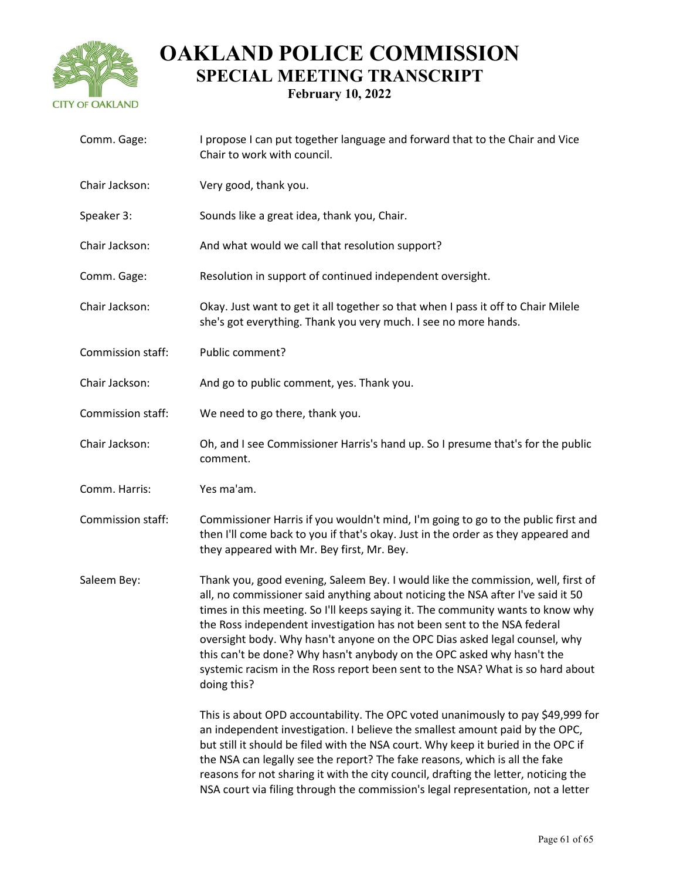

| Comm. Gage:       | I propose I can put together language and forward that to the Chair and Vice<br>Chair to work with council.                                                                                                                                                                                                                                                                                                                                                                                                                                                                                |
|-------------------|--------------------------------------------------------------------------------------------------------------------------------------------------------------------------------------------------------------------------------------------------------------------------------------------------------------------------------------------------------------------------------------------------------------------------------------------------------------------------------------------------------------------------------------------------------------------------------------------|
| Chair Jackson:    | Very good, thank you.                                                                                                                                                                                                                                                                                                                                                                                                                                                                                                                                                                      |
| Speaker 3:        | Sounds like a great idea, thank you, Chair.                                                                                                                                                                                                                                                                                                                                                                                                                                                                                                                                                |
| Chair Jackson:    | And what would we call that resolution support?                                                                                                                                                                                                                                                                                                                                                                                                                                                                                                                                            |
| Comm. Gage:       | Resolution in support of continued independent oversight.                                                                                                                                                                                                                                                                                                                                                                                                                                                                                                                                  |
| Chair Jackson:    | Okay. Just want to get it all together so that when I pass it off to Chair Milele<br>she's got everything. Thank you very much. I see no more hands.                                                                                                                                                                                                                                                                                                                                                                                                                                       |
| Commission staff: | Public comment?                                                                                                                                                                                                                                                                                                                                                                                                                                                                                                                                                                            |
| Chair Jackson:    | And go to public comment, yes. Thank you.                                                                                                                                                                                                                                                                                                                                                                                                                                                                                                                                                  |
| Commission staff: | We need to go there, thank you.                                                                                                                                                                                                                                                                                                                                                                                                                                                                                                                                                            |
| Chair Jackson:    | Oh, and I see Commissioner Harris's hand up. So I presume that's for the public<br>comment.                                                                                                                                                                                                                                                                                                                                                                                                                                                                                                |
| Comm. Harris:     | Yes ma'am.                                                                                                                                                                                                                                                                                                                                                                                                                                                                                                                                                                                 |
| Commission staff: | Commissioner Harris if you wouldn't mind, I'm going to go to the public first and<br>then I'll come back to you if that's okay. Just in the order as they appeared and<br>they appeared with Mr. Bey first, Mr. Bey.                                                                                                                                                                                                                                                                                                                                                                       |
| Saleem Bey:       | Thank you, good evening, Saleem Bey. I would like the commission, well, first of<br>all, no commissioner said anything about noticing the NSA after I've said it 50<br>times in this meeting. So I'll keeps saying it. The community wants to know why<br>the Ross independent investigation has not been sent to the NSA federal<br>oversight body. Why hasn't anyone on the OPC Dias asked legal counsel, why<br>this can't be done? Why hasn't anybody on the OPC asked why hasn't the<br>systemic racism in the Ross report been sent to the NSA? What is so hard about<br>doing this? |
|                   | This is about OPD accountability. The OPC voted unanimously to pay \$49,999 for<br>an independent investigation. I believe the smallest amount paid by the OPC,<br>but still it should be filed with the NSA court. Why keep it buried in the OPC if<br>the NSA can legally see the report? The fake reasons, which is all the fake<br>reasons for not sharing it with the city council, drafting the letter, noticing the<br>NSA court via filing through the commission's legal representation, not a letter                                                                             |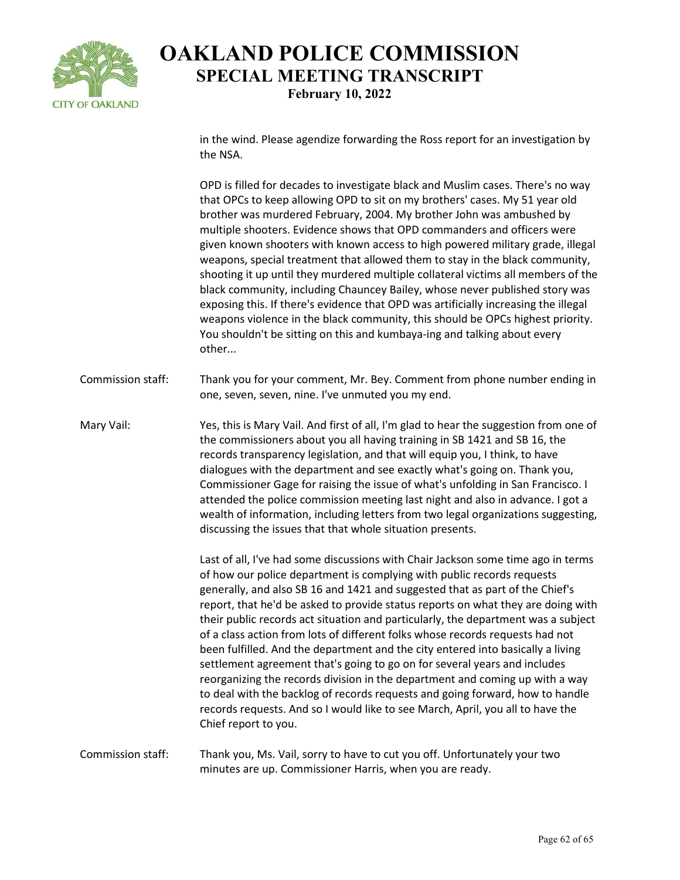

in the wind. Please agendize forwarding the Ross report for an investigation by the NSA.

OPD is filled for decades to investigate black and Muslim cases. There's no way that OPCs to keep allowing OPD to sit on my brothers' cases. My 51 year old brother was murdered February, 2004. My brother John was ambushed by multiple shooters. Evidence shows that OPD commanders and officers were given known shooters with known access to high powered military grade, illegal weapons, special treatment that allowed them to stay in the black community, shooting it up until they murdered multiple collateral victims all members of the black community, including Chauncey Bailey, whose never published story was exposing this. If there's evidence that OPD was artificially increasing the illegal weapons violence in the black community, this should be OPCs highest priority. You shouldn't be sitting on this and kumbaya-ing and talking about every other...

Commission staff: Thank you for your comment, Mr. Bey. Comment from phone number ending in one, seven, seven, nine. I've unmuted you my end.

Mary Vail: Yes, this is Mary Vail. And first of all, I'm glad to hear the suggestion from one of the commissioners about you all having training in SB 1421 and SB 16, the records transparency legislation, and that will equip you, I think, to have dialogues with the department and see exactly what's going on. Thank you, Commissioner Gage for raising the issue of what's unfolding in San Francisco. I attended the police commission meeting last night and also in advance. I got a wealth of information, including letters from two legal organizations suggesting, discussing the issues that that whole situation presents.

> Last of all, I've had some discussions with Chair Jackson some time ago in terms of how our police department is complying with public records requests generally, and also SB 16 and 1421 and suggested that as part of the Chief's report, that he'd be asked to provide status reports on what they are doing with their public records act situation and particularly, the department was a subject of a class action from lots of different folks whose records requests had not been fulfilled. And the department and the city entered into basically a living settlement agreement that's going to go on for several years and includes reorganizing the records division in the department and coming up with a way to deal with the backlog of records requests and going forward, how to handle records requests. And so I would like to see March, April, you all to have the Chief report to you.

#### Commission staff: Thank you, Ms. Vail, sorry to have to cut you off. Unfortunately your two minutes are up. Commissioner Harris, when you are ready.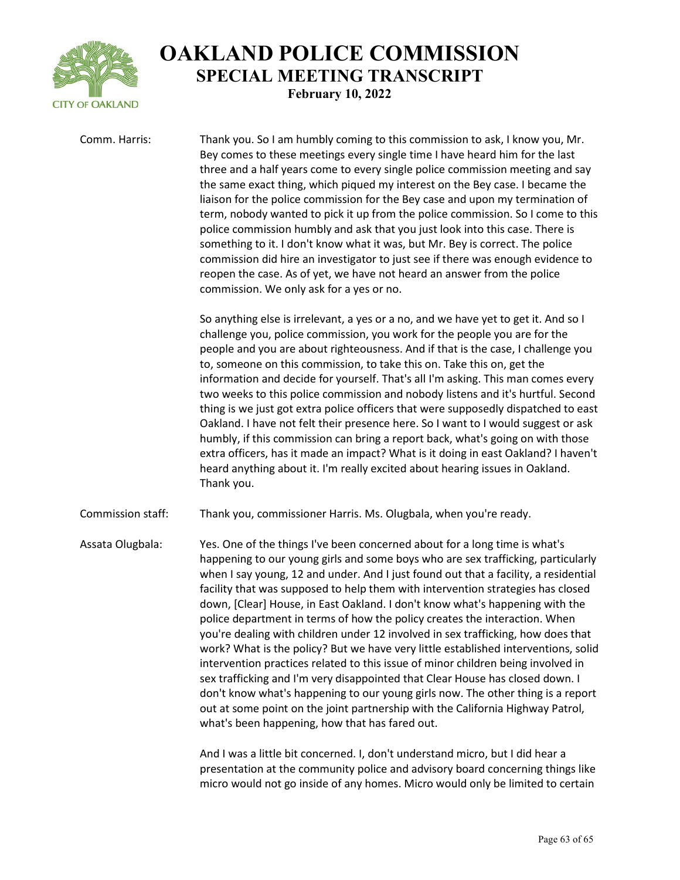

Comm. Harris: Thank you. So I am humbly coming to this commission to ask, I know you, Mr. Bey comes to these meetings every single time I have heard him for the last three and a half years come to every single police commission meeting and say the same exact thing, which piqued my interest on the Bey case. I became the liaison for the police commission for the Bey case and upon my termination of term, nobody wanted to pick it up from the police commission. So I come to this police commission humbly and ask that you just look into this case. There is something to it. I don't know what it was, but Mr. Bey is correct. The police commission did hire an investigator to just see if there was enough evidence to reopen the case. As of yet, we have not heard an answer from the police commission. We only ask for a yes or no.

> So anything else is irrelevant, a yes or a no, and we have yet to get it. And so I challenge you, police commission, you work for the people you are for the people and you are about righteousness. And if that is the case, I challenge you to, someone on this commission, to take this on. Take this on, get the information and decide for yourself. That's all I'm asking. This man comes every two weeks to this police commission and nobody listens and it's hurtful. Second thing is we just got extra police officers that were supposedly dispatched to east Oakland. I have not felt their presence here. So I want to I would suggest or ask humbly, if this commission can bring a report back, what's going on with those extra officers, has it made an impact? What is it doing in east Oakland? I haven't heard anything about it. I'm really excited about hearing issues in Oakland. Thank you.

Commission staff: Thank you, commissioner Harris. Ms. Olugbala, when you're ready.

Assata Olugbala: Yes. One of the things I've been concerned about for a long time is what's happening to our young girls and some boys who are sex trafficking, particularly when I say young, 12 and under. And I just found out that a facility, a residential facility that was supposed to help them with intervention strategies has closed down, [Clear] House, in East Oakland. I don't know what's happening with the police department in terms of how the policy creates the interaction. When you're dealing with children under 12 involved in sex trafficking, how does that work? What is the policy? But we have very little established interventions, solid intervention practices related to this issue of minor children being involved in sex trafficking and I'm very disappointed that Clear House has closed down. I don't know what's happening to our young girls now. The other thing is a report out at some point on the joint partnership with the California Highway Patrol, what's been happening, how that has fared out.

> And I was a little bit concerned. I, don't understand micro, but I did hear a presentation at the community police and advisory board concerning things like micro would not go inside of any homes. Micro would only be limited to certain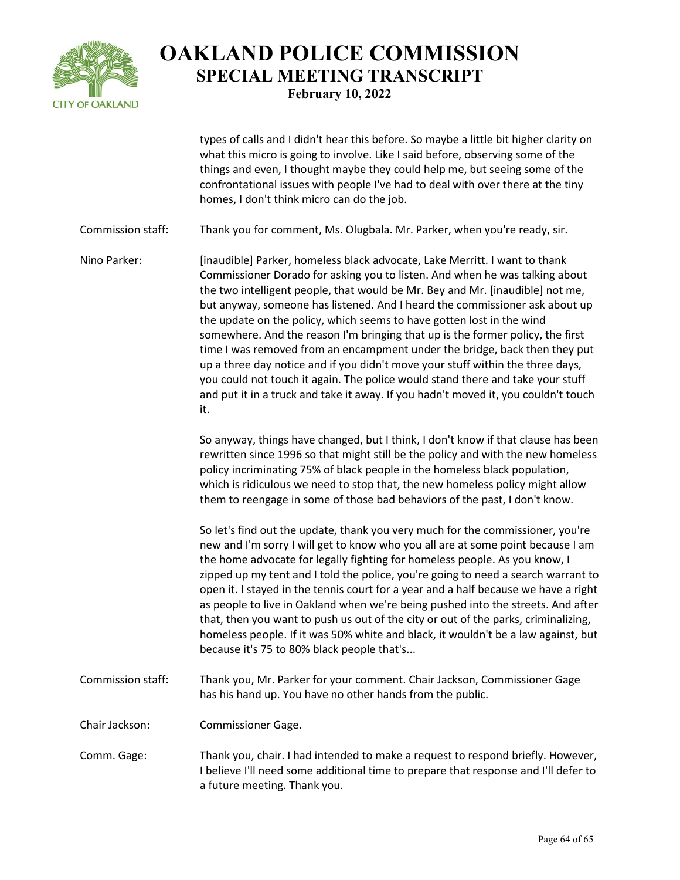

types of calls and I didn't hear this before. So maybe a little bit higher clarity on what this micro is going to involve. Like I said before, observing some of the things and even, I thought maybe they could help me, but seeing some of the confrontational issues with people I've had to deal with over there at the tiny homes, I don't think micro can do the job.

Commission staff: Thank you for comment, Ms. Olugbala. Mr. Parker, when you're ready, sir.

Nino Parker: [inaudible] Parker, homeless black advocate, Lake Merritt. I want to thank Commissioner Dorado for asking you to listen. And when he was talking about the two intelligent people, that would be Mr. Bey and Mr. [inaudible] not me, but anyway, someone has listened. And I heard the commissioner ask about up the update on the policy, which seems to have gotten lost in the wind somewhere. And the reason I'm bringing that up is the former policy, the first time I was removed from an encampment under the bridge, back then they put up a three day notice and if you didn't move your stuff within the three days, you could not touch it again. The police would stand there and take your stuff and put it in a truck and take it away. If you hadn't moved it, you couldn't touch it.

> So anyway, things have changed, but I think, I don't know if that clause has been rewritten since 1996 so that might still be the policy and with the new homeless policy incriminating 75% of black people in the homeless black population, which is ridiculous we need to stop that, the new homeless policy might allow them to reengage in some of those bad behaviors of the past, I don't know.

> So let's find out the update, thank you very much for the commissioner, you're new and I'm sorry I will get to know who you all are at some point because I am the home advocate for legally fighting for homeless people. As you know, I zipped up my tent and I told the police, you're going to need a search warrant to open it. I stayed in the tennis court for a year and a half because we have a right as people to live in Oakland when we're being pushed into the streets. And after that, then you want to push us out of the city or out of the parks, criminalizing, homeless people. If it was 50% white and black, it wouldn't be a law against, but because it's 75 to 80% black people that's...

Commission staff: Thank you, Mr. Parker for your comment. Chair Jackson, Commissioner Gage has his hand up. You have no other hands from the public.

Chair Jackson: Commissioner Gage.

Comm. Gage: Thank you, chair. I had intended to make a request to respond briefly. However, I believe I'll need some additional time to prepare that response and I'll defer to a future meeting. Thank you.